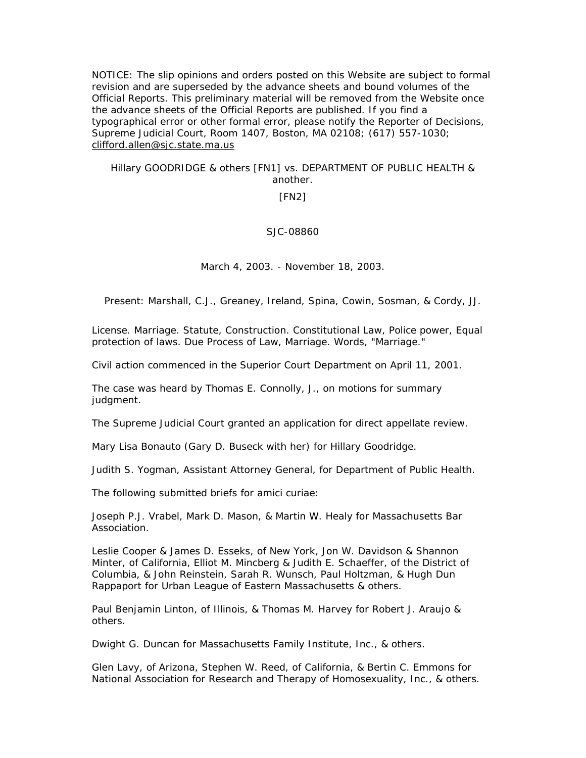NOTICE: The slip opinions and orders posted on this Website are subject to formal revision and are superseded by the advance sheets and bound volumes of the Official Reports. This preliminary material will be removed from the Website once the advance sheets of the Official Reports are published. If you find a typographical error or other formal error, please notify the Reporter of Decisions, Supreme Judicial Court, Room 1407, Boston, MA 02108; (617) 557-1030; clifford.allen@sjc.state.ma.us

## Hillary GOODRIDGE & others [FN1] *vs.* DEPARTMENT OF PUBLIC HEALTH & another.

[FN2]

## SJC-08860

March 4, 2003. - November 18, 2003.

Present: Marshall, C.J., Greaney, Ireland, Spina, Cowin, Sosman, & Cordy, JJ.

*License. Marriage. Statute,* Construction. *Constitutional Law,* Police power, Equal protection of laws. *Due Process of Law,* Marriage. *Words,* "Marriage."

Civil action commenced in the Superior Court Department on April 11, 2001.

The case was heard by *Thomas E. Connolly,* J., on motions for summary judgment.

The Supreme Judicial Court granted an application for direct appellate review.

*Mary Lisa Bonauto* (*Gary D. Buseck* with her) for Hillary Goodridge.

*Judith S. Yogman,* Assistant Attorney General, for Department of Public Health.

The following submitted briefs for amici curiae:

*Joseph P.J. Vrabel, Mark D. Mason, & Martin W. Healy* for Massachusetts Bar Association.

*Leslie Cooper & James D. Esseks,* of New York, *Jon W. Davidson & Shannon Minter,* of California, *Elliot M. Mincberg & Judith E. Schaeffer,* of the District of Columbia, *& John Reinstein, Sarah R. Wunsch, Paul Holtzman, & Hugh Dun Rappaport* for Urban League of Eastern Massachusetts & others.

*Paul Benjamin Linton,* of Illinois, *& Thomas M. Harvey* for Robert J. Araujo & others.

*Dwight G. Duncan* for Massachusetts Family Institute, Inc., & others.

*Glen Lavy,* of Arizona, *Stephen W. Reed,* of California, *& Bertin C. Emmons* for National Association for Research and Therapy of Homosexuality, Inc., & others.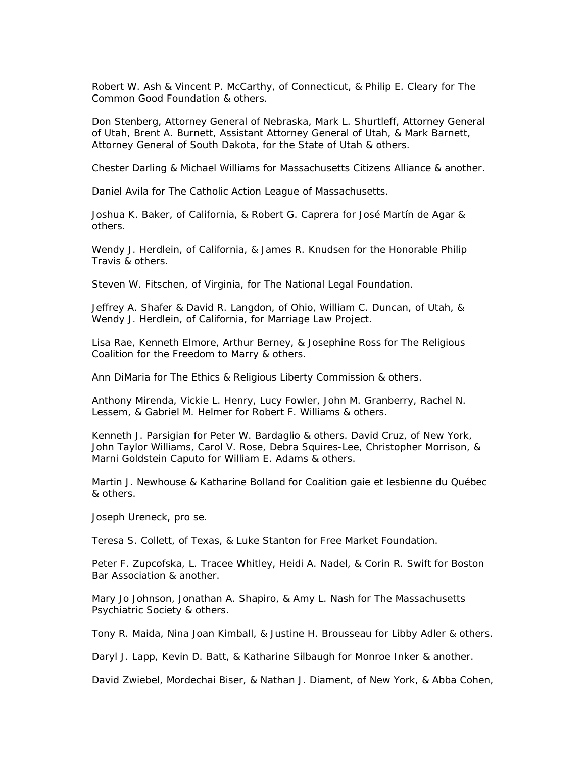*Robert W. Ash & Vincent P. McCarthy,* of Connecticut, *& Philip E. Cleary* for The Common Good Foundation & others.

*Don Stenberg,* Attorney General of Nebraska, *Mark L. Shurtleff,* Attorney General of Utah, *Brent A. Burnett,* Assistant Attorney General of Utah, *& Mark Barnett,* Attorney General of South Dakota, for the State of Utah & others.

*Chester Darling & Michael Williams* for Massachusetts Citizens Alliance & another.

*Daniel Avila* for The Catholic Action League of Massachusetts.

*Joshua K. Baker,* of California, *& Robert G. Caprera* for José Martín de Agar & others.

*Wendy J. Herdlein,* of California, *& James R. Knudsen* for the Honorable Philip Travis & others.

*Steven W. Fitschen,* of Virginia, for The National Legal Foundation.

*Jeffrey A. Shafer & David R. Langdon,* of Ohio, *William C. Duncan,* of Utah, *& Wendy J. Herdlein,* of California, for Marriage Law Project.

*Lisa Rae, Kenneth Elmore, Arthur Berney, & Josephine Ross* for The Religious Coalition for the Freedom to Marry & others.

*Ann DiMaria* for The Ethics & Religious Liberty Commission & others.

*Anthony Mirenda, Vickie L. Henry, Lucy Fowler, John M. Granberry, Rachel N. Lessem, & Gabriel M. Helmer* for Robert F. Williams & others.

*Kenneth J. Parsigian* for Peter W. Bardaglio & others. *David Cruz,* of New York, *John Taylor Williams, Carol V. Rose, Debra Squires-Lee, Christopher Morrison, & Marni Goldstein Caputo* for William E. Adams & others.

*Martin J. Newhouse & Katharine Bolland* for Coalition gaie et lesbienne du Québec & others.

*Joseph Ureneck,* pro se.

*Teresa S. Collett,* of Texas, *& Luke Stanton* for Free Market Foundation.

*Peter F. Zupcofska, L. Tracee Whitley, Heidi A. Nadel, & Corin R. Swift* for Boston Bar Association & another.

*Mary Jo Johnson, Jonathan A. Shapiro, & Amy L. Nash* for The Massachusetts Psychiatric Society & others.

*Tony R. Maida, Nina Joan Kimball, & Justine H. Brousseau* for Libby Adler & others.

*Daryl J. Lapp, Kevin D. Batt, & Katharine Silbaugh* for Monroe Inker & another.

*David Zwiebel, Mordechai Biser, & Nathan J. Diament,* of New York, *& Abba Cohen,*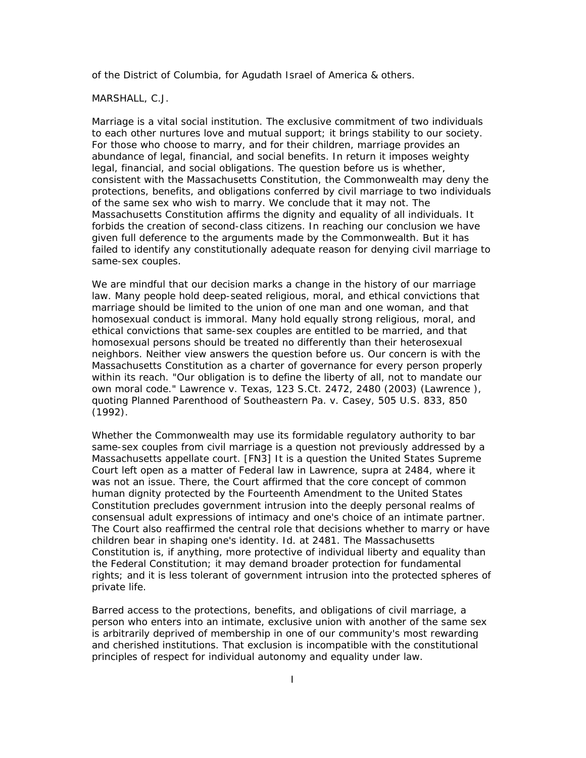of the District of Columbia, for Agudath Israel of America & others.

MARSHALL, C.J.

Marriage is a vital social institution. The exclusive commitment of two individuals to each other nurtures love and mutual support; it brings stability to our society. For those who choose to marry, and for their children, marriage provides an abundance of legal, financial, and social benefits. In return it imposes weighty legal, financial, and social obligations. The question before us is whether, consistent with the Massachusetts Constitution, the Commonwealth may deny the protections, benefits, and obligations conferred by civil marriage to two individuals of the same sex who wish to marry. We conclude that it may not. The Massachusetts Constitution affirms the dignity and equality of all individuals. It forbids the creation of second-class citizens. In reaching our conclusion we have given full deference to the arguments made by the Commonwealth. But it has failed to identify any constitutionally adequate reason for denying civil marriage to same-sex couples.

We are mindful that our decision marks a change in the history of our marriage law. Many people hold deep-seated religious, moral, and ethical convictions that marriage should be limited to the union of one man and one woman, and that homosexual conduct is immoral. Many hold equally strong religious, moral, and ethical convictions that same-sex couples are entitled to be married, and that homosexual persons should be treated no differently than their heterosexual neighbors. Neither view answers the question before us. Our concern is with the Massachusetts Constitution as a charter of governance for every person properly within its reach. "Our obligation is to define the liberty of all, not to mandate our own moral code." *Lawrence v. Texas,* 123 S.Ct. 2472, 2480 (2003) (*Lawrence* ), quoting *Planned Parenthood of Southeastern Pa.* v. *Casey,* 505 U.S. 833, 850 (1992).

Whether the Commonwealth may use its formidable regulatory authority to bar same-sex couples from civil marriage is a question not previously addressed by a Massachusetts appellate court. [FN3] It is a question the United States Supreme Court left open as a matter of Federal law in *Lawrence, supra* at 2484, where it was not an issue. There, the Court affirmed that the core concept of common human dignity protected by the Fourteenth Amendment to the United States Constitution precludes government intrusion into the deeply personal realms of consensual adult expressions of intimacy and one's choice of an intimate partner. The Court also reaffirmed the central role that decisions whether to marry or have children bear in shaping one's identity. *Id.* at 2481. The Massachusetts Constitution is, if anything, more protective of individual liberty and equality than the Federal Constitution; it may demand broader protection for fundamental rights; and it is less tolerant of government intrusion into the protected spheres of private life.

Barred access to the protections, benefits, and obligations of civil marriage, a person who enters into an intimate, exclusive union with another of the same sex is arbitrarily deprived of membership in one of our community's most rewarding and cherished institutions. That exclusion is incompatible with the constitutional principles of respect for individual autonomy and equality under law.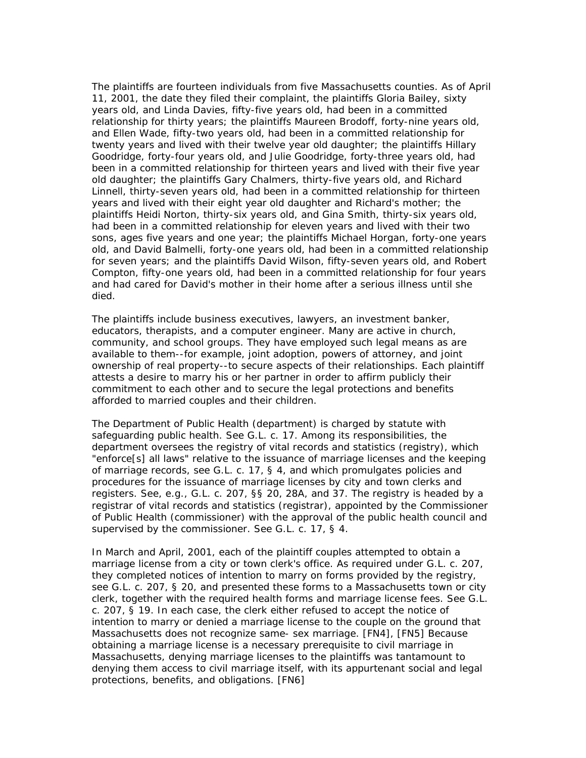The plaintiffs are fourteen individuals from five Massachusetts counties. As of April 11, 2001, the date they filed their complaint, the plaintiffs Gloria Bailey, sixty years old, and Linda Davies, fifty-five years old, had been in a committed relationship for thirty years; the plaintiffs Maureen Brodoff, forty-nine years old, and Ellen Wade, fifty-two years old, had been in a committed relationship for twenty years and lived with their twelve year old daughter; the plaintiffs Hillary Goodridge, forty-four years old, and Julie Goodridge, forty-three years old, had been in a committed relationship for thirteen years and lived with their five year old daughter; the plaintiffs Gary Chalmers, thirty-five years old, and Richard Linnell, thirty-seven years old, had been in a committed relationship for thirteen years and lived with their eight year old daughter and Richard's mother; the plaintiffs Heidi Norton, thirty-six years old, and Gina Smith, thirty-six years old, had been in a committed relationship for eleven years and lived with their two sons, ages five years and one year; the plaintiffs Michael Horgan, forty-one years old, and David Balmelli, forty-one years old, had been in a committed relationship for seven years; and the plaintiffs David Wilson, fifty-seven years old, and Robert Compton, fifty-one years old, had been in a committed relationship for four years and had cared for David's mother in their home after a serious illness until she died.

The plaintiffs include business executives, lawyers, an investment banker, educators, therapists, and a computer engineer. Many are active in church, community, and school groups. They have employed such legal means as are available to them--for example, joint adoption, powers of attorney, and joint ownership of real property--to secure aspects of their relationships. Each plaintiff attests a desire to marry his or her partner in order to affirm publicly their commitment to each other and to secure the legal protections and benefits afforded to married couples and their children.

The Department of Public Health (department) is charged by statute with safeguarding public health. See G.L. c. 17. Among its responsibilities, the department oversees the registry of vital records and statistics (registry), which "enforce[s] all laws" relative to the issuance of marriage licenses and the keeping of marriage records, see G.L. c. 17, § 4, and which promulgates policies and procedures for the issuance of marriage licenses by city and town clerks and registers. See, e.g., G.L. c. 207, §§ 20, 28A, and 37. The registry is headed by a registrar of vital records and statistics (registrar), appointed by the Commissioner of Public Health (commissioner) with the approval of the public health council and supervised by the commissioner. See G.L. c. 17, § 4.

In March and April, 2001, each of the plaintiff couples attempted to obtain a marriage license from a city or town clerk's office. As required under G.L. c. 207, they completed notices of intention to marry on forms provided by the registry, see G.L. c. 207, § 20, and presented these forms to a Massachusetts town or city clerk, together with the required health forms and marriage license fees. See G.L. c. 207, § 19. In each case, the clerk either refused to accept the notice of intention to marry or denied a marriage license to the couple on the ground that Massachusetts does not recognize same- sex marriage. [FN4], [FN5] Because obtaining a marriage license is a necessary prerequisite to civil marriage in Massachusetts, denying marriage licenses to the plaintiffs was tantamount to denying them access to civil marriage itself, with its appurtenant social and legal protections, benefits, and obligations. [FN6]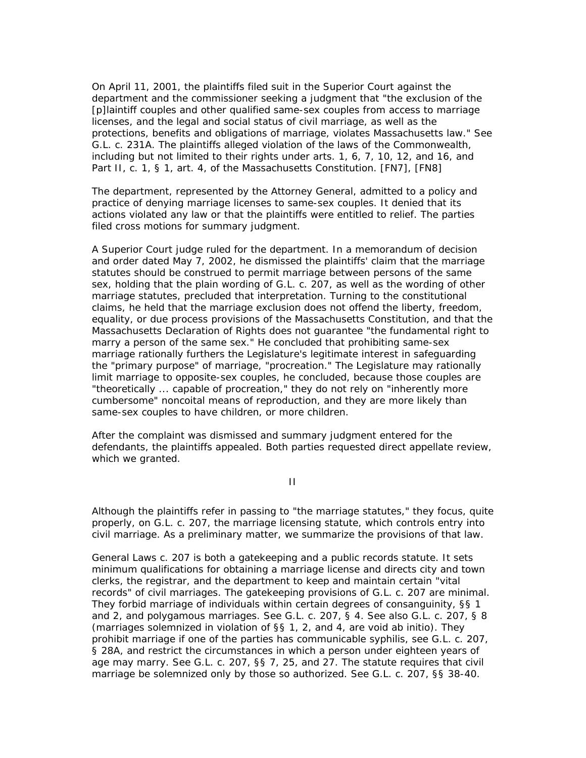On April 11, 2001, the plaintiffs filed suit in the Superior Court against the department and the commissioner seeking a judgment that "the exclusion of the [p]laintiff couples and other qualified same-sex couples from access to marriage licenses, and the legal and social status of civil marriage, as well as the protections, benefits and obligations of marriage, violates Massachusetts law." See G.L. c. 231A. The plaintiffs alleged violation of the laws of the Commonwealth, including but not limited to their rights under arts. 1, 6, 7, 10, 12, and 16, and Part II, c. 1, § 1, art. 4, of the Massachusetts Constitution. [FN7], [FN8]

The department, represented by the Attorney General, admitted to a policy and practice of denying marriage licenses to same-sex couples. It denied that its actions violated any law or that the plaintiffs were entitled to relief. The parties filed cross motions for summary judgment.

A Superior Court judge ruled for the department. In a memorandum of decision and order dated May 7, 2002, he dismissed the plaintiffs' claim that the marriage statutes should be construed to permit marriage between persons of the same sex, holding that the plain wording of G.L. c. 207, as well as the wording of other marriage statutes, precluded that interpretation. Turning to the constitutional claims, he held that the marriage exclusion does not offend the liberty, freedom, equality, or due process provisions of the Massachusetts Constitution, and that the Massachusetts Declaration of Rights does not guarantee "the fundamental right to marry a person of the same sex." He concluded that prohibiting same-sex marriage rationally furthers the Legislature's legitimate interest in safeguarding the "primary purpose" of marriage, "procreation." The Legislature may rationally limit marriage to opposite-sex couples, he concluded, because those couples are "theoretically ... capable of procreation," they do not rely on "inherently more cumbersome" noncoital means of reproduction, and they are more likely than same-sex couples to have children, or more children.

After the complaint was dismissed and summary judgment entered for the defendants, the plaintiffs appealed. Both parties requested direct appellate review, which we granted.

II

Although the plaintiffs refer in passing to "the marriage statutes," they focus, quite properly, on G.L. c. 207, the marriage licensing statute, which controls entry into civil marriage. As a preliminary matter, we summarize the provisions of that law.

General Laws c. 207 is both a gatekeeping and a public records statute. It sets minimum qualifications for obtaining a marriage license and directs city and town clerks, the registrar, and the department to keep and maintain certain "vital records" of civil marriages. The gatekeeping provisions of G.L. c. 207 are minimal. They forbid marriage of individuals within certain degrees of consanguinity, §§ 1 and 2, and polygamous marriages. See G.L. c. 207, § 4. See also G.L. c. 207, § 8 (marriages solemnized in violation of §§ 1, 2, and 4, are void ab initio). They prohibit marriage if one of the parties has communicable syphilis, see G.L. c. 207, § 28A, and restrict the circumstances in which a person under eighteen years of age may marry. See G.L. c. 207, §§ 7, 25, and 27. The statute requires that civil marriage be solemnized only by those so authorized. See G.L. c. 207, §§ 38-40.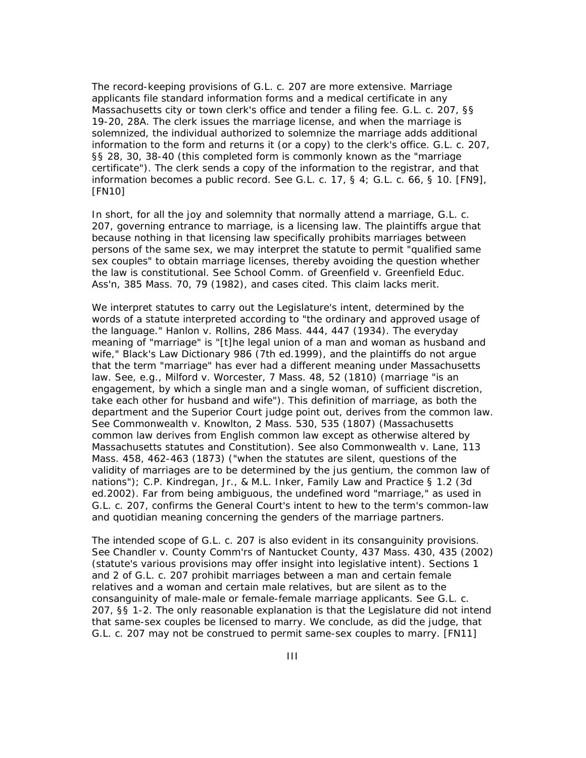The record-keeping provisions of G.L. c. 207 are more extensive. Marriage applicants file standard information forms and a medical certificate in any Massachusetts city or town clerk's office and tender a filing fee. G.L. c. 207, §§ 19-20, 28A. The clerk issues the marriage license, and when the marriage is solemnized, the individual authorized to solemnize the marriage adds additional information to the form and returns it (or a copy) to the clerk's office. G.L. c. 207, §§ 28, 30, 38-40 (this completed form is commonly known as the "marriage certificate"). The clerk sends a copy of the information to the registrar, and that information becomes a public record. See G.L. c. 17, § 4; G.L. c. 66, § 10. [FN9], [FN10]

In short, for all the joy and solemnity that normally attend a marriage, G.L. c. 207, governing entrance to marriage, is a licensing law. The plaintiffs argue that because nothing in that licensing law specifically prohibits marriages between persons of the same sex, we may interpret the statute to permit "qualified same sex couples" to obtain marriage licenses, thereby avoiding the question whether the law is constitutional. See *School Comm. of Greenfield v. Greenfield Educ. Ass'n,* 385 Mass. 70, 79 (1982), and cases cited. This claim lacks merit.

We interpret statutes to carry out the Legislature's intent, determined by the words of a statute interpreted according to "the ordinary and approved usage of the language." *Hanlon v. Rollins,* 286 Mass. 444, 447 (1934). The everyday meaning of "marriage" is "[t]he legal union of a man and woman as husband and wife," Black's Law Dictionary 986 (7th ed.1999), and the plaintiffs do not argue that the term "marriage" has ever had a different meaning under Massachusetts law. See, e.g., *Milford v. Worcester,* 7 Mass. 48, 52 (1810) (marriage "is an engagement, by which a single man and a single woman, of sufficient discretion, take each other for husband and wife"). This definition of marriage, as both the department and the Superior Court judge point out, derives from the common law. See *Commonwealth v. Knowlton,* 2 Mass. 530, 535 (1807) (Massachusetts common law derives from English common law except as otherwise altered by Massachusetts statutes and Constitution). See also *Commonwealth v. Lane,* 113 Mass. 458, 462-463 (1873) ("when the statutes are silent, questions of the validity of marriages are to be determined by the jus gentium, the common law of nations"); C.P. Kindregan, Jr., & M.L. Inker, Family Law and Practice § 1.2 (3d ed.2002). Far from being ambiguous, the undefined word "marriage," as used in G.L. c. 207, confirms the General Court's intent to hew to the term's common-law and quotidian meaning concerning the genders of the marriage partners.

The intended scope of G.L. c. 207 is also evident in its consanguinity provisions. See *Chandler v. County Comm'rs of Nantucket County,* 437 Mass. 430, 435 (2002) (statute's various provisions may offer insight into legislative intent). Sections 1 and 2 of G.L. c. 207 prohibit marriages between a man and certain female relatives and a woman and certain male relatives, but are silent as to the consanguinity of male-male or female-female marriage applicants. See G.L. c. 207, §§ 1-2. The only reasonable explanation is that the Legislature did not intend that same-sex couples be licensed to marry. We conclude, as did the judge, that G.L. c. 207 may not be construed to permit same-sex couples to marry. [FN11]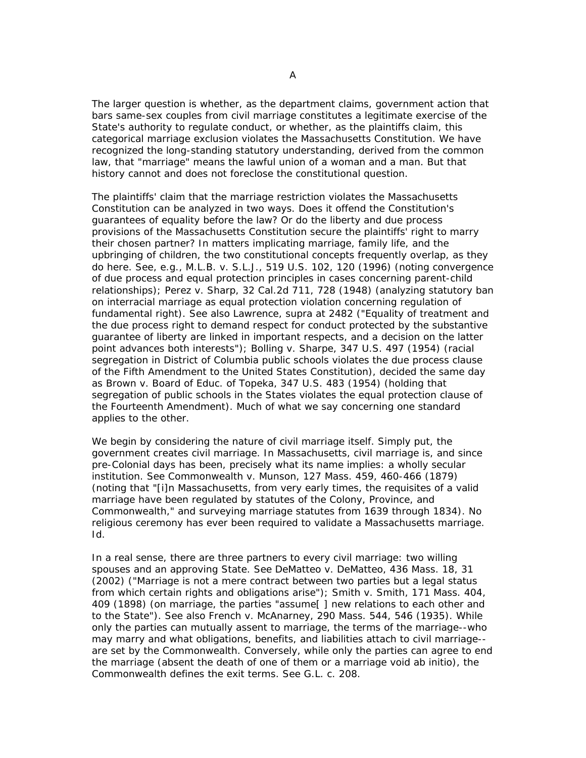The larger question is whether, as the department claims, government action that bars same-sex couples from civil marriage constitutes a legitimate exercise of the State's authority to regulate conduct, or whether, as the plaintiffs claim, this categorical marriage exclusion violates the Massachusetts Constitution. We have recognized the long-standing statutory understanding, derived from the common law, that "marriage" means the lawful union of a woman and a man. But that history cannot and does not foreclose the constitutional question.

The plaintiffs' claim that the marriage restriction violates the Massachusetts Constitution can be analyzed in two ways. Does it offend the Constitution's guarantees of equality before the law? Or do the liberty and due process provisions of the Massachusetts Constitution secure the plaintiffs' right to marry their chosen partner? In matters implicating marriage, family life, and the upbringing of children, the two constitutional concepts frequently overlap, as they do here. See, e.g., *M.L.B.* v. *S.L.J.,* 519 U.S. 102, 120 (1996) (noting convergence of due process and equal protection principles in cases concerning parent-child relationships); *Perez v. Sharp,* 32 Cal.2d 711, 728 (1948) (analyzing statutory ban on interracial marriage as equal protection violation concerning regulation of fundamental right). See also *Lawrence, supra* at 2482 ("Equality of treatment and the due process right to demand respect for conduct protected by the substantive guarantee of liberty are linked in important respects, and a decision on the latter point advances both interests"); *Bolling v. Sharpe,* 347 U.S. 497 (1954) (racial segregation in District of Columbia public schools violates the due process clause of the Fifth Amendment to the United States Constitution), decided the same day as *Brown v. Board of Educ. of Topeka,* 347 U.S. 483 (1954) (holding that segregation of public schools in the States violates the equal protection clause of the Fourteenth Amendment). Much of what we say concerning one standard applies to the other.

We begin by considering the nature of civil marriage itself. Simply put, the government creates civil marriage. In Massachusetts, civil marriage is, and since pre-Colonial days has been, precisely what its name implies: a wholly secular institution. See *Commonwealth v. Munson,* 127 Mass. 459, 460-466 (1879) (noting that "[i]n Massachusetts, from very early times, the requisites of a valid marriage have been regulated by statutes of the Colony, Province, and Commonwealth," and surveying marriage statutes from 1639 through 1834). No religious ceremony has ever been required to validate a Massachusetts marriage. *Id.*

In a real sense, there are three partners to every civil marriage: two willing spouses and an approving State. See *DeMatteo v. DeMatteo,* 436 Mass. 18, 31 (2002) ("Marriage is not a mere contract between two parties but a legal status from which certain rights and obligations arise"); *Smith v. Smith,* 171 Mass. 404, 409 (1898) (on marriage, the parties "assume[ ] new relations to each other and to the State"). See also *French v. McAnarney,* 290 Mass. 544, 546 (1935). While only the parties can mutually assent to marriage, the terms of the marriage--who may marry and what obligations, benefits, and liabilities attach to civil marriage- are set by the Commonwealth. Conversely, while only the parties can agree to end the marriage (absent the death of one of them or a marriage void ab initio), the Commonwealth defines the exit terms. See G.L. c. 208.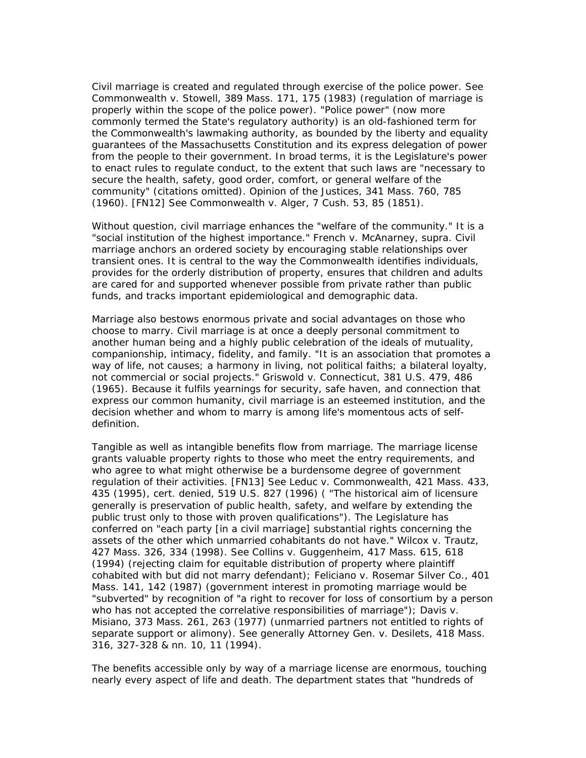Civil marriage is created and regulated through exercise of the police power. See *Commonwealth v. Stowell,* 389 Mass. 171, 175 (1983) (regulation of marriage is properly within the scope of the police power). "Police power" (now more commonly termed the State's regulatory authority) is an old-fashioned term for the Commonwealth's lawmaking authority, as bounded by the liberty and equality guarantees of the Massachusetts Constitution and its express delegation of power from the people to their government. In broad terms, it is the Legislature's power to enact rules to regulate conduct, to the extent that such laws are "necessary to secure the health, safety, good order, comfort, or general welfare of the community" (citations omitted). *Opinion of the Justices,* 341 Mass. 760, 785 (1960). [FN12] See *Commonwealth v. Alger,* 7 Cush. 53, 85 (1851).

Without question, civil marriage enhances the "welfare of the community." It is a "social institution of the highest importance." *French v. McAnarney, supra.* Civil marriage anchors an ordered society by encouraging stable relationships over transient ones. It is central to the way the Commonwealth identifies individuals, provides for the orderly distribution of property, ensures that children and adults are cared for and supported whenever possible from private rather than public funds, and tracks important epidemiological and demographic data.

Marriage also bestows enormous private and social advantages on those who choose to marry. Civil marriage is at once a deeply personal commitment to another human being and a highly public celebration of the ideals of mutuality, companionship, intimacy, fidelity, and family. "It is an association that promotes a way of life, not causes; a harmony in living, not political faiths; a bilateral loyalty, not commercial or social projects." *Griswold v. Connecticut,* 381 U.S. 479, 486 (1965). Because it fulfils yearnings for security, safe haven, and connection that express our common humanity, civil marriage is an esteemed institution, and the decision whether and whom to marry is among life's momentous acts of selfdefinition.

Tangible as well as intangible benefits flow from marriage. The marriage license grants valuable property rights to those who meet the entry requirements, and who agree to what might otherwise be a burdensome degree of government regulation of their activities. [FN13] See *Leduc v. Commonwealth,* 421 Mass. 433, 435 (1995), cert. denied, 519 U.S. 827 (1996) ( "The historical aim of licensure generally is preservation of public health, safety, and welfare by extending the public trust only to those with proven qualifications"). The Legislature has conferred on "each party [in a civil marriage] substantial rights concerning the assets of the other which unmarried cohabitants do not have." *Wilcox v. Trautz,* 427 Mass. 326, 334 (1998). See *Collins v. Guggenheim,* 417 Mass. 615, 618 (1994) (rejecting claim for equitable distribution of property where plaintiff cohabited with but did not marry defendant); *Feliciano v. Rosemar Silver Co.,* 401 Mass. 141, 142 (1987) (government interest in promoting marriage would be "subverted" by recognition of "a right to recover for loss of consortium by a person who has not accepted the correlative responsibilities of marriage"); *Davis v. Misiano,* 373 Mass. 261, 263 (1977) (unmarried partners not entitled to rights of separate support or alimony). See generally *Attorney Gen.* v. *Desilets,* 418 Mass. 316, 327-328 & nn. 10, 11 (1994).

The benefits accessible only by way of a marriage license are enormous, touching nearly every aspect of life and death. The department states that "hundreds of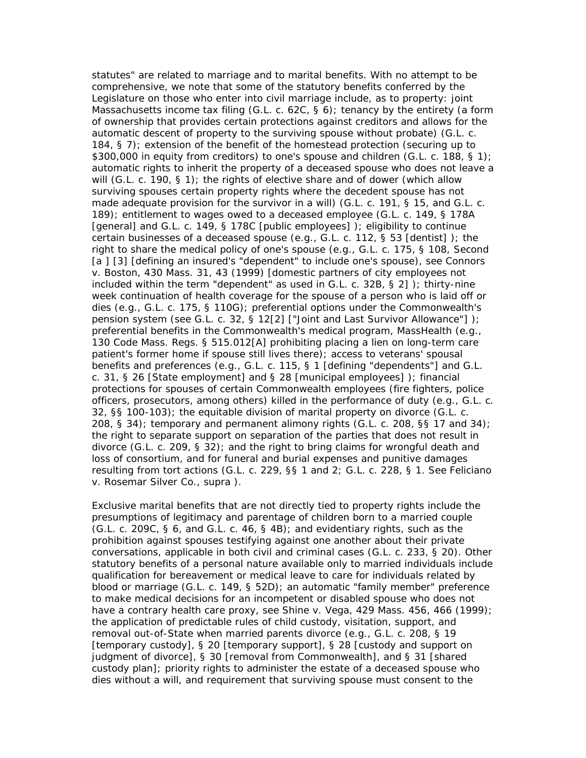statutes" are related to marriage and to marital benefits. With no attempt to be comprehensive, we note that some of the statutory benefits conferred by the Legislature on those who enter into civil marriage include, as to property: joint Massachusetts income tax filing (G.L. c. 62C, § 6); tenancy by the entirety (a form of ownership that provides certain protections against creditors and allows for the automatic descent of property to the surviving spouse without probate) (G.L. c. 184, § 7); extension of the benefit of the homestead protection (securing up to \$300,000 in equity from creditors) to one's spouse and children (G.L. c. 188, § 1); automatic rights to inherit the property of a deceased spouse who does not leave a will (G.L. c. 190, § 1); the rights of elective share and of dower (which allow surviving spouses certain property rights where the decedent spouse has not made adequate provision for the survivor in a will) (G.L. c. 191, § 15, and G.L. c. 189); entitlement to wages owed to a deceased employee (G.L. c. 149, § 178A [general] and G.L. c. 149, § 178C [public employees]); eligibility to continue certain businesses of a deceased spouse (e.g., G.L. c. 112, § 53 [dentist] ); the right to share the medical policy of one's spouse (e.g., G.L. c. 175, § 108, Second [*a* ] [3] [defining an insured's "dependent" to include one's spouse), see *Connors v. Boston,* 430 Mass. 31, 43 (1999) [domestic partners of city employees not included within the term "dependent" as used in G.L. c. 32B, § 2] ); thirty-nine week continuation of health coverage for the spouse of a person who is laid off or dies (e.g., G.L. c. 175, § 110G); preferential options under the Commonwealth's pension system (see G.L. c. 32, § 12[2] ["Joint and Last Survivor Allowance"] ); preferential benefits in the Commonwealth's medical program, MassHealth (e.g., 130 Code Mass. Regs. § 515.012[A] prohibiting placing a lien on long-term care patient's former home if spouse still lives there); access to veterans' spousal benefits and preferences (e.g., G.L. c. 115, § 1 [defining "dependents"] and G.L. c. 31, § 26 [State employment] and § 28 [municipal employees] ); financial protections for spouses of certain Commonwealth employees (fire fighters, police officers, prosecutors, among others) killed in the performance of duty (e.g., G.L. c. 32, §§ 100-103); the equitable division of marital property on divorce (G.L. c. 208, § 34); temporary and permanent alimony rights (G.L. c. 208, §§ 17 and 34); the right to separate support on separation of the parties that does not result in divorce (G.L. c. 209, § 32); and the right to bring claims for wrongful death and loss of consortium, and for funeral and burial expenses and punitive damages resulting from tort actions (G.L. c. 229, §§ 1 and 2; G.L. c. 228, § 1. See *Feliciano v. Rosemar Silver Co., supra* ).

Exclusive marital benefits that are not directly tied to property rights include the presumptions of legitimacy and parentage of children born to a married couple (G.L. c. 209C, § 6, and G.L. c. 46, § 4B); and evidentiary rights, such as the prohibition against spouses testifying against one another about their private conversations, applicable in both civil and criminal cases (G.L. c. 233, § 20). Other statutory benefits of a personal nature available only to married individuals include qualification for bereavement or medical leave to care for individuals related by blood or marriage (G.L. c. 149, § 52D); an automatic "family member" preference to make medical decisions for an incompetent or disabled spouse who does not have a contrary health care proxy, see *Shine v. Vega,* 429 Mass. 456, 466 (1999); the application of predictable rules of child custody, visitation, support, and removal out-of-State when married parents divorce (e.g., G.L. c. 208, § 19 [temporary custody], § 20 [temporary support], § 28 [custody and support on judgment of divorce], § 30 [removal from Commonwealth], and § 31 [shared custody plan]; priority rights to administer the estate of a deceased spouse who dies without a will, and requirement that surviving spouse must consent to the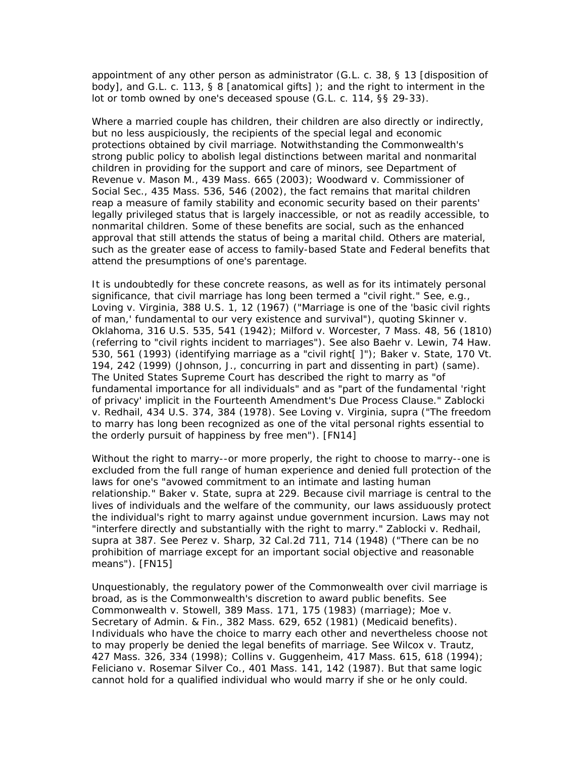appointment of any other person as administrator (G.L. c. 38, § 13 [disposition of body], and G.L. c. 113, § 8 [anatomical gifts] ); and the right to interment in the lot or tomb owned by one's deceased spouse (G.L. c. 114, §§ 29-33).

Where a married couple has children, their children are also directly or indirectly, but no less auspiciously, the recipients of the special legal and economic protections obtained by civil marriage. Notwithstanding the Commonwealth's strong public policy to abolish legal distinctions between marital and nonmarital children in providing for the support and care of minors, see *Department of Revenue v. Mason M.,* 439 Mass. 665 (2003); *Woodward v. Commissioner of Social Sec.,* 435 Mass. 536, 546 (2002), the fact remains that marital children reap a measure of family stability and economic security based on their parents' legally privileged status that is largely inaccessible, or not as readily accessible, to nonmarital children. Some of these benefits are social, such as the enhanced approval that still attends the status of being a marital child. Others are material, such as the greater ease of access to family-based State and Federal benefits that attend the presumptions of one's parentage.

It is undoubtedly for these concrete reasons, as well as for its intimately personal significance, that civil marriage has long been termed a "civil right." See, e.g., *Loving v. Virginia,* 388 U.S. 1, 12 (1967) ("Marriage is one of the 'basic civil rights of man,' fundamental to our very existence and survival"), quoting *Skinner v. Oklahoma,* 316 U.S. 535, 541 (1942); *Milford v. Worcester,* 7 Mass. 48, 56 (1810) (referring to "civil rights incident to marriages"). See also *Baehr v. Lewin,* 74 Haw. 530, 561 (1993) (identifying marriage as a "civil right[ ]"); *Baker v. State,* 170 Vt. 194, 242 (1999) (Johnson, J., concurring in part and dissenting in part) (same). The United States Supreme Court has described the right to marry as "of fundamental importance for all individuals" and as "part of the fundamental 'right of privacy' implicit in the Fourteenth Amendment's Due Process Clause." *Zablocki v. Redhail,* 434 U.S. 374, 384 (1978). See *Loving v. Virginia, supra* ("The freedom to marry has long been recognized as one of the vital personal rights essential to the orderly pursuit of happiness by free men"). [FN14]

Without the right to marry--or more properly, the right to choose to marry--one is excluded from the full range of human experience and denied full protection of the laws for one's "avowed commitment to an intimate and lasting human relationship." *Baker v. State, supra* at 229. Because civil marriage is central to the lives of individuals and the welfare of the community, our laws assiduously protect the individual's right to marry against undue government incursion. Laws may not "interfere directly and substantially with the right to marry." *Zablocki v. Redhail, supra* at 387. See *Perez v. Sharp,* 32 Cal.2d 711, 714 (1948) ("There can be no prohibition of marriage except for an important social objective and reasonable means"). [FN15]

Unquestionably, the regulatory power of the Commonwealth over civil marriage is broad, as is the Commonwealth's discretion to award public benefits. See *Commonwealth v. Stowell,* 389 Mass. 171, 175 (1983) (marriage); *Moe v. Secretary of Admin. & Fin.,* 382 Mass. 629, 652 (1981) (Medicaid benefits). Individuals who have the choice to marry each other and nevertheless choose not to may properly be denied the legal benefits of marriage. See *Wilcox v. Trautz,* 427 Mass. 326, 334 (1998); *Collins v. Guggenheim,* 417 Mass. 615, 618 (1994); *Feliciano v. Rosemar Silver Co.,* 401 Mass. 141, 142 (1987). But that same logic cannot hold for a qualified individual who would marry if she or he only could.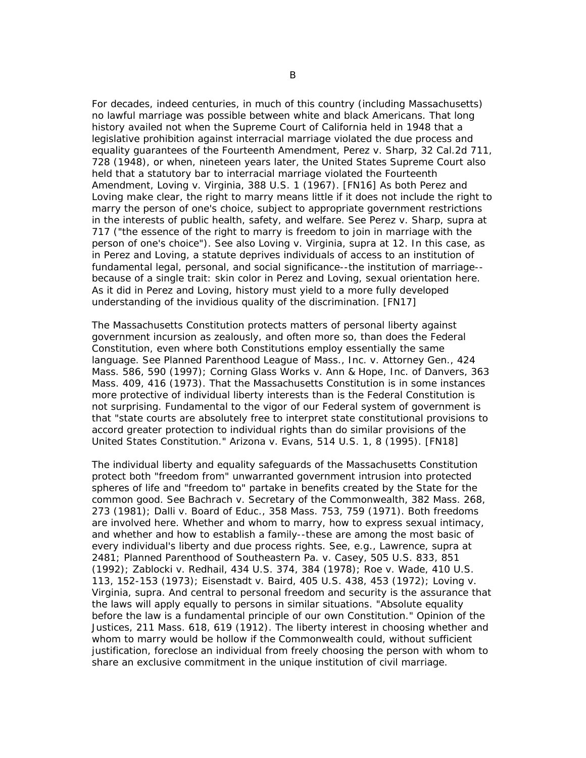For decades, indeed centuries, in much of this country (including Massachusetts) no lawful marriage was possible between white and black Americans. That long history availed not when the Supreme Court of California held in 1948 that a legislative prohibition against interracial marriage violated the due process and equality guarantees of the Fourteenth Amendment, *Perez v. Sharp,* 32 Cal.2d 711, 728 (1948), or when, nineteen years later, the United States Supreme Court also held that a statutory bar to interracial marriage violated the Fourteenth Amendment, *Loving v. Virginia,* 388 U.S. 1 (1967). [FN16] As both *Perez* and *Loving* make clear, the right to marry means little if it does not include the right to marry the person of one's choice, subject to appropriate government restrictions in the interests of public health, safety, and welfare. See *Perez v. Sharp, supra* at 717 ("the essence of the right to marry is freedom to join in marriage with the person of one's choice"). See also *Loving v. Virginia, supra* at 12. In this case, as in *Perez* and *Loving,* a statute deprives individuals of access to an institution of fundamental legal, personal, and social significance--the institution of marriage- because of a single trait: skin color in *Perez* and *Loving,* sexual orientation here. As it did in *Perez* and *Loving,* history must yield to a more fully developed understanding of the invidious quality of the discrimination. [FN17]

The Massachusetts Constitution protects matters of personal liberty against government incursion as zealously, and often more so, than does the Federal Constitution, even where both Constitutions employ essentially the same language. See *Planned Parenthood League of Mass., Inc.* v. *Attorney Gen.,* 424 Mass. 586, 590 (1997); *Corning Glass Works v. Ann & Hope, Inc. of Danvers,* 363 Mass. 409, 416 (1973). That the Massachusetts Constitution is in some instances more protective of individual liberty interests than is the Federal Constitution is not surprising. Fundamental to the vigor of our Federal system of government is that "state courts are absolutely free to interpret state constitutional provisions to accord greater protection to individual rights than do similar provisions of the United States Constitution." *Arizona v. Evans,* 514 U.S. 1, 8 (1995). [FN18]

The individual liberty and equality safeguards of the Massachusetts Constitution protect both "freedom from" unwarranted government intrusion into protected spheres of life and "freedom to" partake in benefits created by the State for the common good. See *Bachrach v. Secretary of the Commonwealth,* 382 Mass. 268, 273 (1981); *Dalli v. Board of Educ.,* 358 Mass. 753, 759 (1971). Both freedoms are involved here. Whether and whom to marry, how to express sexual intimacy, and whether and how to establish a family--these are among the most basic of every individual's liberty and due process rights. See, e.g., *Lawrence, supra* at 2481; *Planned Parenthood of Southeastern Pa. v. Casey,* 505 U.S. 833, 851 (1992); *Zablocki v. Redhail,* 434 U.S. 374, 384 (1978); *Roe v. Wade,* 410 U.S. 113, 152-153 (1973); *Eisenstadt v. Baird,* 405 U.S. 438, 453 (1972); *Loving v. Virginia, supra.* And central to personal freedom and security is the assurance that the laws will apply equally to persons in similar situations. "Absolute equality before the law is a fundamental principle of our own Constitution." *Opinion of the Justices,* 211 Mass. 618, 619 (1912). The liberty interest in choosing whether and whom to marry would be hollow if the Commonwealth could, without sufficient justification, foreclose an individual from freely choosing the person with whom to share an exclusive commitment in the unique institution of civil marriage.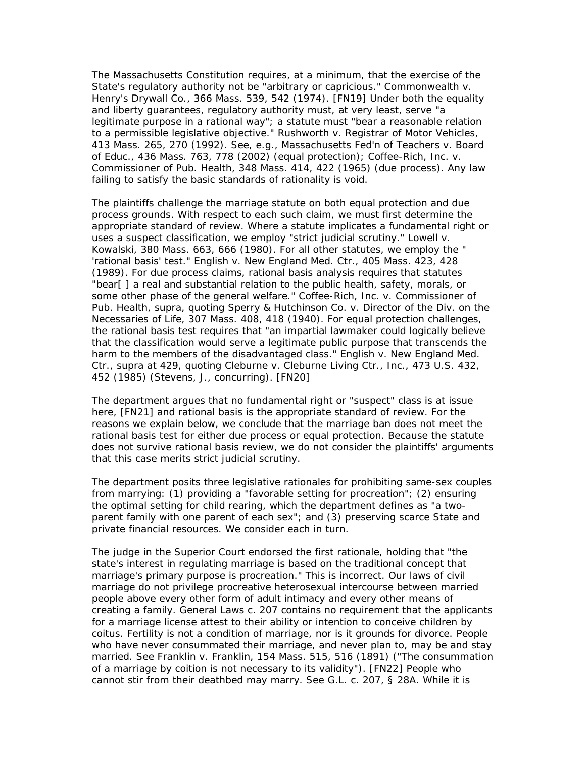The Massachusetts Constitution requires, at a minimum, that the exercise of the State's regulatory authority not be "arbitrary or capricious." *Commonwealth v. Henry's Drywall Co.,* 366 Mass. 539, 542 (1974). [FN19] Under both the equality and liberty guarantees, regulatory authority must, at very least, serve "a legitimate purpose in a rational way"; a statute must "bear a reasonable relation to a permissible legislative objective." *Rushworth v. Registrar of Motor Vehicles,* 413 Mass. 265, 270 (1992). See, e.g., *Massachusetts Fed'n of Teachers v. Board of Educ.,* 436 Mass. 763, 778 (2002) (equal protection); *Coffee-Rich, Inc.* v. *Commissioner of Pub. Health,* 348 Mass. 414, 422 (1965) (due process). Any law failing to satisfy the basic standards of rationality is void.

The plaintiffs challenge the marriage statute on both equal protection and due process grounds. With respect to each such claim, we must first determine the appropriate standard of review. Where a statute implicates a fundamental right or uses a suspect classification, we employ "strict judicial scrutiny." *Lowell v. Kowalski,* 380 Mass. 663, 666 (1980). For all other statutes, we employ the " 'rational basis' test." *English v. New England Med. Ctr.,* 405 Mass. 423, 428 (1989). For due process claims, rational basis analysis requires that statutes "bear[ ] a real and substantial relation to the public health, safety, morals, or some other phase of the general welfare." *Coffee-Rich, Inc.* v. *Commissioner of Pub. Health, supra,* quoting *Sperry & Hutchinson Co.* v. *Director of the Div. on the Necessaries of Life,* 307 Mass. 408, 418 (1940). For equal protection challenges, the rational basis test requires that "an impartial lawmaker could logically believe that the classification would serve a legitimate public purpose that transcends the harm to the members of the disadvantaged class." *English v. New England Med. Ctr., supra* at 429, quoting *Cleburne v. Cleburne Living Ctr., Inc.,* 473 U.S. 432, 452 (1985) (Stevens, J., concurring). [FN20]

The department argues that no fundamental right or "suspect" class is at issue here, [FN21] and rational basis is the appropriate standard of review. For the reasons we explain below, we conclude that the marriage ban does not meet the rational basis test for either due process or equal protection. Because the statute does not survive rational basis review, we do not consider the plaintiffs' arguments that this case merits strict judicial scrutiny.

The department posits three legislative rationales for prohibiting same-sex couples from marrying: (1) providing a "favorable setting for procreation"; (2) ensuring the optimal setting for child rearing, which the department defines as "a twoparent family with one parent of each sex"; and (3) preserving scarce State and private financial resources. We consider each in turn.

The judge in the Superior Court endorsed the first rationale, holding that "the state's interest in regulating marriage is based on the traditional concept that marriage's primary purpose is procreation." This is incorrect. Our laws of civil marriage do not privilege procreative heterosexual intercourse between married people above every other form of adult intimacy and every other means of creating a family. General Laws c. 207 contains no requirement that the applicants for a marriage license attest to their ability or intention to conceive children by coitus. Fertility is not a condition of marriage, nor is it grounds for divorce. People who have never consummated their marriage, and never plan to, may be and stay married. See *Franklin v. Franklin,* 154 Mass. 515, 516 (1891) ("The consummation of a marriage by coition is not necessary to its validity"). [FN22] People who cannot stir from their deathbed may marry. See G.L. c. 207, § 28A. While it is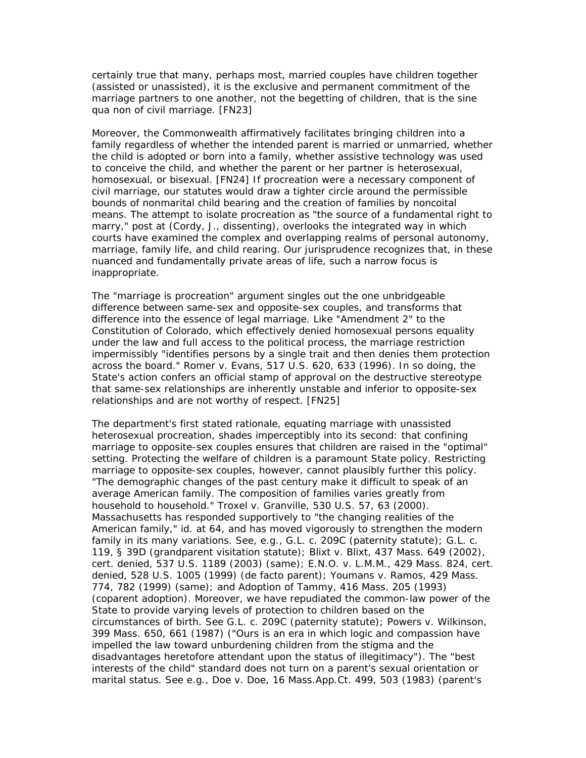certainly true that many, perhaps most, married couples have children together (assisted or unassisted), it is the exclusive and permanent commitment of the marriage partners to one another, not the begetting of children, that is the sine qua non of civil marriage. [FN23]

Moreover, the Commonwealth affirmatively facilitates bringing children into a family regardless of whether the intended parent is married or unmarried, whether the child is adopted or born into a family, whether assistive technology was used to conceive the child, and whether the parent or her partner is heterosexual, homosexual, or bisexual. [FN24] If procreation were a necessary component of civil marriage, our statutes would draw a tighter circle around the permissible bounds of nonmarital child bearing and the creation of families by noncoital means. The attempt to isolate procreation as "the source of a fundamental right to marry," *post* at (Cordy, J., dissenting), overlooks the integrated way in which courts have examined the complex and overlapping realms of personal autonomy, marriage, family life, and child rearing. Our jurisprudence recognizes that, in these nuanced and fundamentally private areas of life, such a narrow focus is inappropriate.

The "marriage is procreation" argument singles out the one unbridgeable difference between same-sex and opposite-sex couples, and transforms that difference into the essence of legal marriage. Like "Amendment 2" to the Constitution of Colorado, which effectively denied homosexual persons equality under the law and full access to the political process, the marriage restriction impermissibly "identifies persons by a single trait and then denies them protection across the board." *Romer v. Evans,* 517 U.S. 620, 633 (1996). In so doing, the State's action confers an official stamp of approval on the destructive stereotype that same-sex relationships are inherently unstable and inferior to opposite-sex relationships and are not worthy of respect. [FN25]

The department's first stated rationale, equating marriage with unassisted heterosexual procreation, shades imperceptibly into its second: that confining marriage to opposite-sex couples ensures that children are raised in the "optimal" setting. Protecting the welfare of children is a paramount State policy. Restricting marriage to opposite-sex couples, however, cannot plausibly further this policy. "The demographic changes of the past century make it difficult to speak of an average American family. The composition of families varies greatly from household to household." *Troxel v. Granville,* 530 U.S. 57, 63 (2000). Massachusetts has responded supportively to "the changing realities of the American family," *id.* at 64, and has moved vigorously to strengthen the modern family in its many variations. See, e.g., G.L. c. 209C (paternity statute); G.L. c. 119, § 39D (grandparent visitation statute); *Blixt v. Blixt,* 437 Mass. 649 (2002), cert. denied, 537 U.S. 1189 (2003) (same); *E.N.O.* v. *L.M.M.,* 429 Mass. 824, cert. denied, 528 U.S. 1005 (1999) (de facto parent); *Youmans v. Ramos,* 429 Mass. 774, 782 (1999) (same); and *Adoption of Tammy,* 416 Mass. 205 (1993) (coparent adoption). Moreover, we have repudiated the common-law power of the State to provide varying levels of protection to children based on the circumstances of birth. See G.L. c. 209C (paternity statute); *Powers v. Wilkinson,* 399 Mass. 650, 661 (1987) ("Ours is an era in which logic and compassion have impelled the law toward unburdening children from the stigma and the disadvantages heretofore attendant upon the status of illegitimacy"). The "best interests of the child" standard does not turn on a parent's sexual orientation or marital status. See e.g., *Doe v. Doe,* 16 Mass.App.Ct. 499, 503 (1983) (parent's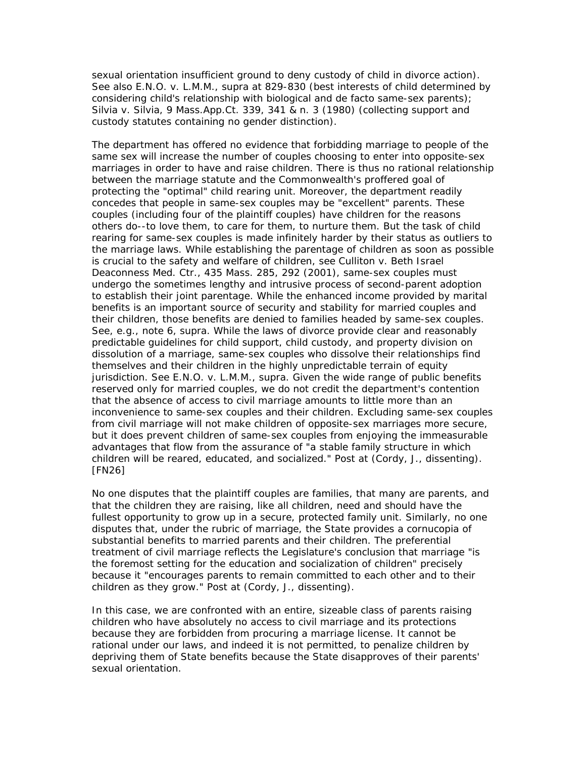sexual orientation insufficient ground to deny custody of child in divorce action). See also *E.N.O.* v. *L.M.M., supra* at 829-830 (best interests of child determined by considering child's relationship with biological and de facto same-sex parents); *Silvia v. Silvia,* 9 Mass.App.Ct. 339, 341 & n. 3 (1980) (collecting support and custody statutes containing no gender distinction).

The department has offered no evidence that forbidding marriage to people of the same sex will increase the number of couples choosing to enter into opposite-sex marriages in order to have and raise children. There is thus no rational relationship between the marriage statute and the Commonwealth's proffered goal of protecting the "optimal" child rearing unit. Moreover, the department readily concedes that people in same-sex couples may be "excellent" parents. These couples (including four of the plaintiff couples) have children for the reasons others do--to love them, to care for them, to nurture them. But the task of child rearing for same-sex couples is made infinitely harder by their status as outliers to the marriage laws. While establishing the parentage of children as soon as possible is crucial to the safety and welfare of children, see *Culliton v. Beth Israel Deaconness Med. Ctr.,* 435 Mass. 285, 292 (2001), same-sex couples must undergo the sometimes lengthy and intrusive process of second-parent adoption to establish their joint parentage. While the enhanced income provided by marital benefits is an important source of security and stability for married couples and their children, those benefits are denied to families headed by same-sex couples. See, e.g., note 6, *supra.* While the laws of divorce provide clear and reasonably predictable guidelines for child support, child custody, and property division on dissolution of a marriage, same-sex couples who dissolve their relationships find themselves and their children in the highly unpredictable terrain of equity jurisdiction. See *E.N.O. v. L.M.M., supra.* Given the wide range of public benefits reserved only for married couples, we do not credit the department's contention that the absence of access to civil marriage amounts to little more than an inconvenience to same-sex couples and their children. Excluding same-sex couples from civil marriage will not make children of opposite-sex marriages more secure, but it does prevent children of same-sex couples from enjoying the immeasurable advantages that flow from the assurance of "a stable family structure in which children will be reared, educated, and socialized." *Post* at (Cordy, J., dissenting). [FN26]

No one disputes that the plaintiff couples are families, that many are parents, and that the children they are raising, like all children, need and should have the fullest opportunity to grow up in a secure, protected family unit. Similarly, no one disputes that, under the rubric of marriage, the State provides a cornucopia of substantial benefits to married parents and their children. The preferential treatment of civil marriage reflects the Legislature's conclusion that marriage "is the foremost setting for the education and socialization of children" precisely because it "encourages parents to remain committed to each other and to their children as they grow." *Post* at (Cordy, J., dissenting).

In this case, we are confronted with an entire, sizeable class of parents raising children who have absolutely no access to civil marriage and its protections because they are forbidden from procuring a marriage license. It cannot be rational under our laws, and indeed it is not permitted, to penalize children by depriving them of State benefits because the State disapproves of their parents' sexual orientation.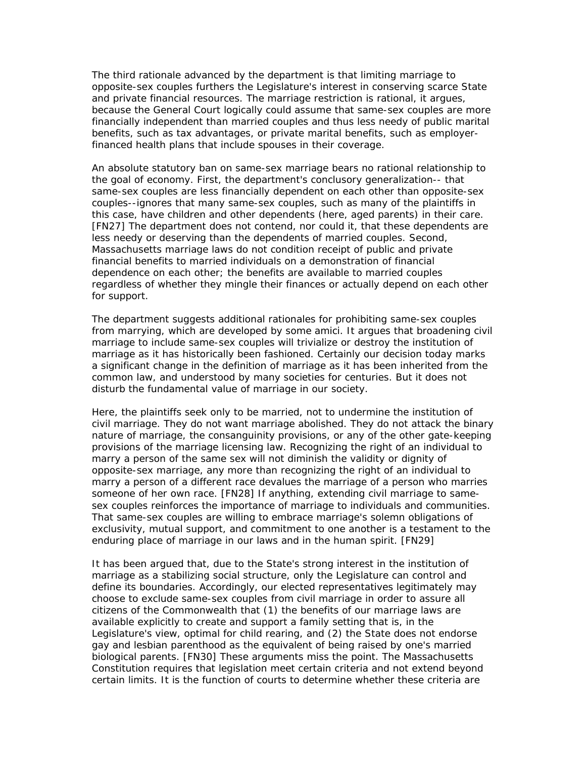The third rationale advanced by the department is that limiting marriage to opposite-sex couples furthers the Legislature's interest in conserving scarce State and private financial resources. The marriage restriction is rational, it argues, because the General Court logically could assume that same-sex couples are more financially independent than married couples and thus less needy of public marital benefits, such as tax advantages, or private marital benefits, such as employerfinanced health plans that include spouses in their coverage.

An absolute statutory ban on same-sex marriage bears no rational relationship to the goal of economy. First, the department's conclusory generalization-- that same-sex couples are less financially dependent on each other than opposite-sex couples--ignores that many same-sex couples, such as many of the plaintiffs in this case, have children and other dependents (here, aged parents) in their care. [FN27] The department does not contend, nor could it, that these dependents are less needy or deserving than the dependents of married couples. Second, Massachusetts marriage laws do not condition receipt of public and private financial benefits to married individuals on a demonstration of financial dependence on each other; the benefits are available to married couples regardless of whether they mingle their finances or actually depend on each other for support.

The department suggests additional rationales for prohibiting same-sex couples from marrying, which are developed by some amici. It argues that broadening civil marriage to include same-sex couples will trivialize or destroy the institution of marriage as it has historically been fashioned. Certainly our decision today marks a significant change in the definition of marriage as it has been inherited from the common law, and understood by many societies for centuries. But it does not disturb the fundamental value of marriage in our society.

Here, the plaintiffs seek only to be married, not to undermine the institution of civil marriage. They do not want marriage abolished. They do not attack the binary nature of marriage, the consanguinity provisions, or any of the other gate-keeping provisions of the marriage licensing law. Recognizing the right of an individual to marry a person of the same sex will not diminish the validity or dignity of opposite-sex marriage, any more than recognizing the right of an individual to marry a person of a different race devalues the marriage of a person who marries someone of her own race. [FN28] If anything, extending civil marriage to samesex couples reinforces the importance of marriage to individuals and communities. That same-sex couples are willing to embrace marriage's solemn obligations of exclusivity, mutual support, and commitment to one another is a testament to the enduring place of marriage in our laws and in the human spirit. [FN29]

It has been argued that, due to the State's strong interest in the institution of marriage as a stabilizing social structure, only the Legislature can control and define its boundaries. Accordingly, our elected representatives legitimately may choose to exclude same-sex couples from civil marriage in order to assure all citizens of the Commonwealth that (1) the benefits of our marriage laws are available explicitly to create and support a family setting that is, in the Legislature's view, optimal for child rearing, and (2) the State does not endorse gay and lesbian parenthood as the equivalent of being raised by one's married biological parents. [FN30] These arguments miss the point. The Massachusetts Constitution requires that legislation meet certain criteria and not extend beyond certain limits. It is the function of courts to determine whether these criteria are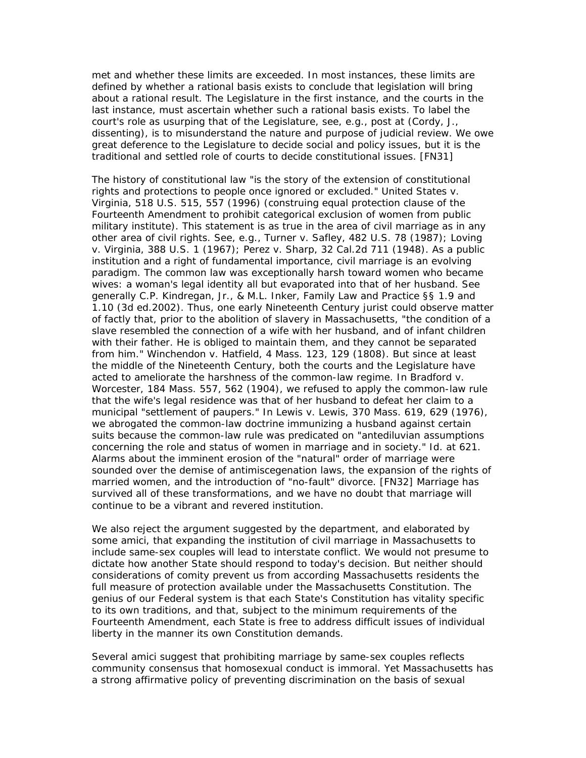met and whether these limits are exceeded. In most instances, these limits are defined by whether a rational basis exists to conclude that legislation will bring about a rational result. The Legislature in the first instance, and the courts in the last instance, must ascertain whether such a rational basis exists. To label the court's role as usurping that of the Legislature, see, e.g., *post* at (Cordy, J., dissenting), is to misunderstand the nature and purpose of judicial review. We owe great deference to the Legislature to decide social and policy issues, but it is the traditional and settled role of courts to decide constitutional issues. [FN31]

The history of constitutional law "is the story of the extension of constitutional rights and protections to people once ignored or excluded." *United States v. Virginia,* 518 U.S. 515, 557 (1996) (construing equal protection clause of the Fourteenth Amendment to prohibit categorical exclusion of women from public military institute). This statement is as true in the area of civil marriage as in any other area of civil rights. See, e.g., *Turner v. Safley,* 482 U.S. 78 (1987); *Loving v. Virginia,* 388 U.S. 1 (1967); *Perez v. Sharp,* 32 Cal.2d 711 (1948). As a public institution and a right of fundamental importance, civil marriage is an evolving paradigm. The common law was exceptionally harsh toward women who became wives: a woman's legal identity all but evaporated into that of her husband. See generally C.P. Kindregan, Jr., & M.L. Inker, Family Law and Practice §§ 1.9 and 1.10 (3d ed.2002). Thus, one early Nineteenth Century jurist could observe matter of factly that, prior to the abolition of slavery in Massachusetts, "the condition of a slave resembled the connection of a wife with her husband, and of infant children with their father. He is obliged to maintain them, and they cannot be separated from him." *Winchendon v. Hatfield,* 4 Mass. 123, 129 (1808). But since at least the middle of the Nineteenth Century, both the courts and the Legislature have acted to ameliorate the harshness of the common-law regime. In *Bradford v. Worcester,* 184 Mass. 557, 562 (1904), we refused to apply the common-law rule that the wife's legal residence was that of her husband to defeat her claim to a municipal "settlement of paupers." In *Lewis v. Lewis,* 370 Mass. 619, 629 (1976), we abrogated the common-law doctrine immunizing a husband against certain suits because the common-law rule was predicated on "antediluvian assumptions concerning the role and status of women in marriage and in society." *Id.* at 621. Alarms about the imminent erosion of the "natural" order of marriage were sounded over the demise of antimiscegenation laws, the expansion of the rights of married women, and the introduction of "no-fault" divorce. [FN32] Marriage has survived all of these transformations, and we have no doubt that marriage will continue to be a vibrant and revered institution.

We also reject the argument suggested by the department, and elaborated by some amici, that expanding the institution of civil marriage in Massachusetts to include same-sex couples will lead to interstate conflict. We would not presume to dictate how another State should respond to today's decision. But neither should considerations of comity prevent us from according Massachusetts residents the full measure of protection available under the Massachusetts Constitution. The genius of our Federal system is that each State's Constitution has vitality specific to its own traditions, and that, subject to the minimum requirements of the Fourteenth Amendment, each State is free to address difficult issues of individual liberty in the manner its own Constitution demands.

Several amici suggest that prohibiting marriage by same-sex couples reflects community consensus that homosexual conduct is immoral. Yet Massachusetts has a strong affirmative policy of preventing discrimination on the basis of sexual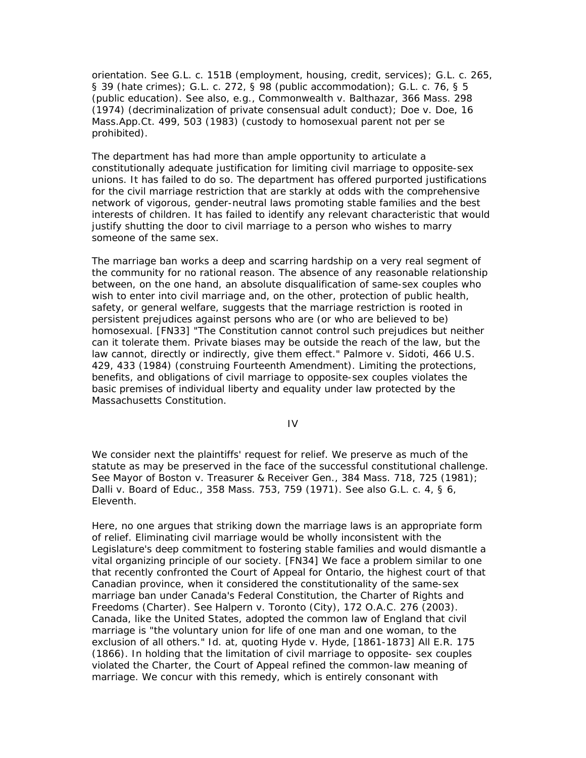orientation. See G.L. c. 151B (employment, housing, credit, services); G.L. c. 265, § 39 (hate crimes); G.L. c. 272, § 98 (public accommodation); G.L. c. 76, § 5 (public education). See also, e.g., *Commonwealth v. Balthazar,* 366 Mass. 298 (1974) (decriminalization of private consensual adult conduct); *Doe v. Doe,* 16 Mass.App.Ct. 499, 503 (1983) (custody to homosexual parent not per se prohibited).

The department has had more than ample opportunity to articulate a constitutionally adequate justification for limiting civil marriage to opposite-sex unions. It has failed to do so. The department has offered purported justifications for the civil marriage restriction that are starkly at odds with the comprehensive network of vigorous, gender-neutral laws promoting stable families and the best interests of children. It has failed to identify any relevant characteristic that would justify shutting the door to civil marriage to a person who wishes to marry someone of the same sex.

The marriage ban works a deep and scarring hardship on a very real segment of the community for no rational reason. The absence of any reasonable relationship between, on the one hand, an absolute disqualification of same-sex couples who wish to enter into civil marriage and, on the other, protection of public health, safety, or general welfare, suggests that the marriage restriction is rooted in persistent prejudices against persons who are (or who are believed to be) homosexual. [FN33] "The Constitution cannot control such prejudices but neither can it tolerate them. Private biases may be outside the reach of the law, but the law cannot, directly or indirectly, give them effect." *Palmore v. Sidoti,* 466 U.S. 429, 433 (1984) (construing Fourteenth Amendment). Limiting the protections, benefits, and obligations of civil marriage to opposite-sex couples violates the basic premises of individual liberty and equality under law protected by the Massachusetts Constitution.

IV

We consider next the plaintiffs' request for relief. We preserve as much of the statute as may be preserved in the face of the successful constitutional challenge. See *Mayor of Boston v. Treasurer & Receiver Gen.,* 384 Mass. 718, 725 (1981); *Dalli v. Board of Educ.,* 358 Mass. 753, 759 (1971). See also G.L. c. 4, § 6, Eleventh.

Here, no one argues that striking down the marriage laws is an appropriate form of relief. Eliminating civil marriage would be wholly inconsistent with the Legislature's deep commitment to fostering stable families and would dismantle a vital organizing principle of our society. [FN34] We face a problem similar to one that recently confronted the Court of Appeal for Ontario, the highest court of that Canadian province, when it considered the constitutionality of the same-sex marriage ban under Canada's Federal Constitution, the Charter of Rights and Freedoms (Charter). See *Halpern v. Toronto (City),* 172 O.A.C. 276 (2003). Canada, like the United States, adopted the common law of England that civil marriage is "the voluntary union for life of one man and one woman, to the exclusion of all others." *Id.* at, quoting *Hyde v. Hyde,* [1861-1873] All E.R. 175 (1866). In holding that the limitation of civil marriage to opposite- sex couples violated the Charter, the Court of Appeal refined the common-law meaning of marriage. We concur with this remedy, which is entirely consonant with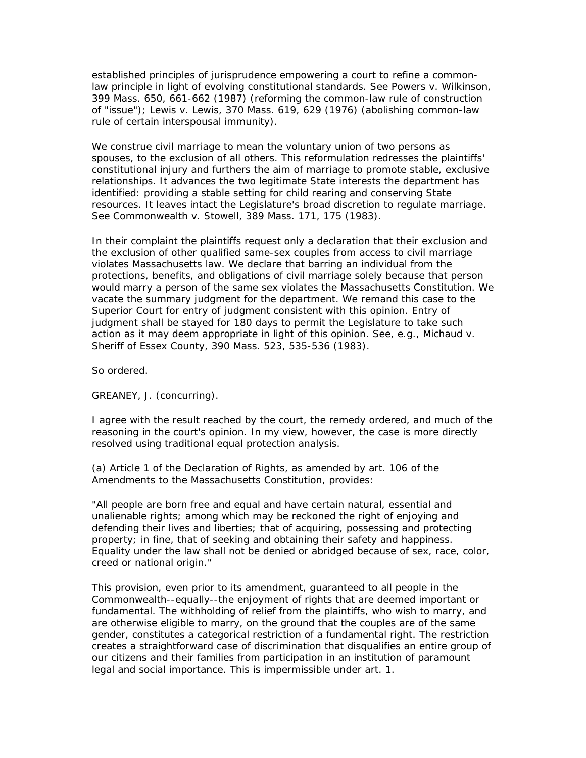established principles of jurisprudence empowering a court to refine a commonlaw principle in light of evolving constitutional standards. See *Powers v. Wilkinson,* 399 Mass. 650, 661-662 (1987) (reforming the common-law rule of construction of "issue"); *Lewis v. Lewis,* 370 Mass. 619, 629 (1976) (abolishing common-law rule of certain interspousal immunity).

We construe civil marriage to mean the voluntary union of two persons as spouses, to the exclusion of all others. This reformulation redresses the plaintiffs' constitutional injury and furthers the aim of marriage to promote stable, exclusive relationships. It advances the two legitimate State interests the department has identified: providing a stable setting for child rearing and conserving State resources. It leaves intact the Legislature's broad discretion to regulate marriage. See *Commonwealth v. Stowell,* 389 Mass. 171, 175 (1983).

In their complaint the plaintiffs request only a declaration that their exclusion and the exclusion of other qualified same-sex couples from access to civil marriage violates Massachusetts law. We declare that barring an individual from the protections, benefits, and obligations of civil marriage solely because that person would marry a person of the same sex violates the Massachusetts Constitution. We vacate the summary judgment for the department. We remand this case to the Superior Court for entry of judgment consistent with this opinion. Entry of judgment shall be stayed for 180 days to permit the Legislature to take such action as it may deem appropriate in light of this opinion. See, e.g., *Michaud v. Sheriff of Essex County,* 390 Mass. 523, 535-536 (1983).

*So ordered.*

GREANEY, J. (concurring).

I agree with the result reached by the court, the remedy ordered, and much of the reasoning in the court's opinion. In my view, however, the case is more directly resolved using traditional equal protection analysis.

(a) Article 1 of the Declaration of Rights, as amended by art. 106 of the Amendments to the Massachusetts Constitution, provides:

"All people are born free and equal and have certain natural, essential and unalienable rights; among which may be reckoned the right of enjoying and defending their lives and liberties; that of acquiring, possessing and protecting property; in fine, that of seeking and obtaining their safety and happiness. Equality under the law shall not be denied or abridged because of sex, race, color, creed or national origin."

This provision, even prior to its amendment, guaranteed to all people in the Commonwealth--equally--the enjoyment of rights that are deemed important or fundamental. The withholding of relief from the plaintiffs, who wish to marry, and are otherwise eligible to marry, on the ground that the couples are of the same gender, constitutes a categorical restriction of a fundamental right. The restriction creates a straightforward case of discrimination that disqualifies an entire group of our citizens and their families from participation in an institution of paramount legal and social importance. This is impermissible under art. 1.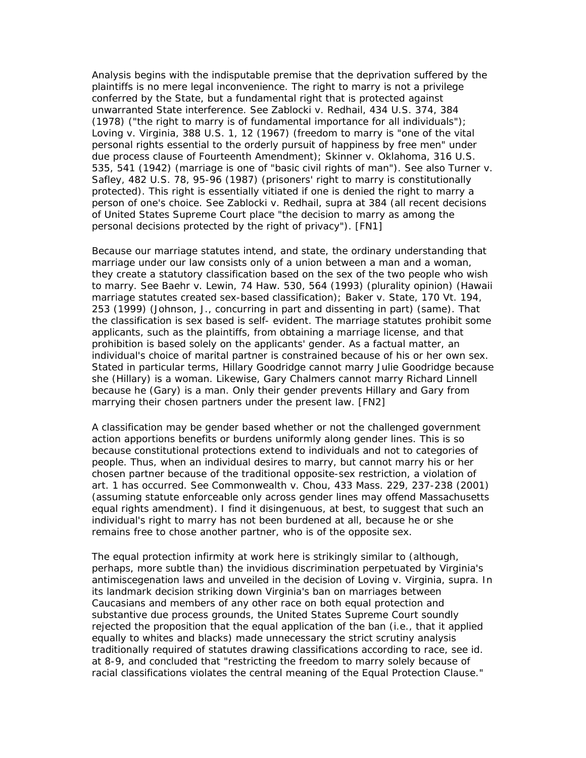Analysis begins with the indisputable premise that the deprivation suffered by the plaintiffs is no mere legal inconvenience. The right to marry is not a privilege conferred by the State, but a fundamental right that is protected against unwarranted State interference. See *Zablocki v. Redhail,* 434 U.S. 374, 384 (1978) ("the right to marry is of fundamental importance for all individuals"); *Loving v. Virginia,* 388 U.S. 1, 12 (1967) (freedom to marry is "one of the vital personal rights essential to the orderly pursuit of happiness by free men" under due process clause of Fourteenth Amendment); *Skinner v. Oklahoma,* 316 U.S. 535, 541 (1942) (marriage is one of "basic civil rights of man"). See also *Turner v. Safley,* 482 U.S. 78, 95-96 (1987) (prisoners' right to marry is constitutionally protected). This right is essentially vitiated if one is denied the right to marry a person of one's choice. See *Zablocki v. Redhail, supra* at 384 (all recent decisions of United States Supreme Court place "the decision to marry as among the personal decisions protected by the right of privacy"). [FN1]

Because our marriage statutes intend, and state, the ordinary understanding that marriage under our law consists only of a union between a man and a woman, they create a statutory classification based on the sex of the two people who wish to marry. See *Baehr v. Lewin,* 74 Haw. 530, 564 (1993) (plurality opinion) (Hawaii marriage statutes created sex-based classification); *Baker v. State,* 170 Vt. 194, 253 (1999) (Johnson, J., concurring in part and dissenting in part) (same). That the classification is sex based is self- evident. The marriage statutes prohibit some applicants, such as the plaintiffs, from obtaining a marriage license, and that prohibition is based solely on the applicants' gender. As a factual matter, an individual's choice of marital partner is constrained because of his or her own sex. Stated in particular terms, Hillary Goodridge cannot marry Julie Goodridge because she (Hillary) is a woman. Likewise, Gary Chalmers cannot marry Richard Linnell because he (Gary) is a man. Only their gender prevents Hillary and Gary from marrying their chosen partners under the present law. [FN2]

A classification may be gender based whether or not the challenged government action apportions benefits or burdens uniformly along gender lines. This is so because constitutional protections extend to individuals and not to categories of people. Thus, when an individual desires to marry, but cannot marry his or her chosen partner because of the traditional opposite-sex restriction, a violation of art. 1 has occurred. See *Commonwealth v. Chou,* 433 Mass. 229, 237-238 (2001) (assuming statute enforceable only across gender lines may offend Massachusetts equal rights amendment). I find it disingenuous, at best, to suggest that such an individual's right to marry has not been burdened at all, because he or she remains free to chose another partner, who is of the opposite sex.

The equal protection infirmity at work here is strikingly similar to (although, perhaps, more subtle than) the invidious discrimination perpetuated by Virginia's antimiscegenation laws and unveiled in the decision of *Loving v. Virginia, supra.* In its landmark decision striking down Virginia's ban on marriages between Caucasians and members of any other race on both equal protection and substantive due process grounds, the United States Supreme Court soundly rejected the proposition that the equal application of the ban (i.e., that it applied equally to whites and blacks) made unnecessary the strict scrutiny analysis traditionally required of statutes drawing classifications according to race, see *id.* at 8-9, and concluded that "restricting the freedom to marry solely because of racial classifications violates the central meaning of the Equal Protection Clause."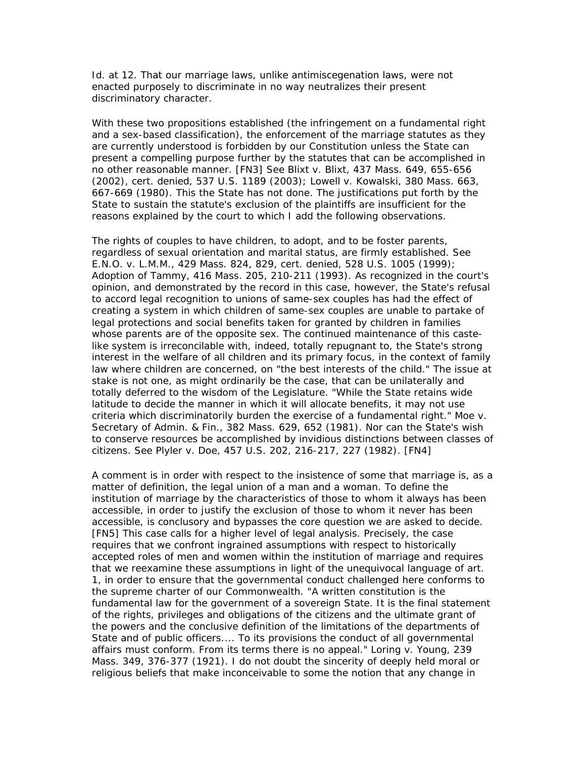*Id.* at 12. That our marriage laws, unlike antimiscegenation laws, were not enacted purposely to discriminate in no way neutralizes their present discriminatory character.

With these two propositions established (the infringement on a fundamental right and a sex-based classification), the enforcement of the marriage statutes as they are currently understood is forbidden by our Constitution unless the State can present a compelling purpose further by the statutes that can be accomplished in no other reasonable manner. [FN3] See *Blixt v. Blixt,* 437 Mass. 649, 655-656 (2002), cert. denied, 537 U.S. 1189 (2003); *Lowell v. Kowalski,* 380 Mass. 663, 667-669 (1980). This the State has not done. The justifications put forth by the State to sustain the statute's exclusion of the plaintiffs are insufficient for the reasons explained by the court to which I add the following observations.

The rights of couples to have children, to adopt, and to be foster parents, regardless of sexual orientation and marital status, are firmly established. See *E.N.O.* v. *L.M.M.,* 429 Mass. 824, 829, cert. denied, 528 U.S. 1005 (1999); *Adoption of Tammy,* 416 Mass. 205, 210-211 (1993). As recognized in the court's opinion, and demonstrated by the record in this case, however, the State's refusal to accord legal recognition to unions of same-sex couples has had the effect of creating a system in which children of same-sex couples are unable to partake of legal protections and social benefits taken for granted by children in families whose parents are of the opposite sex. The continued maintenance of this castelike system is irreconcilable with, indeed, totally repugnant to, the State's strong interest in the welfare of all children and its primary focus, in the context of family law where children are concerned, on "the best interests of the child." The issue at stake is not one, as might ordinarily be the case, that can be unilaterally and totally deferred to the wisdom of the Legislature. "While the State retains wide latitude to decide the manner in which it will allocate benefits, it may not use criteria which discriminatorily burden the exercise of a fundamental right." *Moe v. Secretary of Admin. & Fin.,* 382 Mass. 629, 652 (1981). Nor can the State's wish to conserve resources be accomplished by invidious distinctions between classes of citizens. See *Plyler v. Doe,* 457 U.S. 202, 216-217, 227 (1982). [FN4]

A comment is in order with respect to the insistence of some that marriage is, as a matter of definition, the legal union of a man and a woman. To define the institution of marriage by the characteristics of those to whom it always has been accessible, in order to justify the exclusion of those to whom it never has been accessible, is conclusory and bypasses the core question we are asked to decide. [FN5] This case calls for a higher level of legal analysis. Precisely, the case requires that we confront ingrained assumptions with respect to historically accepted roles of men and women within the institution of marriage and requires that we reexamine these assumptions in light of the unequivocal language of art. 1, in order to ensure that the governmental conduct challenged here conforms to the supreme charter of our Commonwealth. "A written constitution is the fundamental law for the government of a sovereign State. It is the final statement of the rights, privileges and obligations of the citizens and the ultimate grant of the powers and the conclusive definition of the limitations of the departments of State and of public officers.... To its provisions the conduct of all governmental affairs must conform. From its terms there is no appeal." *Loring v. Young,* 239 Mass. 349, 376-377 (1921). I do not doubt the sincerity of deeply held moral or religious beliefs that make inconceivable to some the notion that any change in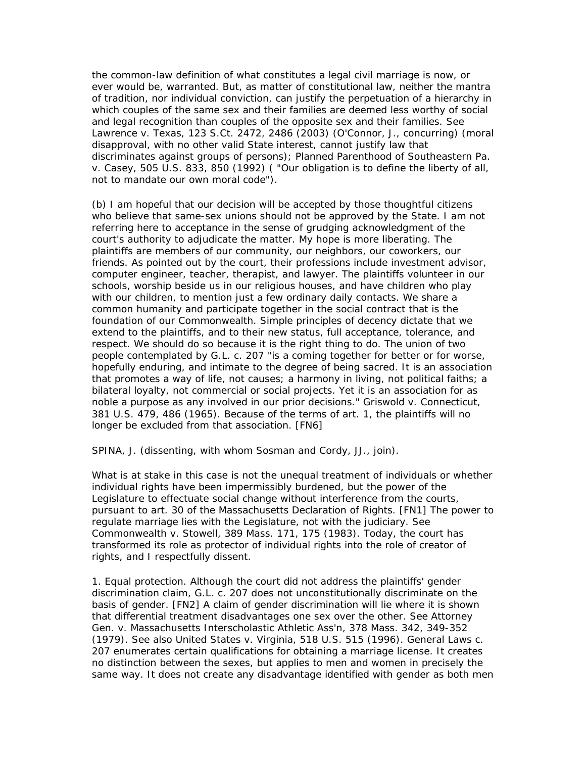the common-law definition of what constitutes a legal civil marriage is now, or ever would be, warranted. But, as matter of constitutional law, neither the mantra of tradition, nor individual conviction, can justify the perpetuation of a hierarchy in which couples of the same sex and their families are deemed less worthy of social and legal recognition than couples of the opposite sex and their families. See *Lawrence v. Texas,* 123 S.Ct. 2472, 2486 (2003) (O'Connor, J., concurring) (moral disapproval, with no other valid State interest, cannot justify law that discriminates against groups of persons); *Planned Parenthood of Southeastern Pa.* v. *Casey,* 505 U.S. 833, 850 (1992) ( "Our obligation is to define the liberty of all, not to mandate our own moral code").

(b) I am hopeful that our decision will be accepted by those thoughtful citizens who believe that same-sex unions should not be approved by the State. I am not referring here to acceptance in the sense of grudging acknowledgment of the court's authority to adjudicate the matter. My hope is more liberating. The plaintiffs are members of our community, our neighbors, our coworkers, our friends. As pointed out by the court, their professions include investment advisor, computer engineer, teacher, therapist, and lawyer. The plaintiffs volunteer in our schools, worship beside us in our religious houses, and have children who play with our children, to mention just a few ordinary daily contacts. We share a common humanity and participate together in the social contract that is the foundation of our Commonwealth. Simple principles of decency dictate that we extend to the plaintiffs, and to their new status, full acceptance, tolerance, and respect. We should do so because it is the right thing to do. The union of two people contemplated by G.L. c. 207 "is a coming together for better or for worse, hopefully enduring, and intimate to the degree of being sacred. It is an association that promotes a way of life, not causes; a harmony in living, not political faiths; a bilateral loyalty, not commercial or social projects. Yet it is an association for as noble a purpose as any involved in our prior decisions." *Griswold v. Connecticut,* 381 U.S. 479, 486 (1965). Because of the terms of art. 1, the plaintiffs will no longer be excluded from that association. [FN6]

SPINA, J. (dissenting, with whom Sosman and Cordy, JJ., join).

What is at stake in this case is not the unequal treatment of individuals or whether individual rights have been impermissibly burdened, but the power of the Legislature to effectuate social change without interference from the courts, pursuant to art. 30 of the Massachusetts Declaration of Rights. [FN1] The power to regulate marriage lies with the Legislature, not with the judiciary. See *Commonwealth v. Stowell,* 389 Mass. 171, 175 (1983). Today, the court has transformed its role as protector of individual rights into the role of creator of rights, and I respectfully dissent.

1. *Equal protection.* Although the court did not address the plaintiffs' gender discrimination claim, G.L. c. 207 does not unconstitutionally discriminate on the basis of gender. [FN2] A claim of gender discrimination will lie where it is shown that differential treatment disadvantages one sex over the other. See *Attorney Gen.* v. *Massachusetts Interscholastic Athletic Ass'n,* 378 Mass. 342, 349-352 (1979). See also *United States v. Virginia,* 518 U.S. 515 (1996). General Laws c. 207 enumerates certain qualifications for obtaining a marriage license. It creates no distinction between the sexes, but applies to men and women in precisely the same way. It does not create any disadvantage identified with gender as both men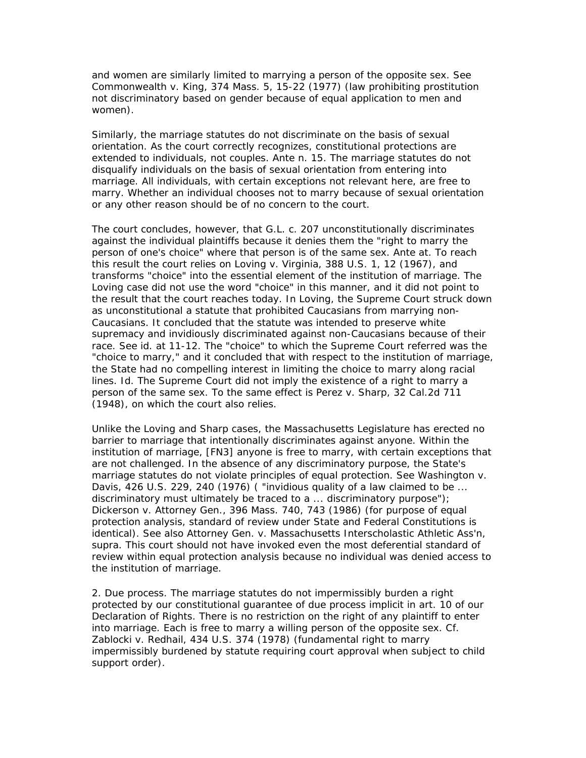and women are similarly limited to marrying a person of the opposite sex. See *Commonwealth v. King,* 374 Mass. 5, 15-22 (1977) (law prohibiting prostitution not discriminatory based on gender because of equal application to men and women).

Similarly, the marriage statutes do not discriminate on the basis of sexual orientation. As the court correctly recognizes, constitutional protections are extended to individuals, not couples. *Ante* n. 15. The marriage statutes do not disqualify individuals on the basis of sexual orientation from entering into marriage. All individuals, with certain exceptions not relevant here, are free to marry. Whether an individual chooses not to marry because of sexual orientation or any other reason should be of no concern to the court.

The court concludes, however, that G.L. c. 207 unconstitutionally discriminates against the individual plaintiffs because it denies them the "right to marry the person of one's choice" where that person is of the same sex. *Ante* at. To reach this result the court relies on *Loving v. Virginia,* 388 U.S. 1, 12 (1967), and transforms "choice" into the essential element of the institution of marriage. The *Loving* case did not use the word "choice" in this manner, and it did not point to the result that the court reaches today. In *Loving,* the Supreme Court struck down as unconstitutional a statute that prohibited Caucasians from marrying non-Caucasians. It concluded that the statute was intended to preserve white supremacy and invidiously discriminated against non-Caucasians because of their race. See *id.* at 11-12. The "choice" to which the Supreme Court referred was the "choice to marry," and it concluded that with respect to the institution of marriage, the State had no compelling interest in limiting the choice to marry along racial lines. *Id.* The Supreme Court did not imply the existence of a right to marry a person of the same sex. To the same effect is *Perez v. Sharp,* 32 Cal.2d 711 (1948), on which the court also relies.

Unlike the *Loving* and *Sharp* cases, the Massachusetts Legislature has erected no barrier to marriage that intentionally discriminates against anyone. Within the institution of marriage, [FN3] anyone is free to marry, with certain exceptions that are not challenged. In the absence of any discriminatory purpose, the State's marriage statutes do not violate principles of equal protection. See *Washington v. Davis,* 426 U.S. 229, 240 (1976) ( "invidious quality of a law claimed to be ... discriminatory must ultimately be traced to a ... discriminatory purpose"); *Dickerson v. Attorney Gen.,* 396 Mass. 740, 743 (1986) (for purpose of equal protection analysis, standard of review under State and Federal Constitutions is identical). See also *Attorney Gen.* v. *Massachusetts Interscholastic Athletic Ass'n, supra.* This court should not have invoked even the most deferential standard of review within equal protection analysis because no individual was denied access to the institution of marriage.

2. *Due process.* The marriage statutes do not impermissibly burden a right protected by our constitutional guarantee of due process implicit in art. 10 of our Declaration of Rights. There is no restriction on the right of any plaintiff to enter into marriage. Each is free to marry a willing person of the opposite sex. Cf. *Zablocki v. Redhail,* 434 U.S. 374 (1978) (fundamental right to marry impermissibly burdened by statute requiring court approval when subject to child support order).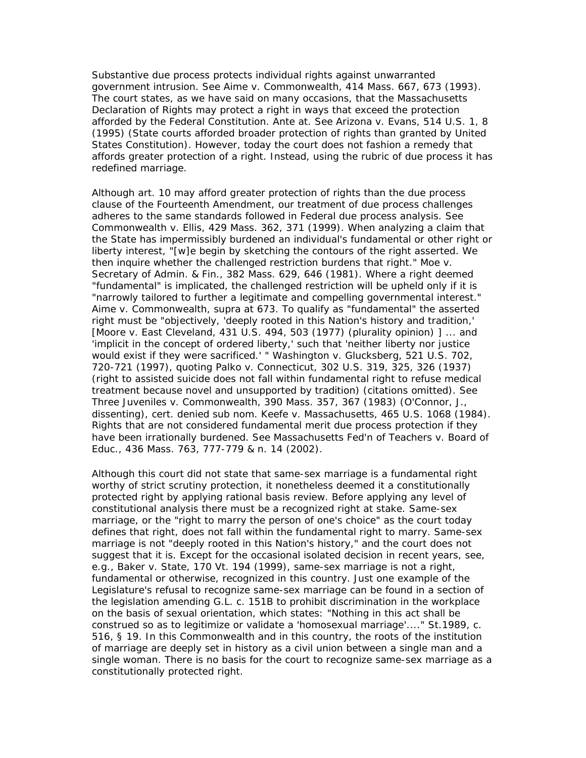Substantive due process protects individual rights against unwarranted government intrusion. See *Aime v. Commonwealth,* 414 Mass. 667, 673 (1993). The court states, as we have said on many occasions, that the Massachusetts Declaration of Rights may protect a right in ways that exceed the protection afforded by the Federal Constitution. *Ante* at. See *Arizona v. Evans,* 514 U.S. 1, 8 (1995) (State courts afforded broader protection of rights than granted by United States Constitution). However, today the court does not fashion a remedy that affords greater protection of a right. Instead, using the rubric of due process it has redefined marriage.

Although art. 10 may afford greater protection of rights than the due process clause of the Fourteenth Amendment, our treatment of due process challenges adheres to the same standards followed in Federal due process analysis. See *Commonwealth v. Ellis,* 429 Mass. 362, 371 (1999). When analyzing a claim that the State has impermissibly burdened an individual's fundamental or other right or liberty interest, "[w]e begin by sketching the contours of the right asserted. We then inquire whether the challenged restriction burdens that right." *Moe v. Secretary of Admin. & Fin.,* 382 Mass. 629, 646 (1981). Where a right deemed "fundamental" is implicated, the challenged restriction will be upheld only if it is "narrowly tailored to further a legitimate and compelling governmental interest." *Aime v. Commonwealth, supra* at 673. To qualify as "fundamental" the asserted right must be "objectively, 'deeply rooted in this Nation's history and tradition,' [*Moore v. East Cleveland,* 431 U.S. 494, 503 (1977) (plurality opinion) ] ... and 'implicit in the concept of ordered liberty,' such that 'neither liberty nor justice would exist if they were sacrificed.' " *Washington v. Glucksberg,* 521 U.S. 702, 720-721 (1997), quoting *Palko v. Connecticut,* 302 U.S. 319, 325, 326 (1937) (right to assisted suicide does not fall within fundamental right to refuse medical treatment because novel and unsupported by tradition) (citations omitted). See *Three Juveniles v. Commonwealth,* 390 Mass. 357, 367 (1983) (O'Connor, J., dissenting), cert. denied sub nom. *Keefe v. Massachusetts,* 465 U.S. 1068 (1984). Rights that are not considered fundamental merit due process protection if they have been irrationally burdened. See *Massachusetts Fed'n of Teachers v. Board of Educ.,* 436 Mass. 763, 777-779 & n. 14 (2002).

Although this court did not state that same-sex marriage is a fundamental right worthy of strict scrutiny protection, it nonetheless deemed it a constitutionally protected right by applying rational basis review. Before applying any level of constitutional analysis there must be a recognized right at stake. Same-sex marriage, or the "right to marry the person of one's choice" as the court today defines that right, does not fall within the fundamental right to marry. Same-sex marriage is not "deeply rooted in this Nation's history," and the court does not suggest that it is. Except for the occasional isolated decision in recent years, see, e.g., *Baker v. State,* 170 Vt. 194 (1999), same-sex marriage is not a right, fundamental or otherwise, recognized in this country. Just one example of the Legislature's refusal to recognize same-sex marriage can be found in a section of the legislation amending G.L. c. 151B to prohibit discrimination in the workplace on the basis of sexual orientation, which states: "Nothing in this act shall be construed so as to legitimize or validate a 'homosexual marriage'...." St.1989, c. 516, § 19. In this Commonwealth and in this country, the roots of the institution of marriage are deeply set in history as a civil union between a single man and a single woman. There is no basis for the court to recognize same-sex marriage as a constitutionally protected right.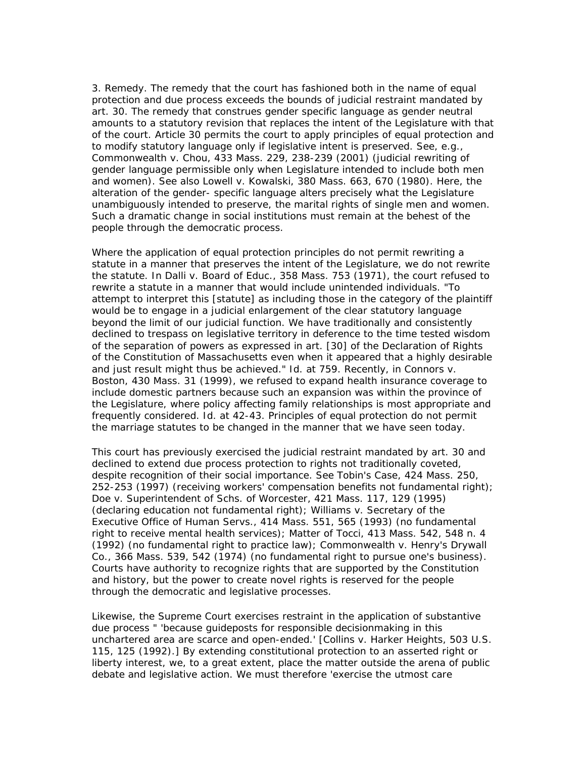3. *Remedy.* The remedy that the court has fashioned both in the name of equal protection and due process exceeds the bounds of judicial restraint mandated by art. 30. The remedy that construes gender specific language as gender neutral amounts to a statutory revision that replaces the intent of the Legislature with that of the court. Article 30 permits the court to apply principles of equal protection and to modify statutory language only if legislative intent is preserved. See, e.g., *Commonwealth v. Chou,* 433 Mass. 229, 238-239 (2001) (judicial rewriting of gender language permissible only when Legislature intended to include both men and women). See also *Lowell v. Kowalski,* 380 Mass. 663, 670 (1980). Here, the alteration of the gender- specific language alters precisely what the Legislature unambiguously intended to preserve, the marital rights of single men and women. Such a dramatic change in social institutions must remain at the behest of the people through the democratic process.

Where the application of equal protection principles do not permit rewriting a statute in a manner that preserves the intent of the Legislature, we do not rewrite the statute. In *Dalli v. Board of Educ.,* 358 Mass. 753 (1971), the court refused to rewrite a statute in a manner that would include unintended individuals. "To attempt to interpret this [statute] as including those in the category of the plaintiff would be to engage in a judicial enlargement of the clear statutory language beyond the limit of our judicial function. We have traditionally and consistently declined to trespass on legislative territory in deference to the time tested wisdom of the separation of powers as expressed in art. [30] of the Declaration of Rights of the Constitution of Massachusetts even when it appeared that a highly desirable and just result might thus be achieved." *Id.* at 759. Recently, in *Connors v. Boston,* 430 Mass. 31 (1999), we refused to expand health insurance coverage to include domestic partners because such an expansion was within the province of the Legislature, where policy affecting family relationships is most appropriate and frequently considered. *Id.* at 42-43. Principles of equal protection do not permit the marriage statutes to be changed in the manner that we have seen today.

This court has previously exercised the judicial restraint mandated by art. 30 and declined to extend due process protection to rights not traditionally coveted, despite recognition of their social importance. See *Tobin's Case,* 424 Mass. 250, 252-253 (1997) (receiving workers' compensation benefits not fundamental right); *Doe v. Superintendent of Schs. of Worcester,* 421 Mass. 117, 129 (1995) (declaring education not fundamental right); *Williams v. Secretary of the Executive Office of Human Servs.,* 414 Mass. 551, 565 (1993) (no fundamental right to receive mental health services); *Matter of Tocci,* 413 Mass. 542, 548 n. 4 (1992) (no fundamental right to practice law); *Commonwealth v. Henry's Drywall Co.,* 366 Mass. 539, 542 (1974) (no fundamental right to pursue one's business). Courts have authority to recognize rights that are supported by the Constitution and history, but the power to create novel rights is reserved for the people through the democratic and legislative processes.

Likewise, the Supreme Court exercises restraint in the application of substantive due process " 'because guideposts for responsible decisionmaking in this unchartered area are scarce and open-ended.' [*Collins v. Harker Heights,* 503 U.S. 115, 125 (1992).] By extending constitutional protection to an asserted right or liberty interest, we, to a great extent, place the matter outside the arena of public debate and legislative action. We must therefore 'exercise the utmost care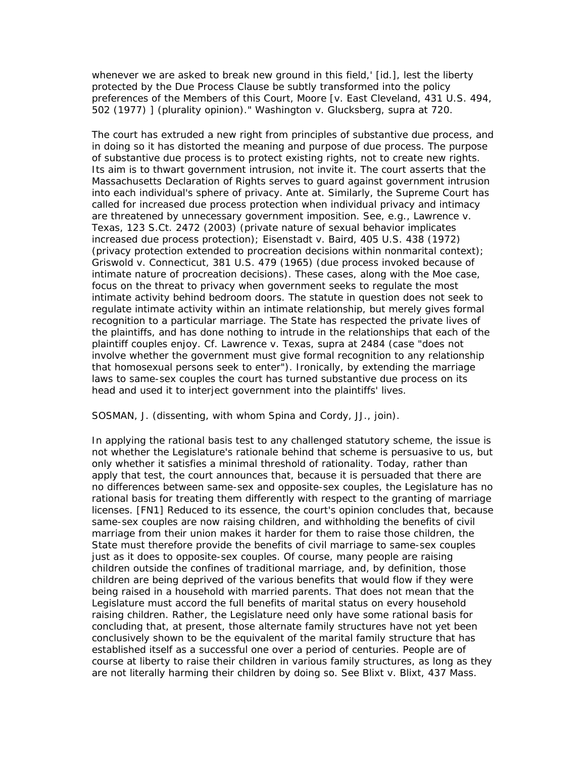whenever we are asked to break new ground in this field,' [*id.*], lest the liberty protected by the Due Process Clause be subtly transformed into the policy preferences of the Members of this Court, *Moore* [v. *East Cleveland,* 431 U.S. 494, 502 (1977) ] (plurality opinion)." *Washington v. Glucksberg, supra* at 720.

The court has extruded a new right from principles of substantive due process, and in doing so it has distorted the meaning and purpose of due process. The purpose of substantive due process is to protect existing rights, not to create new rights. Its aim is to thwart government intrusion, not invite it. The court asserts that the Massachusetts Declaration of Rights serves to guard against government intrusion into each individual's sphere of privacy. *Ante* at. Similarly, the Supreme Court has called for increased due process protection when individual privacy and intimacy are threatened by unnecessary government imposition. See, e.g., *Lawrence v. Texas,* 123 S.Ct. 2472 (2003) (private nature of sexual behavior implicates increased due process protection); *Eisenstadt v. Baird,* 405 U.S. 438 (1972) (privacy protection extended to procreation decisions within nonmarital context); *Griswold v. Connecticut,* 381 U.S. 479 (1965) (due process invoked because of intimate nature of procreation decisions). These cases, along with the *Moe* case, focus on the threat to privacy when government seeks to regulate the most intimate activity behind bedroom doors. The statute in question does not seek to regulate intimate activity within an intimate relationship, but merely gives formal recognition to a particular marriage. The State has respected the private lives of the plaintiffs, and has done nothing to intrude in the relationships that each of the plaintiff couples enjoy. Cf. *Lawrence v. Texas, supra* at 2484 (case "does not involve whether the government must give formal recognition to any relationship that homosexual persons seek to enter"). Ironically, by extending the marriage laws to same-sex couples the court has turned substantive due process on its head and used it to interject government into the plaintiffs' lives.

SOSMAN, J. (dissenting, with whom Spina and Cordy, JJ., join).

In applying the rational basis test to any challenged statutory scheme, the issue is not whether the Legislature's rationale behind that scheme is persuasive to us, but only whether it satisfies a minimal threshold of rationality. Today, rather than apply that test, the court announces that, because it is persuaded that there are no differences between same-sex and opposite-sex couples, the Legislature has no rational basis for treating them differently with respect to the granting of marriage licenses. [FN1] Reduced to its essence, the court's opinion concludes that, because same-sex couples are now raising children, and withholding the benefits of civil marriage from their union makes it harder for them to raise those children, the State must therefore provide the benefits of civil marriage to same-sex couples just as it does to opposite-sex couples. Of course, many people are raising children outside the confines of traditional marriage, and, by definition, those children are being deprived of the various benefits that would flow if they were being raised in a household with married parents. That does not mean that the Legislature must accord the full benefits of marital status on every household raising children. Rather, the Legislature need only have some rational basis for concluding that, at present, those alternate family structures have not yet been conclusively shown to be the equivalent of the marital family structure that has established itself as a successful one over a period of centuries. People are of course at liberty to raise their children in various family structures, as long as they are not literally harming their children by doing so. See *Blixt v. Blixt,* 437 Mass.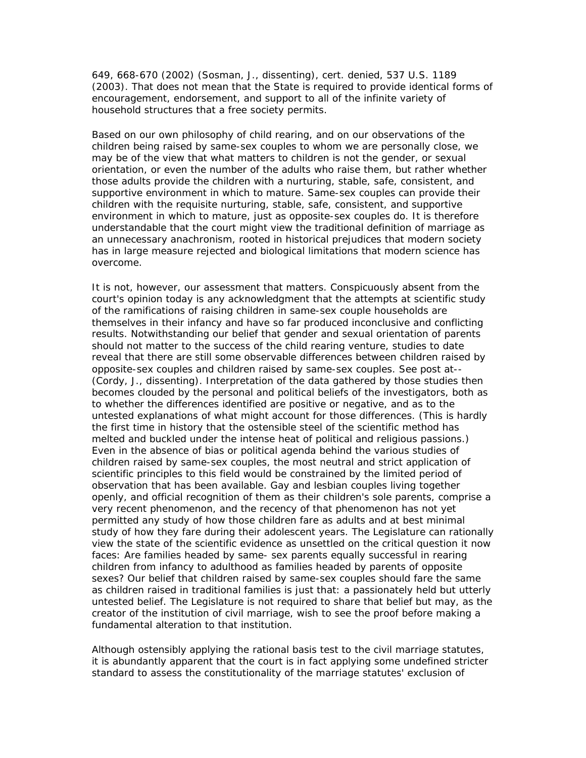649, 668-670 (2002) (Sosman, J., dissenting), cert. denied, 537 U.S. 1189 (2003). That does not mean that the State is required to provide identical forms of encouragement, endorsement, and support to all of the infinite variety of household structures that a free society permits.

Based on our own philosophy of child rearing, and on our observations of the children being raised by same-sex couples to whom we are personally close, we may be of the view that what matters to children is not the gender, or sexual orientation, or even the number of the adults who raise them, but rather whether those adults provide the children with a nurturing, stable, safe, consistent, and supportive environment in which to mature. Same-sex couples can provide their children with the requisite nurturing, stable, safe, consistent, and supportive environment in which to mature, just as opposite-sex couples do. It is therefore understandable that the court might view the traditional definition of marriage as an unnecessary anachronism, rooted in historical prejudices that modern society has in large measure rejected and biological limitations that modern science has overcome.

It is not, however, our assessment that matters. Conspicuously absent from the court's opinion today is any acknowledgment that the attempts at scientific study of the ramifications of raising children in same-sex couple households are themselves in their infancy and have so far produced inconclusive and conflicting results. Notwithstanding our belief that gender and sexual orientation of parents should not matter to the success of the child rearing venture, studies to date reveal that there are still some observable differences between children raised by opposite-sex couples and children raised by same-sex couples. See *post* at-- (Cordy, J., dissenting). Interpretation of the data gathered by those studies then becomes clouded by the personal and political beliefs of the investigators, both as to whether the differences identified are positive or negative, and as to the untested explanations of what might account for those differences. (This is hardly the first time in history that the ostensible steel of the scientific method has melted and buckled under the intense heat of political and religious passions.) Even in the absence of bias or political agenda behind the various studies of children raised by same-sex couples, the most neutral and strict application of scientific principles to this field would be constrained by the limited period of observation that has been available. Gay and lesbian couples living together openly, and official recognition of them as their children's sole parents, comprise a very recent phenomenon, and the recency of that phenomenon has not yet permitted any study of how those children fare as adults and at best minimal study of how they fare during their adolescent years. The Legislature can rationally view the state of the scientific evidence as unsettled on the critical question it now faces: Are families headed by same- sex parents equally successful in rearing children from infancy to adulthood as families headed by parents of opposite sexes? Our belief that children raised by same-sex couples *should* fare the same as children raised in traditional families is just that: a passionately held but utterly untested belief. The Legislature is not required to share that belief but may, as the creator of the institution of civil marriage, wish to see the proof before making a fundamental alteration to that institution.

Although ostensibly applying the rational basis test to the civil marriage statutes, it is abundantly apparent that the court is in fact applying some undefined stricter standard to assess the constitutionality of the marriage statutes' exclusion of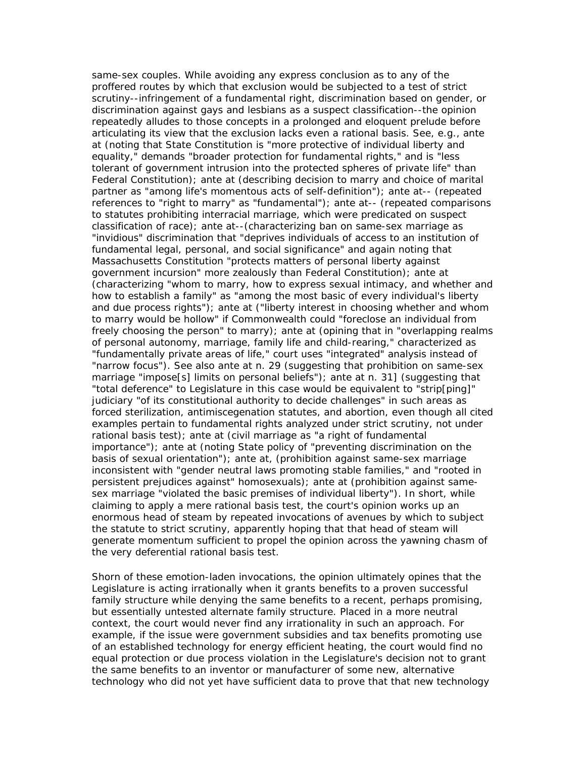same-sex couples. While avoiding any express conclusion as to any of the proffered routes by which that exclusion would be subjected to a test of strict scrutiny--infringement of a fundamental right, discrimination based on gender, or discrimination against gays and lesbians as a suspect classification--the opinion repeatedly alludes to those concepts in a prolonged and eloquent prelude before articulating its view that the exclusion lacks even a rational basis. See, e.g., *ante* at (noting that State Constitution is "more protective of individual liberty and equality," demands "broader protection for fundamental rights," and is "less tolerant of government intrusion into the protected spheres of private life" than Federal Constitution); *ante* at (describing decision to marry and choice of marital partner as "among life's momentous acts of self-definition"); *ante* at-- (repeated references to "right to marry" as "fundamental"); *ante* at-- (repeated comparisons to statutes prohibiting interracial marriage, which were predicated on suspect classification of race); *ante* at--(characterizing ban on same-sex marriage as "invidious" discrimination that "deprives individuals of access to an institution of fundamental legal, personal, and social significance" and again noting that Massachusetts Constitution "protects matters of personal liberty against government incursion" more zealously than Federal Constitution); *ante* at (characterizing "whom to marry, how to express sexual intimacy, and whether and how to establish a family" as "among the most basic of every individual's liberty and due process rights"); *ante* at ("liberty interest in choosing whether and whom to marry would be hollow" if Commonwealth could "foreclose an individual from freely choosing the person" to marry); *ante* at (opining that in "overlapping realms of personal autonomy, marriage, family life and child-rearing," characterized as "fundamentally private areas of life," court uses "integrated" analysis instead of "narrow focus"). See also *ante* at n. 29 (suggesting that prohibition on same-sex marriage "impose[s] limits on personal beliefs"); *ante* at n. 31] (suggesting that "total deference" to Legislature in this case would be equivalent to "strip[ping]" judiciary "of its constitutional authority to decide challenges" in such areas as forced sterilization, antimiscegenation statutes, and abortion, even though all cited examples pertain to fundamental rights analyzed under strict scrutiny, not under rational basis test); *ante* at (civil marriage as "a right of fundamental importance"); *ante* at (noting State policy of "preventing discrimination on the basis of sexual orientation"); *ante* at, (prohibition against same-sex marriage inconsistent with "gender neutral laws promoting stable families," and "rooted in persistent prejudices against" homosexuals); *ante* at (prohibition against samesex marriage "violated the basic premises of individual liberty"). In short, while claiming to apply a mere rational basis test, the court's opinion works up an enormous head of steam by repeated invocations of avenues by which to subject the statute to strict scrutiny, apparently hoping that that head of steam will generate momentum sufficient to propel the opinion across the yawning chasm of the very deferential rational basis test.

Shorn of these emotion-laden invocations, the opinion ultimately opines that the Legislature is acting irrationally when it grants benefits to a proven successful family structure while denying the same benefits to a recent, perhaps promising, but essentially untested alternate family structure. Placed in a more neutral context, the court would never find any irrationality in such an approach. For example, if the issue were government subsidies and tax benefits promoting use of an established technology for energy efficient heating, the court would find no equal protection or due process violation in the Legislature's decision not to grant the same benefits to an inventor or manufacturer of some new, alternative technology who did not yet have sufficient data to prove that that new technology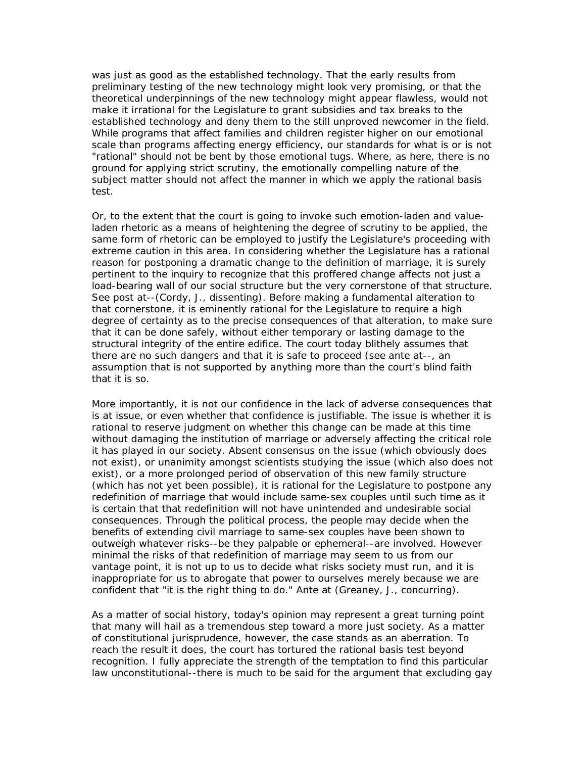was just as good as the established technology. That the early results from preliminary testing of the new technology might look very promising, or that the theoretical underpinnings of the new technology might appear flawless, would not make it irrational for the Legislature to grant subsidies and tax breaks to the established technology and deny them to the still unproved newcomer in the field. While programs that affect families and children register higher on our emotional scale than programs affecting energy efficiency, our standards for what is or is not "rational" should not be bent by those emotional tugs. Where, as here, there is no ground for applying strict scrutiny, the emotionally compelling nature of the subject matter should not affect the manner in which we apply the rational basis test.

Or, to the extent that the court is going to invoke such emotion-laden and valueladen rhetoric as a means of heightening the degree of scrutiny to be applied, the same form of rhetoric can be employed to justify the Legislature's proceeding with extreme caution in this area. In considering whether the Legislature has a rational reason for postponing a dramatic change to the definition of marriage, it is surely pertinent to the inquiry to recognize that this proffered change affects not just a load-bearing wall of our social structure but the very cornerstone of that structure. See *post* at--(Cordy, J., dissenting). Before making a fundamental alteration to that cornerstone, it is eminently rational for the Legislature to require a high degree of certainty as to the precise consequences of that alteration, to make sure that it can be done safely, without either temporary or lasting damage to the structural integrity of the entire edifice. The court today blithely assumes that there are no such dangers and that it is safe to proceed (see *ante* at--, an assumption that is not supported by anything more than the court's blind faith that it is so.

More importantly, it is not our confidence in the lack of adverse consequences that is at issue, or even whether that confidence is justifiable. The issue is whether it is rational to reserve judgment on whether this change can be made at this time without damaging the institution of marriage or adversely affecting the critical role it has played in our society. Absent consensus on the issue (which obviously does not exist), or unanimity amongst scientists studying the issue (which also does not exist), or a more prolonged period of observation of this new family structure (which has not yet been possible), it is rational for the Legislature to postpone any redefinition of marriage that would include same-sex couples until such time as it is certain that that redefinition will not have unintended and undesirable social consequences. Through the political process, the people may decide when the benefits of extending civil marriage to same-sex couples have been shown to outweigh whatever risks--be they palpable or ephemeral--are involved. However minimal the risks of that redefinition of marriage may seem to us from our vantage point, it is not up to us to decide what risks society must run, and it is inappropriate for us to abrogate that power to ourselves merely because we are confident that "it is the right thing to do." *Ante* at (Greaney, J., concurring).

As a matter of social history, today's opinion may represent a great turning point that many will hail as a tremendous step toward a more just society. As a matter of constitutional jurisprudence, however, the case stands as an aberration. To reach the result it does, the court has tortured the rational basis test beyond recognition. I fully appreciate the strength of the temptation to find this particular law unconstitutional--there is much to be said for the argument that excluding gay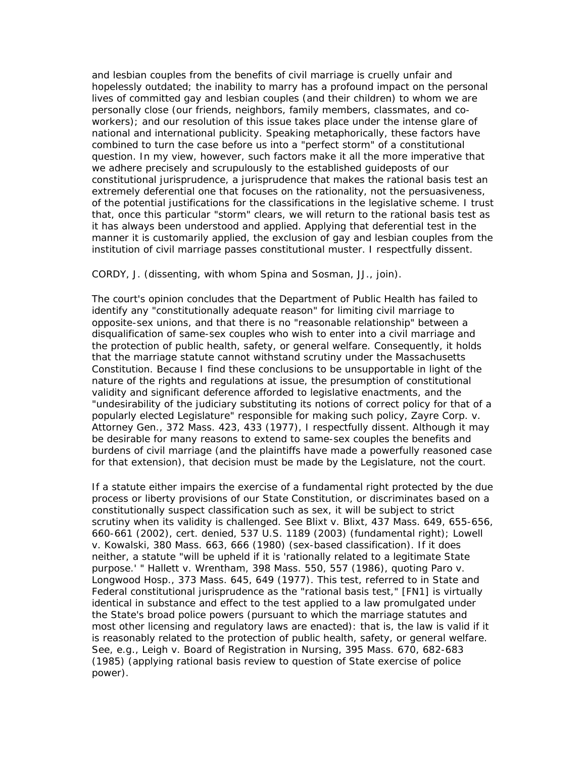and lesbian couples from the benefits of civil marriage is cruelly unfair and hopelessly outdated; the inability to marry has a profound impact on the personal lives of committed gay and lesbian couples (and their children) to whom we are personally close (our friends, neighbors, family members, classmates, and coworkers); and our resolution of this issue takes place under the intense glare of national and international publicity. Speaking metaphorically, these factors have combined to turn the case before us into a "perfect storm" of a constitutional question. In my view, however, such factors make it all the more imperative that we adhere precisely and scrupulously to the established guideposts of our constitutional jurisprudence, a jurisprudence that makes the rational basis test an extremely deferential one that focuses on the rationality, not the persuasiveness, of the potential justifications for the classifications in the legislative scheme. I trust that, once this particular "storm" clears, we will return to the rational basis test as it has always been understood and applied. Applying that deferential test in the manner it is customarily applied, the exclusion of gay and lesbian couples from the institution of civil marriage passes constitutional muster. I respectfully dissent.

CORDY, J. (dissenting, with whom Spina and Sosman, JJ., join).

The court's opinion concludes that the Department of Public Health has failed to identify any "constitutionally adequate reason" for limiting civil marriage to opposite-sex unions, and that there is no "reasonable relationship" between a disqualification of same-sex couples who wish to enter into a civil marriage and the protection of public health, safety, or general welfare. Consequently, it holds that the marriage statute cannot withstand scrutiny under the Massachusetts Constitution. Because I find these conclusions to be unsupportable in light of the nature of the rights and regulations at issue, the presumption of constitutional validity and significant deference afforded to legislative enactments, and the "undesirability of the judiciary substituting its notions of correct policy for that of a popularly elected Legislature" responsible for making such policy, *Zayre Corp.* v. *Attorney Gen.,* 372 Mass. 423, 433 (1977), I respectfully dissent. Although it may be desirable for many reasons to extend to same-sex couples the benefits and burdens of civil marriage (and the plaintiffs have made a powerfully reasoned case for that extension), that decision must be made by the Legislature, not the court.

If a statute either impairs the exercise of a fundamental right protected by the due process or liberty provisions of our State Constitution, or discriminates based on a constitutionally suspect classification such as sex, it will be subject to strict scrutiny when its validity is challenged. See *Blixt v. Blixt,* 437 Mass. 649, 655-656, 660-661 (2002), cert. denied, 537 U.S. 1189 (2003) (fundamental right); *Lowell v. Kowalski,* 380 Mass. 663, 666 (1980) (sex-based classification). If it does neither, a statute "will be upheld if it is 'rationally related to a legitimate State purpose.' " *Hallett v. Wrentham,* 398 Mass. 550, 557 (1986), quoting *Paro v. Longwood Hosp.,* 373 Mass. 645, 649 (1977). This test, referred to in State and Federal constitutional jurisprudence as the "rational basis test," [FN1] is virtually identical in substance and effect to the test applied to a law promulgated under the State's broad police powers (pursuant to which the marriage statutes and most other licensing and regulatory laws are enacted): that is, the law is valid if it is reasonably related to the protection of public health, safety, or general welfare. See, e.g., *Leigh v. Board of Registration in Nursing,* 395 Mass. 670, 682-683 (1985) (applying rational basis review to question of State exercise of police power).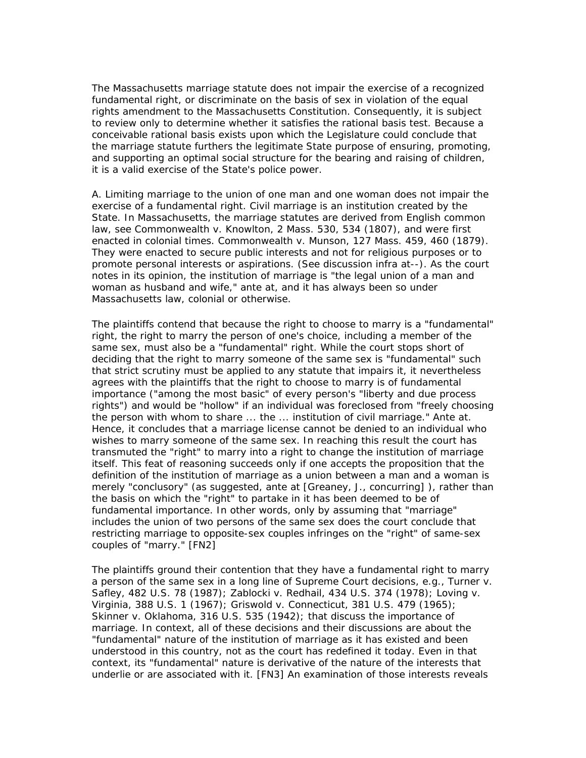The Massachusetts marriage statute does not impair the exercise of a recognized fundamental right, or discriminate on the basis of sex in violation of the equal rights amendment to the Massachusetts Constitution. Consequently, it is subject to review only to determine whether it satisfies the rational basis test. Because a conceivable rational basis exists upon which the Legislature could conclude that the marriage statute furthers the legitimate State purpose of ensuring, promoting, and supporting an optimal social structure for the bearing and raising of children, it is a valid exercise of the State's police power.

A. *Limiting marriage to the union of one man and one woman does not impair the exercise of a fundamental right.* Civil marriage is an institution created by the State. In Massachusetts, the marriage statutes are derived from English common law, see *Commonwealth v. Knowlton,* 2 Mass. 530, 534 (1807), and were first enacted in colonial times. *Commonwealth v. Munson,* 127 Mass. 459, 460 (1879). They were enacted to secure public interests and not for religious purposes or to promote personal interests or aspirations. (See discussion *infra* at--). As the court notes in its opinion, the institution of marriage is "the legal union of a man and woman as husband and wife," *ante* at, and it has always been so under Massachusetts law, colonial or otherwise.

The plaintiffs contend that because the right to choose to marry is a "fundamental" right, the right to marry the person of one's choice, including a member of the same sex, must also be a "fundamental" right. While the court stops short of deciding that the right to marry someone of the same sex is "fundamental" such that strict scrutiny must be applied to any statute that impairs it, it nevertheless agrees with the plaintiffs that the right to choose to marry is of fundamental importance ("among the most basic" of every person's "liberty and due process rights") and would be "hollow" if an individual was foreclosed from "freely choosing the person with whom to share ... the ... institution of civil marriage." *Ante* at. Hence, it concludes that a marriage license cannot be denied to an individual who wishes to marry someone of the same sex. In reaching this result the court has transmuted the "right" to marry into a right to change the institution of marriage itself. This feat of reasoning succeeds only if one accepts the proposition that the definition of the institution of marriage as a union between a man and a woman is merely "conclusory" (as suggested, *ante* at [Greaney, J., concurring] ), rather than the basis on which the "right" to partake in it has been deemed to be of fundamental importance. In other words, only by assuming that "marriage" includes the union of two persons of the same sex does the court conclude that restricting marriage to opposite-sex couples infringes on the "right" of same-sex couples of "marry." [FN2]

The plaintiffs ground their contention that they have a fundamental right to marry a person of the same sex in a long line of Supreme Court decisions, e.g., *Turner v. Safley,* 482 U.S. 78 (1987); *Zablocki v. Redhail,* 434 U.S. 374 (1978); *Loving v. Virginia,* 388 U.S. 1 (1967); *Griswold v. Connecticut,* 381 U.S. 479 (1965); *Skinner v. Oklahoma,* 316 U.S. 535 (1942); that discuss the importance of marriage. In context, all of these decisions and their discussions are about the "fundamental" nature of the institution of marriage as it has existed and been understood in this country, not as the court has redefined it today. Even in that context, its "fundamental" nature is derivative of the nature of the interests that underlie or are associated with it. [FN3] An examination of those interests reveals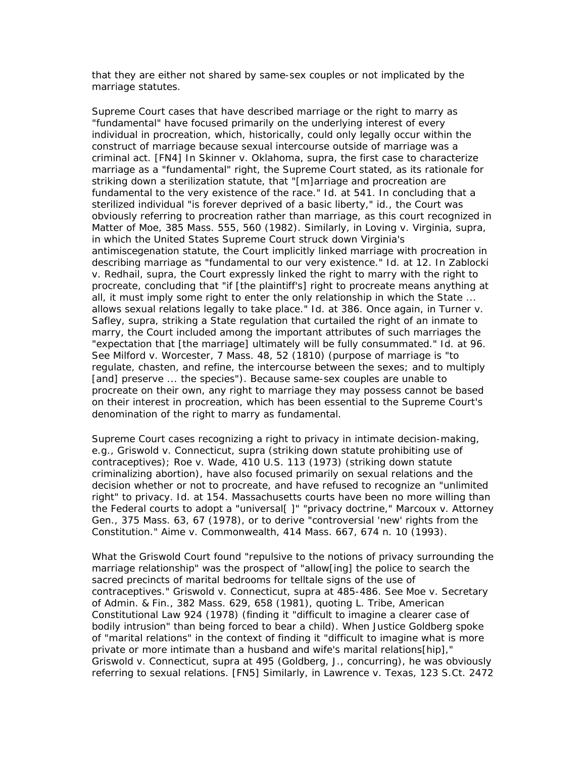that they are either not shared by same-sex couples or not implicated by the marriage statutes.

Supreme Court cases that have described marriage or the right to marry as "fundamental" have focused primarily on the underlying interest of every individual in procreation, which, historically, could only legally occur within the construct of marriage because sexual intercourse outside of marriage was a criminal act. [FN4] In *Skinner v. Oklahoma, supra,* the first case to characterize marriage as a "fundamental" right, the Supreme Court stated, as its rationale for striking down a sterilization statute, that "[m]arriage and procreation are fundamental to the very existence of the race." *Id.* at 541. In concluding that a sterilized individual "is forever deprived of a basic liberty," *id.,* the Court was obviously referring to procreation rather than marriage, as this court recognized in *Matter of Moe,* 385 Mass. 555, 560 (1982). Similarly, in *Loving v. Virginia, supra,* in which the United States Supreme Court struck down Virginia's antimiscegenation statute, the Court implicitly linked marriage with procreation in describing marriage as "fundamental to our very existence." *Id.* at 12. In *Zablocki v. Redhail, supra,* the Court expressly linked the right to marry with the right to procreate, concluding that "if [the plaintiff's] right to procreate means anything at all, it must imply some right to enter the only relationship in which the State ... allows sexual relations legally to take place." *Id.* at 386. Once again, in *Turner v. Safley, supra,* striking a State regulation that curtailed the right of an inmate to marry, the Court included among the important attributes of such marriages the "expectation that [the marriage] ultimately will be fully consummated." *Id.* at 96. See *Milford v. Worcester,* 7 Mass. 48, 52 (1810) (purpose of marriage is "to regulate, chasten, and refine, the intercourse between the sexes; and to multiply [and] preserve ... the species"). Because same-sex couples are unable to procreate on their own, any right to marriage they may possess cannot be based on their interest in procreation, which has been essential to the Supreme Court's denomination of the right to marry as fundamental.

Supreme Court cases recognizing a right to privacy in intimate decision-making, e.g., *Griswold v. Connecticut, supra* (striking down statute prohibiting use of contraceptives); *Roe v. Wade,* 410 U.S. 113 (1973) (striking down statute criminalizing abortion), have also focused primarily on sexual relations and the decision whether or not to procreate, and have refused to recognize an "unlimited right" to privacy. *Id.* at 154. Massachusetts courts have been no more willing than the Federal courts to adopt a "universal[ ]" "privacy doctrine," *Marcoux v. Attorney Gen.,* 375 Mass. 63, 67 (1978), or to derive "controversial 'new' rights from the Constitution." *Aime v. Commonwealth,* 414 Mass. 667, 674 n. 10 (1993).

What the *Griswold* Court found "repulsive to the notions of privacy surrounding the marriage relationship" was the prospect of "allow[ing] the police to search the sacred precincts of marital bedrooms for telltale signs of the use of contraceptives." *Griswold v. Connecticut, supra* at 485-486. See *Moe v. Secretary of Admin. & Fin.,* 382 Mass. 629, 658 (1981), quoting L. Tribe, American Constitutional Law 924 (1978) (finding it "difficult to imagine a clearer case of bodily intrusion" than being forced to bear a child). When Justice Goldberg spoke of "marital relations" in the context of finding it "difficult to imagine what is more private or more intimate than a husband and wife's marital relations[hip]," *Griswold v. Connecticut, supra* at 495 (Goldberg, J., concurring), he was obviously referring to sexual relations. [FN5] Similarly, in *Lawrence v. Texas,* 123 S.Ct. 2472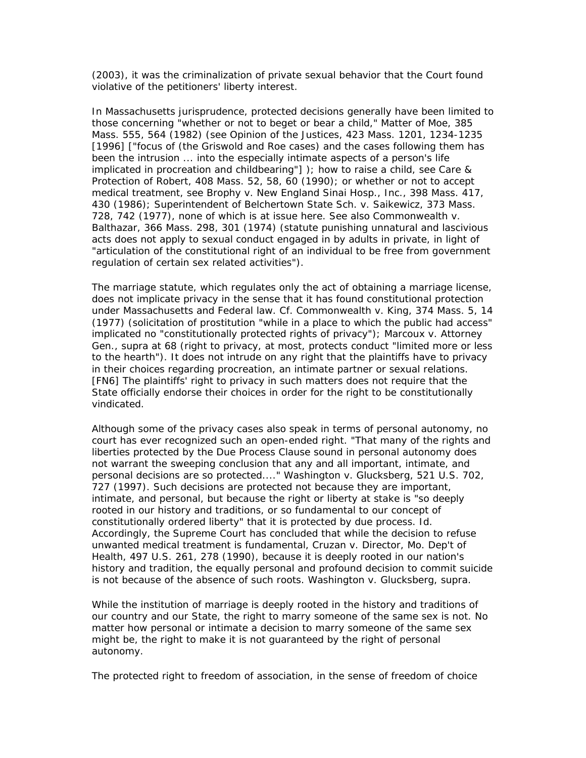(2003), it was the criminalization of private sexual behavior that the Court found violative of the petitioners' liberty interest.

In Massachusetts jurisprudence, protected decisions generally have been limited to those concerning "whether or not to beget or bear a child," *Matter of Moe,* 385 Mass. 555, 564 (1982) (see *Opinion of the Justices,* 423 Mass. 1201, 1234-1235 [1996] ["focus of (the *Griswold* and *Roe* cases) and the cases following them has been the intrusion ... into the especially intimate aspects of a person's life implicated in procreation and childbearing"] ); how to raise a child, see *Care & Protection of Robert,* 408 Mass. 52, 58, 60 (1990); or whether or not to accept medical treatment, see *Brophy v. New England Sinai Hosp., Inc.,* 398 Mass. 417, 430 (1986); *Superintendent of Belchertown State Sch.* v. *Saikewicz,* 373 Mass. 728, 742 (1977), none of which is at issue here. See also *Commonwealth v. Balthazar,* 366 Mass. 298, 301 (1974) (statute punishing unnatural and lascivious acts does not apply to sexual conduct engaged in by adults in private, in light of "articulation of the constitutional right of an individual to be free from government regulation of certain sex related activities").

The marriage statute, which regulates only the act of obtaining a marriage license, does not implicate privacy in the sense that it has found constitutional protection under Massachusetts and Federal law. Cf. *Commonwealth v. King,* 374 Mass. 5, 14 (1977) (solicitation of prostitution "while in a place to which the public had access" implicated no "constitutionally protected rights of privacy"); *Marcoux v. Attorney Gen., supra* at 68 (right to privacy, at most, protects conduct "limited more or less to the hearth"). It does not intrude on any right that the plaintiffs have to privacy in their choices regarding procreation, an intimate partner or sexual relations. [FN6] The plaintiffs' right to privacy in such matters does not require that the State officially endorse their choices in order for the right to be constitutionally vindicated.

Although some of the privacy cases also speak in terms of personal autonomy, no court has ever recognized such an open-ended right. "That many of the rights and liberties protected by the Due Process Clause sound in personal autonomy does not warrant the sweeping conclusion that any and all important, intimate, and personal decisions are so protected...." *Washington v. Glucksberg,* 521 U.S. 702, 727 (1997). Such decisions are protected not because they are important, intimate, and personal, but because the right or liberty at stake is "so deeply rooted in our history and traditions, or so fundamental to our concept of constitutionally ordered liberty" that it is protected by due process. *Id.* Accordingly, the Supreme Court has concluded that while the decision to refuse unwanted medical treatment is fundamental, *Cruzan v. Director, Mo. Dep't of Health,* 497 U.S. 261, 278 (1990), because it is deeply rooted in our nation's history and tradition, the equally personal and profound decision to commit suicide is not because of the absence of such roots. *Washington v. Glucksberg, supra.*

While the institution of marriage is deeply rooted in the history and traditions of our country and our State, the right to marry someone of the same sex is not. No matter how personal or intimate a decision to marry someone of the same sex might be, the right to make it is not guaranteed by the right of personal autonomy.

The protected right to freedom of association, in the sense of freedom of choice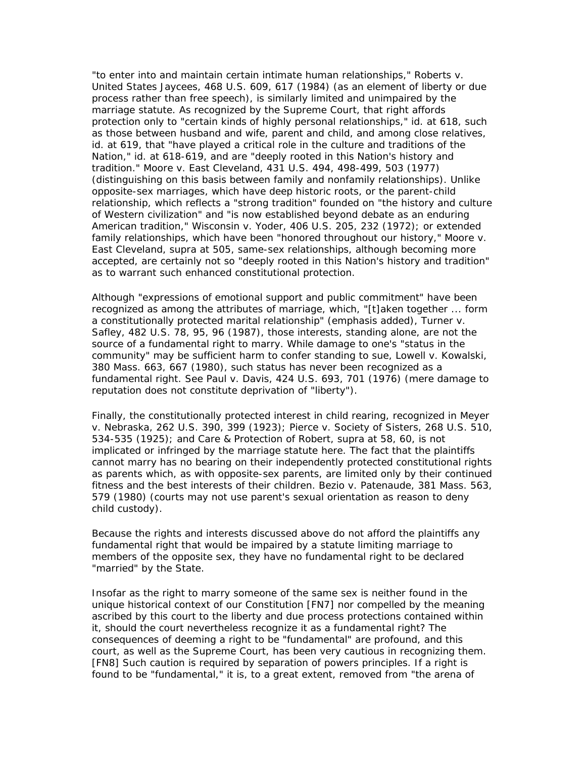"to enter into and maintain certain intimate human relationships," *Roberts v. United States Jaycees,* 468 U.S. 609, 617 (1984) (as an element of liberty or due process rather than free speech), is similarly limited and unimpaired by the marriage statute. As recognized by the Supreme Court, that right affords protection only to "certain kinds of highly personal relationships," *id.* at 618, such as those between husband and wife, parent and child, and among close relatives, *id.* at 619, that "have played a critical role in the culture and traditions of the Nation," *id.* at 618-619, and are "deeply rooted in this Nation's history and tradition." *Moore v. East Cleveland,* 431 U.S. 494, 498-499, 503 (1977) (distinguishing on this basis between family and nonfamily relationships). Unlike opposite-sex marriages, which have deep historic roots, or the parent-child relationship, which reflects a "strong tradition" founded on "the history and culture of Western civilization" and "is now established beyond debate as an enduring American tradition," *Wisconsin v. Yoder,* 406 U.S. 205, 232 (1972); or extended family relationships, which have been "honored throughout our history," *Moore v. East Cleveland, supra* at 505, same-sex relationships, although becoming more accepted, are certainly not so "deeply rooted in this Nation's history and tradition" as to warrant such enhanced constitutional protection.

Although "expressions of emotional support and public commitment" have been recognized as among the attributes of marriage, which, "[*t]aken together* ... form a constitutionally protected marital relationship" (emphasis added), *Turner v. Safley,* 482 U.S. 78, 95, 96 (1987), those interests, standing alone, are not the source of a fundamental right to marry. While damage to one's "status in the community" may be sufficient harm to confer standing to sue, *Lowell v. Kowalski,* 380 Mass. 663, 667 (1980), such status has never been recognized as a fundamental right. See *Paul v. Davis,* 424 U.S. 693, 701 (1976) (mere damage to reputation does not constitute deprivation of "liberty").

Finally, the constitutionally protected interest in child rearing, recognized in *Meyer v. Nebraska,* 262 U.S. 390, 399 (1923); *Pierce v. Society of Sisters,* 268 U.S. 510, 534-535 (1925); and *Care & Protection of Robert, supra* at 58, 60, is not implicated or infringed by the marriage statute here. The fact that the plaintiffs cannot marry has no bearing on their independently protected constitutional rights as parents which, as with opposite-sex parents, are limited only by their continued fitness and the best interests of their children. *Bezio v. Patenaude,* 381 Mass. 563, 579 (1980) (courts may not use parent's sexual orientation as reason to deny child custody).

Because the rights and interests discussed above do not afford the plaintiffs any fundamental right that would be impaired by a statute limiting marriage to members of the opposite sex, they have no fundamental right to be declared "married" by the State.

Insofar as the right to marry someone of the same sex is neither found in the unique historical context of our Constitution [FN7] nor compelled by the meaning ascribed by this court to the liberty and due process protections contained within it, should the court nevertheless recognize it as a fundamental right? The consequences of deeming a right to be "fundamental" are profound, and this court, as well as the Supreme Court, has been very cautious in recognizing them. [FN8] Such caution is required by separation of powers principles. If a right is found to be "fundamental," it is, to a great extent, removed from "the arena of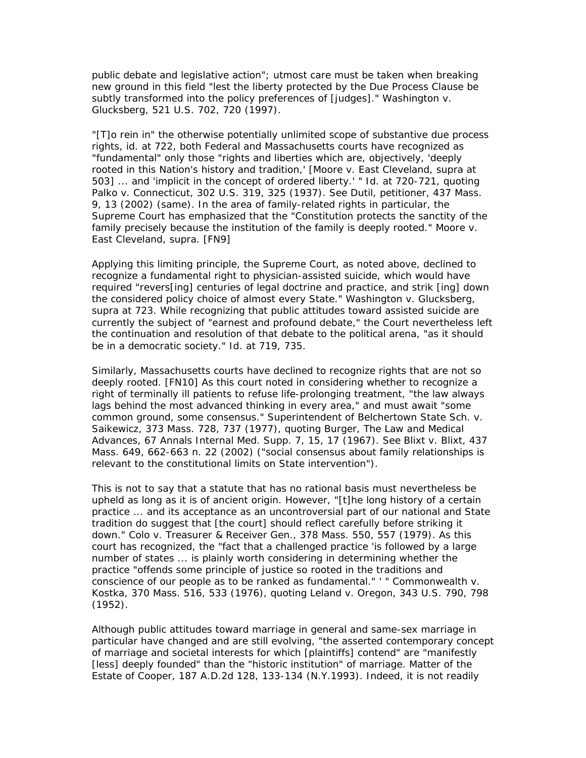public debate and legislative action"; utmost care must be taken when breaking new ground in this field "lest the liberty protected by the Due Process Clause be subtly transformed into the policy preferences of [judges]." *Washington v. Glucksberg,* 521 U.S. 702, 720 (1997).

"[T]o rein in" the otherwise potentially unlimited scope of substantive due process rights, *id.* at 722, both Federal and Massachusetts courts have recognized as "fundamental" only those "rights and liberties which are, objectively, 'deeply rooted in this Nation's history and tradition,' [*Moore v. East Cleveland, supra* at 503] ... and 'implicit in the concept of ordered liberty.' " *Id.* at 720-721, quoting *Palko v. Connecticut,* 302 U.S. 319, 325 (1937). See *Dutil, petitioner,* 437 Mass. 9, 13 (2002) (same). In the area of family-related rights in particular, the Supreme Court has emphasized that the "Constitution protects the sanctity of the family precisely because the institution of the family is deeply rooted." *Moore v. East Cleveland, supra.* [FN9]

Applying this limiting principle, the Supreme Court, as noted above, declined to recognize a fundamental right to physician-assisted suicide, which would have required "revers[ing] centuries of legal doctrine and practice, and strik [ing] down the considered policy choice of almost every State." *Washington v. Glucksberg, supra* at 723. While recognizing that public attitudes toward assisted suicide are currently the subject of "earnest and profound debate," the Court nevertheless left the continuation and resolution of that debate to the political arena, "as it should be in a democratic society." *Id.* at 719, 735.

Similarly, Massachusetts courts have declined to recognize rights that are not so deeply rooted. [FN10] As this court noted in considering whether to recognize a right of terminally ill patients to refuse life-prolonging treatment, "the law always lags behind the most advanced thinking in every area," and must await "some common ground, some consensus." *Superintendent of Belchertown State Sch.* v. *Saikewicz,* 373 Mass. 728, 737 (1977), quoting Burger, The Law and Medical Advances, 67 Annals Internal Med. Supp. 7, 15, 17 (1967). See *Blixt v. Blixt,* 437 Mass. 649, 662-663 n. 22 (2002) ("social consensus about family relationships is relevant to the constitutional limits on State intervention").

This is not to say that a statute that has no rational basis must nevertheless be upheld as long as it is of ancient origin. However, "[t]he long history of a certain practice ... and its acceptance as an uncontroversial part of our national and State tradition do suggest that [the court] should reflect carefully before striking it down." *Colo v. Treasurer & Receiver Gen.,* 378 Mass. 550, 557 (1979). As this court has recognized, the "fact that a challenged practice 'is followed by a large number of states ... is plainly worth considering in determining whether the practice "offends some principle of justice so rooted in the traditions and conscience of our people as to be ranked as fundamental." ' " *Commonwealth v. Kostka,* 370 Mass. 516, 533 (1976), quoting *Leland v. Oregon,* 343 U.S. 790, 798 (1952).

Although public attitudes toward marriage in general and same-sex marriage in particular have changed and are still evolving, "the asserted contemporary concept of marriage and societal interests for which [plaintiffs] contend" are "manifestly [less] deeply founded" than the "historic institution" of marriage. *Matter of the Estate of Cooper,* 187 A.D.2d 128, 133-134 (N.Y.1993). Indeed, it is not readily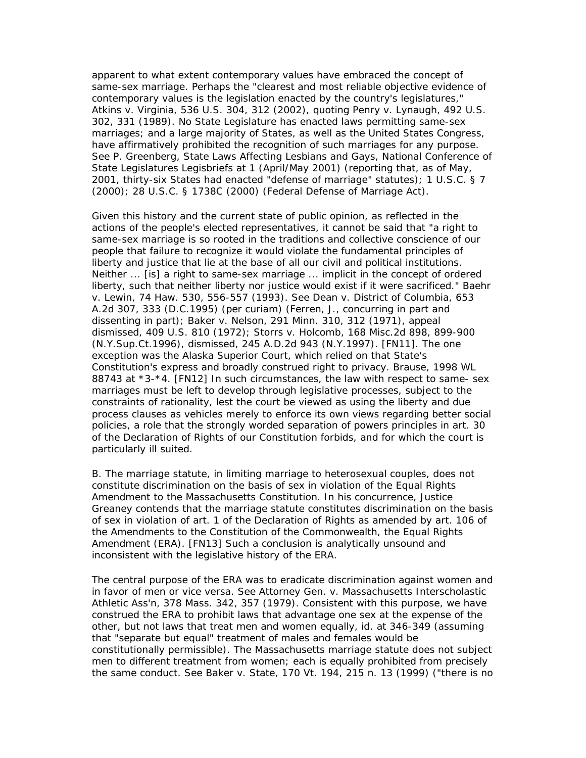apparent to what extent contemporary values have embraced the concept of same-sex marriage. Perhaps the "clearest and most reliable objective evidence of contemporary values is the legislation enacted by the country's legislatures," *Atkins v. Virginia,* 536 U.S. 304, 312 (2002), quoting *Penry v. Lynaugh,* 492 U.S. 302, 331 (1989). No State Legislature has enacted laws permitting same-sex marriages; and a large majority of States, as well as the United States Congress, have affirmatively prohibited the recognition of such marriages for any purpose. See P. Greenberg, State Laws Affecting Lesbians and Gays, National Conference of State Legislatures Legisbriefs at 1 (April/May 2001) (reporting that, as of May, 2001, thirty-six States had enacted "defense of marriage" statutes); 1 U.S.C. § 7 (2000); 28 U.S.C. § 1738C (2000) (Federal Defense of Marriage Act).

Given this history and the current state of public opinion, as reflected in the actions of the people's elected representatives, it cannot be said that "a right to same-sex marriage is so rooted in the traditions and collective conscience of our people that failure to recognize it would violate the fundamental principles of liberty and justice that lie at the base of all our civil and political institutions. Neither ... [is] a right to same-sex marriage ... implicit in the concept of ordered liberty, such that neither liberty nor justice would exist if it were sacrificed." *Baehr v. Lewin,* 74 Haw. 530, 556-557 (1993). See *Dean v. District of Columbia,* 653 A.2d 307, 333 (D.C.1995) (per curiam) (Ferren, J., concurring in part and dissenting in part); *Baker v. Nelson,* 291 Minn. 310, 312 (1971), appeal dismissed, 409 U.S. 810 (1972); *Storrs v. Holcomb,* 168 Misc.2d 898, 899-900 (N.Y.Sup.Ct.1996), dismissed, 245 A.D.2d 943 (N.Y.1997). [FN11]. The one exception was the Alaska Superior Court, which relied on that State's Constitution's express and broadly construed right to privacy. *Brause,* 1998 WL 88743 at \*3-\*4. [FN12] In such circumstances, the law with respect to same- sex marriages must be left to develop through legislative processes, subject to the constraints of rationality, lest the court be viewed as using the liberty and due process clauses as vehicles merely to enforce its own views regarding better social policies, a role that the strongly worded separation of powers principles in art. 30 of the Declaration of Rights of our Constitution forbids, and for which the court is particularly ill suited.

B. *The marriage statute, in limiting marriage to heterosexual couples, does not constitute discrimination on the basis of sex in violation of the Equal Rights Amendment to the Massachusetts Constitution.* In his concurrence, Justice Greaney contends that the marriage statute constitutes discrimination on the basis of sex in violation of art. 1 of the Declaration of Rights as amended by art. 106 of the Amendments to the Constitution of the Commonwealth, the Equal Rights Amendment (ERA). [FN13] Such a conclusion is analytically unsound and inconsistent with the legislative history of the ERA.

The central purpose of the ERA was to eradicate discrimination against women and in favor of men or vice versa. See *Attorney Gen.* v. *Massachusetts Interscholastic Athletic Ass'n,* 378 Mass. 342, 357 (1979). Consistent with this purpose, we have construed the ERA to prohibit laws that advantage one sex at the expense of the other, but not laws that treat men and women equally, *id.* at 346-349 (assuming that "separate but equal" treatment of males and females would be constitutionally permissible). The Massachusetts marriage statute does not subject men to different treatment from women; each is equally prohibited from precisely the same conduct. See *Baker v. State,* 170 Vt. 194, 215 n. 13 (1999) ("there is no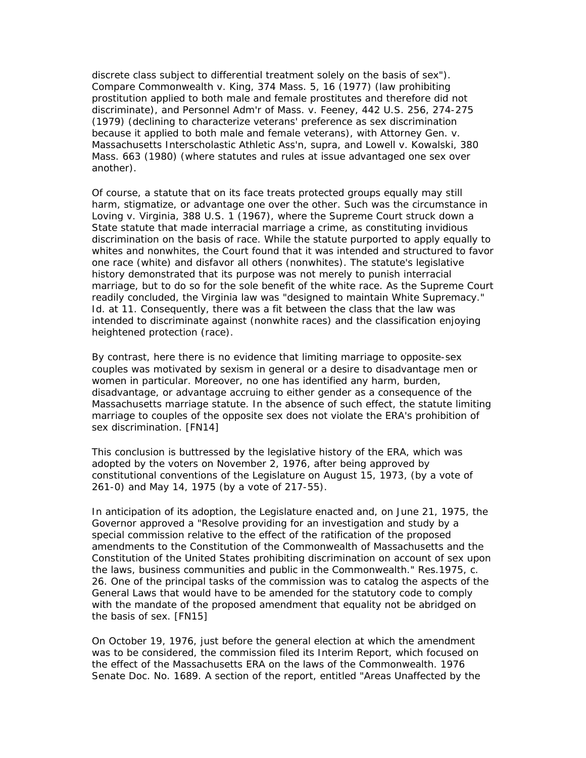discrete class subject to differential treatment solely on the basis of sex"). Compare *Commonwealth v. King,* 374 Mass. 5, 16 (1977) (law prohibiting prostitution applied to both male and female prostitutes and therefore did not discriminate), and *Personnel Adm'r of Mass.* v. *Feeney,* 442 U.S. 256, 274-275 (1979) (declining to characterize veterans' preference as sex discrimination because it applied to both male and female veterans), with *Attorney Gen.* v. *Massachusetts Interscholastic Athletic Ass'n, supra,* and *Lowell v. Kowalski,* 380 Mass. 663 (1980) (where statutes and rules at issue advantaged one sex over another).

Of course, a statute that on its face treats protected groups equally may still harm, stigmatize, or advantage one over the other. Such was the circumstance in *Loving v. Virginia,* 388 U.S. 1 (1967), where the Supreme Court struck down a State statute that made interracial marriage a crime, as constituting invidious discrimination on the basis of race. While the statute purported to apply equally to whites and nonwhites, the Court found that it was intended and structured to favor one race (white) and disfavor all others (nonwhites). The statute's legislative history demonstrated that its purpose was not merely to punish interracial marriage, but to do so for the sole benefit of the white race. As the Supreme Court readily concluded, the Virginia law was "designed to maintain White Supremacy." *Id.* at 11. Consequently, there was a fit between the class that the law was intended to discriminate against (nonwhite races) and the classification enjoying heightened protection (race).

By contrast, here there is no evidence that limiting marriage to opposite-sex couples was motivated by sexism in general or a desire to disadvantage men or women in particular. Moreover, no one has identified any harm, burden, disadvantage, or advantage accruing to either gender as a consequence of the Massachusetts marriage statute. In the absence of such effect, the statute limiting marriage to couples of the opposite sex does not violate the ERA's prohibition of sex discrimination. [FN14]

This conclusion is buttressed by the legislative history of the ERA, which was adopted by the voters on November 2, 1976, after being approved by constitutional conventions of the Legislature on August 15, 1973, (by a vote of 261-0) and May 14, 1975 (by a vote of 217-55).

In anticipation of its adoption, the Legislature enacted and, on June 21, 1975, the Governor approved a "Resolve providing for an investigation and study by a special commission relative to the effect of the ratification of the proposed amendments to the Constitution of the Commonwealth of Massachusetts and the Constitution of the United States prohibiting discrimination on account of sex upon the laws, business communities and public in the Commonwealth." Res.1975, c. 26. One of the principal tasks of the commission was to catalog the aspects of the General Laws that would have to be amended for the statutory code to comply with the mandate of the proposed amendment that equality not be abridged on the basis of sex. [FN15]

On October 19, 1976, just before the general election at which the amendment was to be considered, the commission filed its Interim Report, which focused on the effect of the Massachusetts ERA on the laws of the Commonwealth. 1976 Senate Doc. No. 1689. A section of the report, entitled "Areas Unaffected by the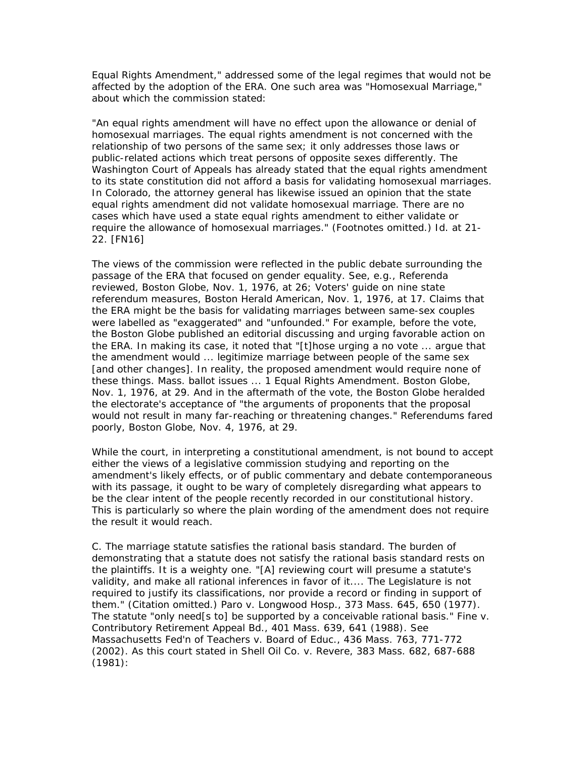Equal Rights Amendment," addressed some of the legal regimes that would *not* be affected by the adoption of the ERA. One such area was "Homosexual Marriage," about which the commission stated:

"An equal rights amendment will have no effect upon the allowance or denial of homosexual marriages. The equal rights amendment is not concerned with the relationship of two persons of the same sex; it only addresses those laws or public-related actions which treat persons of opposite sexes differently. The Washington Court of Appeals has already stated that the equal rights amendment to its state constitution did not afford a basis for validating homosexual marriages. In Colorado, the attorney general has likewise issued an opinion that the state equal rights amendment did not validate homosexual marriage. There are no cases which have used a state equal rights amendment to either validate or require the allowance of homosexual marriages." (Footnotes omitted.) *Id.* at 21- 22. [FN16]

The views of the commission were reflected in the public debate surrounding the passage of the ERA that focused on gender equality. See, e.g., Referenda reviewed, Boston Globe, Nov. 1, 1976, at 26; Voters' guide on nine state referendum measures, Boston Herald American, Nov. 1, 1976, at 17. Claims that the ERA might be the basis for validating marriages between same-sex couples were labelled as "exaggerated" and "unfounded." For example, before the vote, the Boston Globe published an editorial discussing and urging favorable action on the ERA. In making its case, it noted that "[t]hose urging a no vote ... argue that the amendment would ... legitimize marriage between people of the same sex [and other changes]. In reality, the proposed amendment would require none of these things. Mass. ballot issues ... 1 Equal Rights Amendment. Boston Globe, Nov. 1, 1976, at 29. And in the aftermath of the vote, the Boston Globe heralded the electorate's acceptance of "the arguments of proponents that the proposal would not result in many far-reaching or threatening changes." Referendums fared poorly, Boston Globe, Nov. 4, 1976, at 29.

While the court, in interpreting a constitutional amendment, is not bound to accept either the views of a legislative commission studying and reporting on the amendment's likely effects, or of public commentary and debate contemporaneous with its passage, it ought to be wary of completely disregarding what appears to be the clear intent of the people recently recorded in our constitutional history. This is particularly so where the plain wording of the amendment does not require the result it would reach.

C. *The marriage statute satisfies the rational basis standard.* The burden of demonstrating that a statute does not satisfy the rational basis standard rests on the plaintiffs. It is a weighty one. "[A] reviewing court will presume a statute's validity, and make all rational inferences in favor of it.... The Legislature is not required to justify its classifications, nor provide a record or finding in support of them." (Citation omitted.) *Paro v. Longwood Hosp.,* 373 Mass. 645, 650 (1977). The statute "only need[s to] be supported by a conceivable rational basis." *Fine v. Contributory Retirement Appeal Bd.,* 401 Mass. 639, 641 (1988). See *Massachusetts Fed'n of Teachers v. Board of Educ.,* 436 Mass. 763, 771-772 (2002). As this court stated in *Shell Oil Co. v. Revere,* 383 Mass. 682, 687-688 (1981):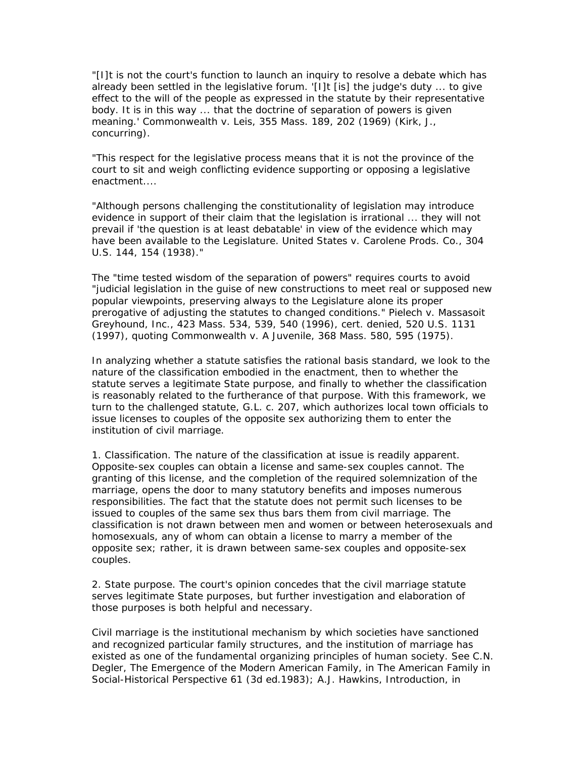"[I]t is not the court's function to launch an inquiry to resolve a debate which has already been settled in the legislative forum. '[I]t [is] the judge's duty ... to give effect to the will of the people as expressed in the statute by their representative body. It is in this way ... that the doctrine of separation of powers is given meaning.' *Commonwealth v. Leis,* 355 Mass. 189, 202 (1969) (Kirk, J., concurring).

"This respect for the legislative process means that it is not the province of the court to sit and weigh conflicting evidence supporting or opposing a legislative enactment.

"Although persons challenging the constitutionality of legislation may introduce evidence in support of their claim that the legislation is irrational ... they will not prevail if 'the question is at least debatable' in view of the evidence which may have been available to the Legislature. *United States v. Carolene Prods. Co.,* 304 U.S. 144, 154 (1938)."

The "time tested wisdom of the separation of powers" requires courts to avoid "judicial legislation in the guise of new constructions to meet real or supposed new popular viewpoints, preserving always to the Legislature alone its proper prerogative of adjusting the statutes to changed conditions." *Pielech v. Massasoit Greyhound, Inc.,* 423 Mass. 534, 539, 540 (1996), cert. denied, 520 U.S. 1131 (1997), quoting *Commonwealth v. A Juvenile,* 368 Mass. 580, 595 (1975).

In analyzing whether a statute satisfies the rational basis standard, we look to the nature of the classification embodied in the enactment, then to whether the statute serves a legitimate State purpose, and finally to whether the classification is reasonably related to the furtherance of that purpose. With this framework, we turn to the challenged statute, G.L. c. 207, which authorizes local town officials to issue licenses to couples of the opposite sex authorizing them to enter the institution of civil marriage.

1. *Classification.* The nature of the classification at issue is readily apparent. Opposite-sex couples can obtain a license and same-sex couples cannot. The granting of this license, and the completion of the required solemnization of the marriage, opens the door to many statutory benefits and imposes numerous responsibilities. The fact that the statute does not permit such licenses to be issued to couples of the same sex thus bars them from civil marriage. The classification is not drawn between men and women or between heterosexuals and homosexuals, any of whom can obtain a license to marry a member of the opposite sex; rather, it is drawn between same-sex couples and opposite-sex couples.

2. *State purpose.* The court's opinion concedes that the civil marriage statute serves legitimate State purposes, but further investigation and elaboration of those purposes is both helpful and necessary.

Civil marriage is the institutional mechanism by which societies have sanctioned and recognized particular family structures, and the institution of marriage has existed as one of the fundamental organizing principles of human society. See C.N. Degler, The Emergence of the Modern American Family, in The American Family in Social-Historical Perspective 61 (3d ed.1983); A.J. Hawkins, Introduction, in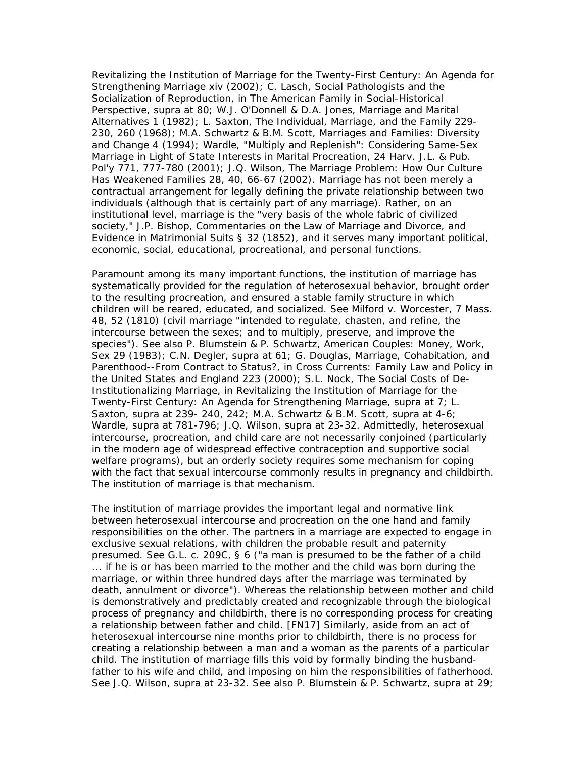Revitalizing the Institution of Marriage for the Twenty-First Century: An Agenda for Strengthening Marriage xiv (2002); C. Lasch, Social Pathologists and the Socialization of Reproduction, in The American Family in Social-Historical Perspective, *supra* at 80; W.J. O'Donnell & D.A. Jones, Marriage and Marital Alternatives 1 (1982); L. Saxton, The Individual, Marriage, and the Family 229- 230, 260 (1968); M.A. Schwartz & B.M. Scott, Marriages and Families: Diversity and Change 4 (1994); Wardle, "Multiply and Replenish": Considering Same-Sex Marriage in Light of State Interests in Marital Procreation, 24 Harv. J.L. & Pub. Pol'y 771, 777-780 (2001); J.Q. Wilson, The Marriage Problem: How Our Culture Has Weakened Families 28, 40, 66-67 (2002). Marriage has not been merely a contractual arrangement for legally defining the private relationship between two individuals (although that is certainly part of any marriage). Rather, on an institutional level, marriage is the "very basis of the whole fabric of civilized society," J.P. Bishop, Commentaries on the Law of Marriage and Divorce, and Evidence in Matrimonial Suits § 32 (1852), and it serves many important political, economic, social, educational, procreational, and personal functions.

Paramount among its many important functions, the institution of marriage has systematically provided for the regulation of heterosexual behavior, brought order to the resulting procreation, and ensured a stable family structure in which children will be reared, educated, and socialized. See *Milford v. Worcester,* 7 Mass. 48, 52 (1810) (civil marriage "intended to regulate, chasten, and refine, the intercourse between the sexes; and to multiply, preserve, and improve the species"). See also P. Blumstein & P. Schwartz, American Couples: Money, Work, Sex 29 (1983); C.N. Degler, *supra* at 61; G. Douglas, Marriage, Cohabitation, and Parenthood--From Contract to Status?, in Cross Currents: Family Law and Policy in the United States and England 223 (2000); S.L. Nock, The Social Costs of De-Institutionalizing Marriage, in Revitalizing the Institution of Marriage for the Twenty-First Century: An Agenda for Strengthening Marriage, *supra* at 7; L. Saxton, *supra* at 239- 240, 242; M.A. Schwartz & B.M. Scott, *supra* at 4-6; Wardle, *supra* at 781-796; J.Q. Wilson, *supra* at 23-32. Admittedly, heterosexual intercourse, procreation, and child care are not necessarily conjoined (particularly in the modern age of widespread effective contraception and supportive social welfare programs), but an orderly society requires some mechanism for coping with the fact that sexual intercourse commonly results in pregnancy and childbirth. The institution of marriage is that mechanism.

The institution of marriage provides the important legal and normative link between heterosexual intercourse and procreation on the one hand and family responsibilities on the other. The partners in a marriage are expected to engage in exclusive sexual relations, with children the probable result and paternity presumed. See G.L. c. 209C, § 6 ("a man is presumed to be the father of a child ... if he is or has been married to the mother and the child was born during the marriage, or within three hundred days after the marriage was terminated by death, annulment or divorce"). Whereas the relationship between mother and child is demonstratively and predictably created and recognizable through the biological process of pregnancy and childbirth, there is no corresponding process for creating a relationship between father and child. [FN17] Similarly, aside from an act of heterosexual intercourse nine months prior to childbirth, there is no process for creating a relationship between a man and a woman as the parents of a particular child. The institution of marriage fills this void by formally binding the husbandfather to his wife and child, and imposing on him the responsibilities of fatherhood. See J.Q. Wilson, *supra* at 23-32. See also P. Blumstein & P. Schwartz, *supra* at 29;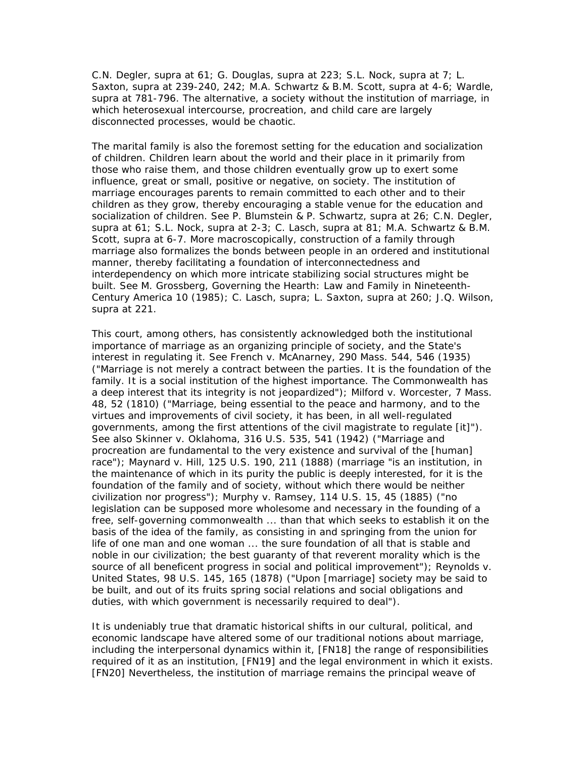C.N. Degler, *supra* at 61; G. Douglas, *supra* at 223; S.L. Nock, *supra* at 7; L. Saxton, *supra* at 239-240, 242; M.A. Schwartz & B.M. Scott, *supra* at 4-6; Wardle, *supra* at 781-796. The alternative, a society without the institution of marriage, in which heterosexual intercourse, procreation, and child care are largely disconnected processes, would be chaotic.

The marital family is also the foremost setting for the education and socialization of children. Children learn about the world and their place in it primarily from those who raise them, and those children eventually grow up to exert some influence, great or small, positive or negative, on society. The institution of marriage encourages parents to remain committed to each other and to their children as they grow, thereby encouraging a stable venue for the education and socialization of children. See P. Blumstein & P. Schwartz, *supra* at 26; C.N. Degler, *supra* at 61; S.L. Nock, *supra* at 2-3; C. Lasch, *supra* at 81; M.A. Schwartz & B.M. Scott, *supra* at 6-7. More macroscopically, construction of a family through marriage also formalizes the bonds between people in an ordered and institutional manner, thereby facilitating a foundation of interconnectedness and interdependency on which more intricate stabilizing social structures might be built. See M. Grossberg, Governing the Hearth: Law and Family in Nineteenth-Century America 10 (1985); C. Lasch, *supra;* L. Saxton, *supra* at 260; J.Q. Wilson, *supra* at 221.

This court, among others, has consistently acknowledged both the institutional importance of marriage as an organizing principle of society, and the State's interest in regulating it. See *French v. McAnarney,* 290 Mass. 544, 546 (1935) ("Marriage is not merely a contract between the parties. It is the foundation of the family. It is a social institution of the highest importance. The Commonwealth has a deep interest that its integrity is not jeopardized"); *Milford v. Worcester,* 7 Mass. 48, 52 (1810) ("Marriage, being essential to the peace and harmony, and to the virtues and improvements of civil society, it has been, in all well-regulated governments, among the first attentions of the civil magistrate to regulate [it]"). See also *Skinner v. Oklahoma,* 316 U.S. 535, 541 (1942) ("Marriage and procreation are fundamental to the very existence and survival of the [human] race"); *Maynard v. Hill,* 125 U.S. 190, 211 (1888) (marriage "is an institution, in the maintenance of which in its purity the public is deeply interested, for it is the foundation of the family and of society, without which there would be neither civilization nor progress"); *Murphy v. Ramsey,* 114 U.S. 15, 45 (1885) ("no legislation can be supposed more wholesome and necessary in the founding of a free, self-governing commonwealth ... than that which seeks to establish it on the basis of the idea of the family, as consisting in and springing from the union for life of one man and one woman ... the sure foundation of all that is stable and noble in our civilization; the best guaranty of that reverent morality which is the source of all beneficent progress in social and political improvement"); *Reynolds v. United States,* 98 U.S. 145, 165 (1878) ("Upon [marriage] society may be said to be built, and out of its fruits spring social relations and social obligations and duties, with which government is necessarily required to deal").

It is undeniably true that dramatic historical shifts in our cultural, political, and economic landscape have altered some of our traditional notions about marriage, including the interpersonal dynamics within it, [FN18] the range of responsibilities required of it as an institution, [FN19] and the legal environment in which it exists. [FN20] Nevertheless, the institution of marriage remains the principal weave of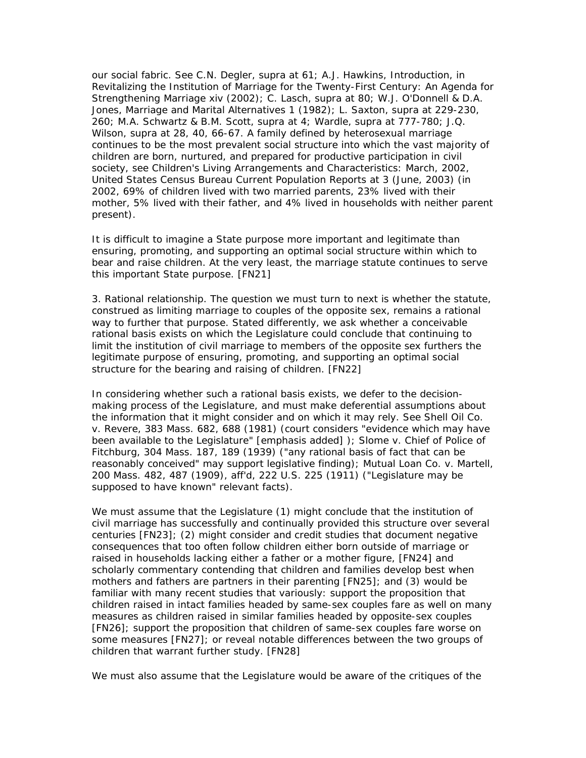our social fabric. See C.N. Degler, *supra* at 61; A.J. Hawkins, Introduction, in Revitalizing the Institution of Marriage for the Twenty-First Century: An Agenda for Strengthening Marriage xiv (2002); C. Lasch, *supra* at 80; W.J. O'Donnell & D.A. Jones, Marriage and Marital Alternatives 1 (1982); L. Saxton, *supra* at 229-230, 260; M.A. Schwartz & B.M. Scott, *supra* at 4; Wardle, *supra* at 777-780; J.Q. Wilson, *supra* at 28, 40, 66-67. A family defined by heterosexual marriage continues to be the most prevalent social structure into which the vast majority of children are born, nurtured, and prepared for productive participation in civil society, see Children's Living Arrangements and Characteristics: March, 2002, United States Census Bureau Current Population Reports at 3 (June, 2003) (in 2002, 69% of children lived with two married parents, 23% lived with their mother, 5% lived with their father, and 4% lived in households with neither parent present).

It is difficult to imagine a State purpose more important and legitimate than ensuring, promoting, and supporting an optimal social structure within which to bear and raise children. At the very least, the marriage statute continues to serve this important State purpose. [FN21]

3. *Rational relationship.* The question we must turn to next is whether the statute, construed as limiting marriage to couples of the opposite sex, remains a rational way to further that purpose. Stated differently, we ask whether a conceivable rational basis exists on which the Legislature could conclude that continuing to limit the institution of civil marriage to members of the opposite sex furthers the legitimate purpose of ensuring, promoting, and supporting an optimal social structure for the bearing and raising of children. [FN22]

In considering whether such a rational basis exists, we defer to the decisionmaking process of the Legislature, and must make deferential assumptions about the information that it might consider and on which it may rely. See *Shell Oil Co.* v. *Revere,* 383 Mass. 682, 688 (1981) (court considers "evidence which *may* have been available to the Legislature" [emphasis added] ); *Slome v. Chief of Police of Fitchburg,* 304 Mass. 187, 189 (1939) ("any rational basis of fact that can be reasonably conceived" may support legislative finding); *Mutual Loan Co. v. Martell,* 200 Mass. 482, 487 (1909), aff'd, 222 U.S. 225 (1911) ("Legislature may be supposed to have known" relevant facts).

We must assume that the Legislature (1) might conclude that the institution of civil marriage has successfully and continually provided this structure over several centuries [FN23]; (2) might consider and credit studies that document negative consequences that too often follow children either born outside of marriage or raised in households lacking either a father or a mother figure, [FN24] and scholarly commentary contending that children and families develop best when mothers and fathers are partners in their parenting [FN25]; and (3) would be familiar with many recent studies that variously: support the proposition that children raised in intact families headed by same-sex couples fare as well on many measures as children raised in similar families headed by opposite-sex couples [FN26]; support the proposition that children of same-sex couples fare worse on some measures [FN27]; or reveal notable differences between the two groups of children that warrant further study. [FN28]

We must also assume that the Legislature would be aware of the critiques of the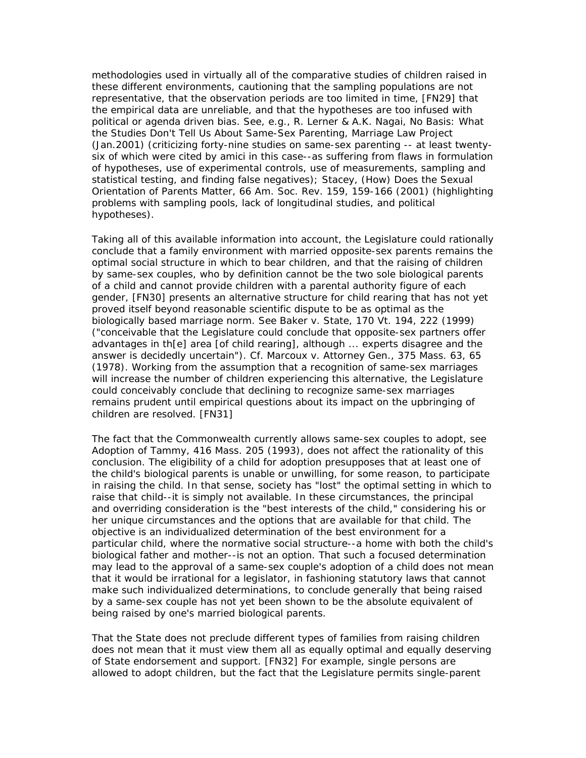methodologies used in virtually all of the comparative studies of children raised in these different environments, cautioning that the sampling populations are not representative, that the observation periods are too limited in time, [FN29] that the empirical data are unreliable, and that the hypotheses are too infused with political or agenda driven bias. See, e.g., R. Lerner & A.K. Nagai, No Basis: What the Studies Don't Tell Us About Same-Sex Parenting, Marriage Law Project (Jan.2001) (criticizing forty-nine studies on same-sex parenting *--* at least twentysix of which were cited by amici in this case--as suffering from flaws in formulation of hypotheses, use of experimental controls, use of measurements, sampling and statistical testing, and finding false negatives); Stacey, (How) Does the Sexual Orientation of Parents Matter, 66 Am. Soc. Rev. 159, 159-166 (2001) (highlighting problems with sampling pools, lack of longitudinal studies, and political hypotheses).

Taking all of this available information into account, the Legislature could rationally conclude that a family environment with married opposite-sex parents remains the optimal social structure in which to bear children, and that the raising of children by same-sex couples, who by definition cannot be the two sole biological parents of a child and cannot provide children with a parental authority figure of each gender, [FN30] presents an alternative structure for child rearing that has not yet proved itself beyond reasonable scientific dispute to be as optimal as the biologically based marriage norm. See *Baker v. State,* 170 Vt. 194, 222 (1999) ("conceivable that the Legislature could conclude that opposite-sex partners offer advantages in th[e] area [of child rearing], although ... experts disagree and the answer is decidedly uncertain"). Cf. *Marcoux v. Attorney Gen.,* 375 Mass. 63, 65 (1978). Working from the assumption that a recognition of same-sex marriages will increase the number of children experiencing this alternative, the Legislature could conceivably conclude that declining to recognize same-sex marriages remains prudent until empirical questions about its impact on the upbringing of children are resolved. [FN31]

The fact that the Commonwealth currently allows same-sex couples to adopt, see *Adoption of Tammy,* 416 Mass. 205 (1993), does not affect the rationality of this conclusion. The eligibility of a child for adoption presupposes that at least one of the child's biological parents is unable or unwilling, for some reason, to participate in raising the child. In that sense, society has "lost" the optimal setting in which to raise that child--it is simply not available. In these circumstances, the principal and overriding consideration is the "best interests of the child," considering his or her unique circumstances and the options that are available for that child. The objective is an individualized determination of the best environment for a particular child, where the normative social structure--a home with both the child's biological father and mother--is not an option. That such a focused determination may lead to the approval of a same-sex couple's adoption of a child does not mean that it would be irrational for a legislator, in fashioning statutory laws that cannot make such individualized determinations, to conclude generally that being raised by a same-sex couple has not yet been shown to be the absolute equivalent of being raised by one's married biological parents.

That the State does not preclude different types of families from raising children does not mean that it must view them all as equally optimal and equally deserving of State endorsement and support. [FN32] For example, single persons are allowed to adopt children, but the fact that the Legislature permits single-parent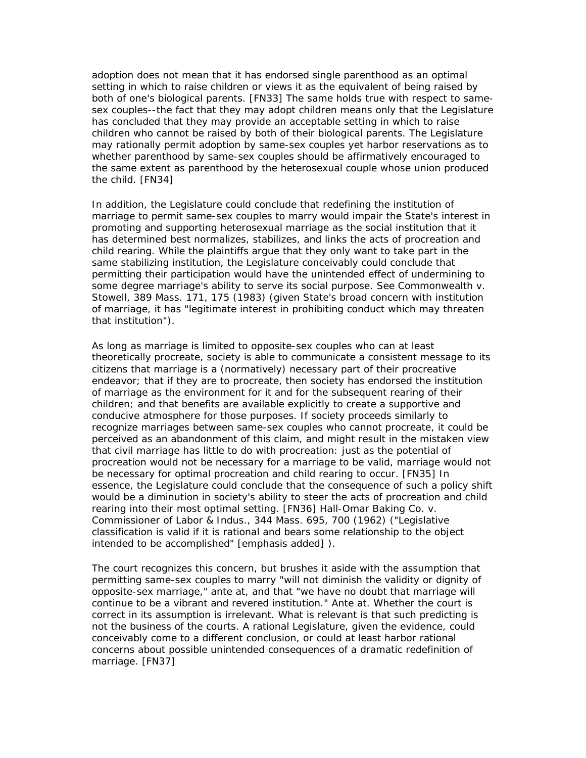adoption does not mean that it has endorsed single parenthood as an optimal setting in which to raise children or views it as the equivalent of being raised by both of one's biological parents. [FN33] The same holds true with respect to samesex couples--the fact that they may adopt children means only that the Legislature has concluded that they may provide an acceptable setting in which to raise children who cannot be raised by both of their biological parents. The Legislature may rationally permit adoption by same-sex couples yet harbor reservations as to whether parenthood by same-sex couples should be affirmatively encouraged to the same extent as parenthood by the heterosexual couple whose union produced the child. [FN34]

In addition, the Legislature could conclude that redefining the institution of marriage to permit same-sex couples to marry would impair the State's interest in promoting and supporting heterosexual marriage as the social institution that it has determined best normalizes, stabilizes, and links the acts of procreation and child rearing. While the plaintiffs argue that they only want to take part in the same stabilizing institution, the Legislature conceivably could conclude that permitting their participation would have the unintended effect of undermining to some degree marriage's ability to serve its social purpose. See *Commonwealth v. Stowell,* 389 Mass. 171, 175 (1983) (given State's broad concern with institution of marriage, it has "legitimate interest in prohibiting conduct which may threaten that institution").

As long as marriage is limited to opposite-sex couples who can at least theoretically procreate, society is able to communicate a consistent message to its citizens that marriage is a (normatively) necessary part of their procreative endeavor; that if they are to procreate, then society has endorsed the institution of marriage as the environment for it and for the subsequent rearing of their children; and that benefits are available explicitly to create a supportive and conducive atmosphere for those purposes. If society proceeds similarly to recognize marriages between same-sex couples who cannot procreate, it could be perceived as an abandonment of this claim, and might result in the mistaken view that civil marriage has little to do with procreation: just as the potential of procreation would not be necessary for a marriage to be valid, marriage would not be necessary for optimal procreation and child rearing to occur. [FN35] In essence, the Legislature could conclude that the consequence of such a policy shift would be a diminution in society's ability to steer the acts of procreation and child rearing into their most optimal setting. [FN36] *Hall-Omar Baking Co. v. Commissioner of Labor & Indus.,* 344 Mass. 695, 700 (1962) ("Legislative classification is valid if it is rational and bears *some* relationship to the object intended to be accomplished" [emphasis added] ).

The court recognizes this concern, but brushes it aside with the assumption that permitting same-sex couples to marry "will not diminish the validity or dignity of opposite-sex marriage," *ante* at, and that "we have no doubt that marriage will continue to be a vibrant and revered institution." *Ante* at. Whether the court is correct in its assumption is irrelevant. What is relevant is that such predicting is not the business of the courts. A rational Legislature, given the evidence, could conceivably come to a different conclusion, or could at least harbor rational concerns about possible unintended consequences of a dramatic redefinition of marriage. [FN37]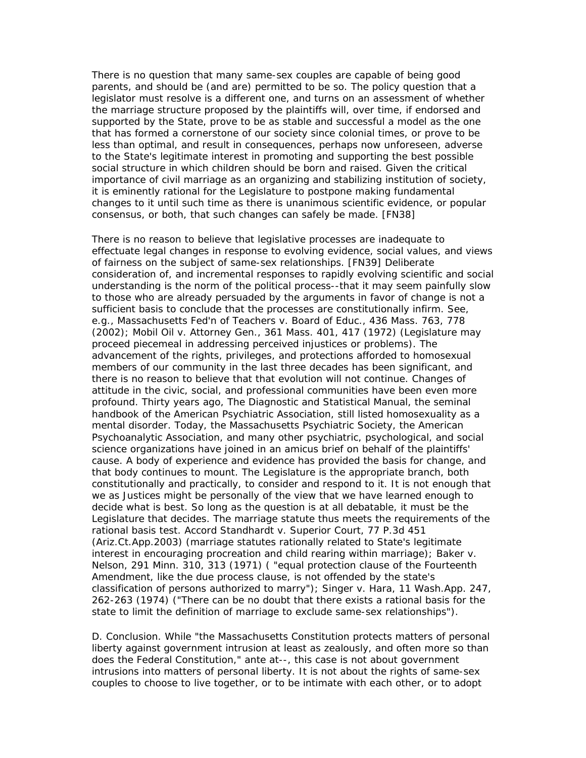There is no question that many same-sex couples are capable of being good parents, and should be (and are) permitted to be so. The policy question that a legislator must resolve is a different one, and turns on an assessment of whether the marriage structure proposed by the plaintiffs will, over time, if endorsed and supported by the State, prove to be as stable and successful a model as the one that has formed a cornerstone of our society since colonial times, or prove to be less than optimal, and result in consequences, perhaps now unforeseen, adverse to the State's legitimate interest in promoting and supporting the best possible social structure in which children should be born and raised. Given the critical importance of civil marriage as an organizing and stabilizing institution of society, it is eminently rational for the Legislature to postpone making fundamental changes to it until such time as there is unanimous scientific evidence, or popular consensus, or both, that such changes can safely be made. [FN38]

There is no reason to believe that legislative processes are inadequate to effectuate legal changes in response to evolving evidence, social values, and views of fairness on the subject of same-sex relationships. [FN39] Deliberate consideration of, and incremental responses to rapidly evolving scientific and social understanding is the norm of the political process--that it may seem painfully slow to those who are already persuaded by the arguments in favor of change is not a sufficient basis to conclude that the processes are constitutionally infirm. See, e.g., *Massachusetts Fed'n of Teachers v. Board of Educ.,* 436 Mass. 763, 778 (2002); *Mobil Oil v. Attorney Gen.,* 361 Mass. 401, 417 (1972) (Legislature may proceed piecemeal in addressing perceived injustices or problems). The advancement of the rights, privileges, and protections afforded to homosexual members of our community in the last three decades has been significant, and there is no reason to believe that that evolution will not continue. Changes of attitude in the civic, social, and professional communities have been even more profound. Thirty years ago, The Diagnostic and Statistical Manual, the seminal handbook of the American Psychiatric Association, still listed homosexuality as a mental disorder. Today, the Massachusetts Psychiatric Society, the American Psychoanalytic Association, and many other psychiatric, psychological, and social science organizations have joined in an amicus brief on behalf of the plaintiffs' cause. A body of experience and evidence has provided the basis for change, and that body continues to mount. The Legislature is the appropriate branch, both constitutionally and practically, to consider and respond to it. It is not enough that we as Justices might be personally of the view that we have learned enough to decide what is best. So long as the question is at all debatable, it must be the Legislature that decides. The marriage statute thus meets the requirements of the rational basis test. Accord *Standhardt v. Superior Court,* 77 P.3d 451 (Ariz.Ct.App.2003) (marriage statutes rationally related to State's legitimate interest in encouraging procreation and child rearing within marriage); *Baker v. Nelson,* 291 Minn. 310, 313 (1971) ( "equal protection clause of the Fourteenth Amendment, like the due process clause, is not offended by the state's classification of persons authorized to marry"); *Singer v. Hara,* 11 Wash.App. 247, 262-263 (1974) ("There can be no doubt that there exists a rational basis for the state to limit the definition of marriage to exclude same-sex relationships").

D. *Conclusion.* While "the Massachusetts Constitution protects matters of personal liberty against government intrusion at least as zealously, and often more so than does the Federal Constitution," *ante* at--, this case is not about government intrusions into matters of personal liberty. It is not about the rights of same-sex couples to choose to live together, or to be intimate with each other, or to adopt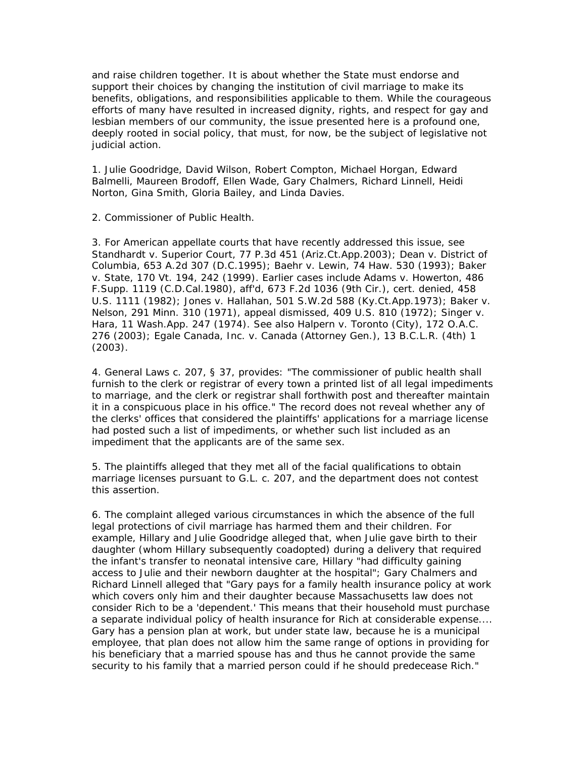and raise children together. It is about whether the State must endorse and support their choices by changing the institution of civil marriage to make its benefits, obligations, and responsibilities applicable to them. While the courageous efforts of many have resulted in increased dignity, rights, and respect for gay and lesbian members of our community, the issue presented here is a profound one, deeply rooted in social policy, that must, for now, be the subject of legislative not judicial action.

1. Julie Goodridge, David Wilson, Robert Compton, Michael Horgan, Edward Balmelli, Maureen Brodoff, Ellen Wade, Gary Chalmers, Richard Linnell, Heidi Norton, Gina Smith, Gloria Bailey, and Linda Davies.

2. Commissioner of Public Health.

3. For American appellate courts that have recently addressed this issue, see *Standhardt v. Superior Court,* 77 P.3d 451 (Ariz.Ct.App.2003); *Dean v. District of Columbia,* 653 A.2d 307 (D.C.1995); *Baehr v. Lewin,* 74 Haw. 530 (1993); *Baker v. State,* 170 Vt. 194, 242 (1999). Earlier cases include *Adams v. Howerton,* 486 F.Supp. 1119 (C.D.Cal.1980), aff'd, 673 F.2d 1036 (9th Cir.), cert. denied, 458 U.S. 1111 (1982); *Jones v. Hallahan,* 501 S.W.2d 588 (Ky.Ct.App.1973); *Baker v. Nelson,* 291 Minn. 310 (1971), appeal dismissed, 409 U.S. 810 (1972); *Singer v. Hara,* 11 Wash.App. 247 (1974). See also *Halpern v. Toronto (City),* 172 O.A.C. 276 (2003); *Egale Canada, Inc.* v. *Canada (Attorney Gen.),* 13 B.C.L.R. (4th) 1 (2003).

4. General Laws c. 207, § 37, provides: "The commissioner of public health shall furnish to the clerk or registrar of every town a printed list of all legal impediments to marriage, and the clerk or registrar shall forthwith post and thereafter maintain it in a conspicuous place in his office." The record does not reveal whether any of the clerks' offices that considered the plaintiffs' applications for a marriage license had posted such a list of impediments, or whether such list included as an impediment that the applicants are of the same sex.

5. The plaintiffs alleged that they met all of the facial qualifications to obtain marriage licenses pursuant to G.L. c. 207, and the department does not contest this assertion.

6. The complaint alleged various circumstances in which the absence of the full legal protections of civil marriage has harmed them and their children. For example, Hillary and Julie Goodridge alleged that, when Julie gave birth to their daughter (whom Hillary subsequently coadopted) during a delivery that required the infant's transfer to neonatal intensive care, Hillary "had difficulty gaining access to Julie and their newborn daughter at the hospital"; Gary Chalmers and Richard Linnell alleged that "Gary pays for a family health insurance policy at work which covers only him and their daughter because Massachusetts law does not consider Rich to be a 'dependent.' This means that their household must purchase a separate individual policy of health insurance for Rich at considerable expense.... Gary has a pension plan at work, but under state law, because he is a municipal employee, that plan does not allow him the same range of options in providing for his beneficiary that a married spouse has and thus he cannot provide the same security to his family that a married person could if he should predecease Rich."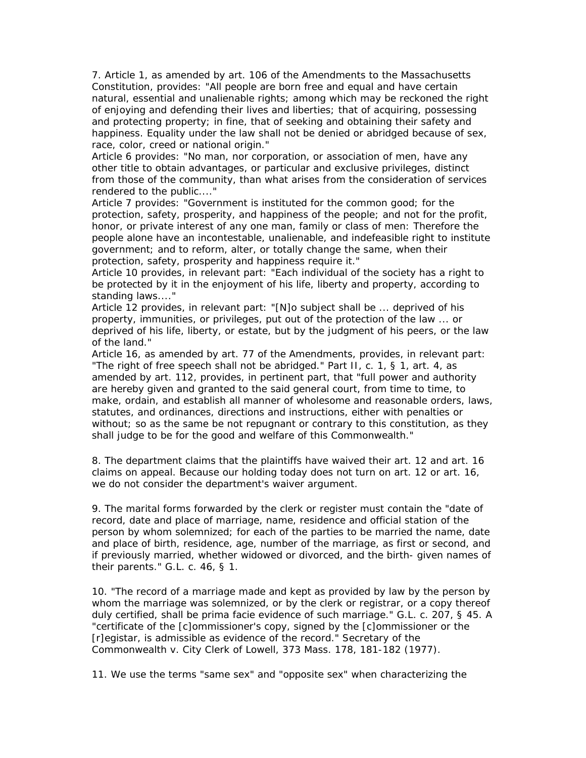7. Article 1, as amended by art. 106 of the Amendments to the Massachusetts Constitution, provides: "All people are born free and equal and have certain natural, essential and unalienable rights; among which may be reckoned the right of enjoying and defending their lives and liberties; that of acquiring, possessing and protecting property; in fine, that of seeking and obtaining their safety and happiness. Equality under the law shall not be denied or abridged because of sex, race, color, creed or national origin."

Article 6 provides: "No man, nor corporation, or association of men, have any other title to obtain advantages, or particular and exclusive privileges, distinct from those of the community, than what arises from the consideration of services rendered to the public...."

Article 7 provides: "Government is instituted for the common good; for the protection, safety, prosperity, and happiness of the people; and not for the profit, honor, or private interest of any one man, family or class of men: Therefore the people alone have an incontestable, unalienable, and indefeasible right to institute government; and to reform, alter, or totally change the same, when their protection, safety, prosperity and happiness require it."

Article 10 provides, in relevant part: "Each individual of the society has a right to be protected by it in the enjoyment of his life, liberty and property, according to standing laws...."

Article 12 provides, in relevant part: "[N]o subject shall be ... deprived of his property, immunities, or privileges, put out of the protection of the law ... or deprived of his life, liberty, or estate, but by the judgment of his peers, or the law of the land."

Article 16, as amended by art. 77 of the Amendments, provides, in relevant part: "The right of free speech shall not be abridged." Part II, c. 1, § 1, art. 4, as amended by art. 112, provides, in pertinent part, that "full power and authority are hereby given and granted to the said general court, from time to time, to make, ordain, and establish all manner of wholesome and reasonable orders, laws, statutes, and ordinances, directions and instructions, either with penalties or without; so as the same be not repugnant or contrary to this constitution, as they shall judge to be for the good and welfare of this Commonwealth."

8. The department claims that the plaintiffs have waived their art. 12 and art. 16 claims on appeal. Because our holding today does not turn on art. 12 or art. 16, we do not consider the department's waiver argument.

9. The marital forms forwarded by the clerk or register must contain the "date of record, date and place of marriage, name, residence and official station of the person by whom solemnized; for each of the parties to be married the name, date and place of birth, residence, age, number of the marriage, as first or second, and if previously married, whether widowed or divorced, and the birth- given names of their parents." G.L. c. 46, § 1.

10. "The record of a marriage made and kept as provided by law by the person by whom the marriage was solemnized, or by the clerk or registrar, or a copy thereof duly certified, shall be prima facie evidence of such marriage." G.L. c. 207, § 45. A "certificate of the [c]ommissioner's copy, signed by the [c]ommissioner or the [r]egistar, is admissible as evidence of the record." *Secretary of the Commonwealth v. City Clerk of Lowell,* 373 Mass. 178, 181-182 (1977).

11. We use the terms "same sex" and "opposite sex" when characterizing the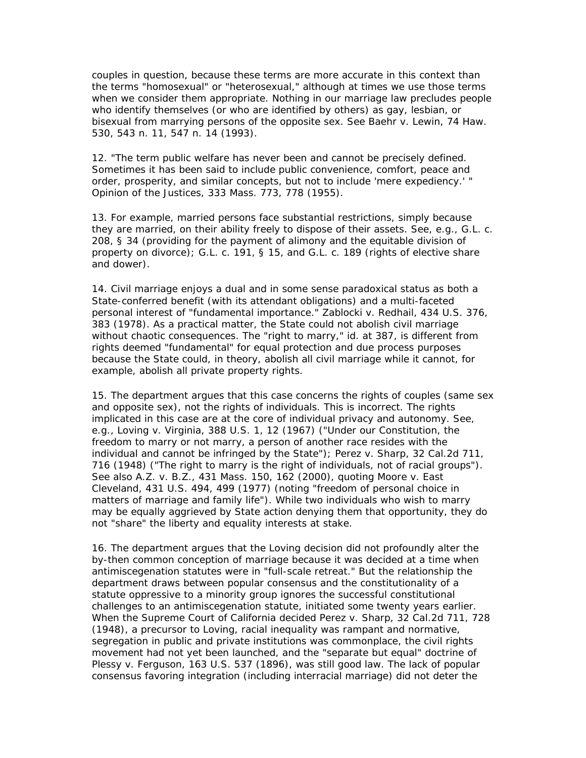couples in question, because these terms are more accurate in this context than the terms "homosexual" or "heterosexual," although at times we use those terms when we consider them appropriate. Nothing in our marriage law precludes people who identify themselves (or who are identified by others) as gay, lesbian, or bisexual from marrying persons of the opposite sex. See *Baehr v. Lewin,* 74 Haw. 530, 543 n. 11, 547 n. 14 (1993).

12. "The term public welfare has never been and cannot be precisely defined. Sometimes it has been said to include public convenience, comfort, peace and order, prosperity, and similar concepts, but not to include 'mere expediency.' " *Opinion of the Justices,* 333 Mass. 773, 778 (1955).

13. For example, married persons face substantial restrictions, simply because they are married, on their ability freely to dispose of their assets. See, e.g., G.L. c. 208, § 34 (providing for the payment of alimony and the equitable division of property on divorce); G.L. c. 191, § 15, and G.L. c. 189 (rights of elective share and dower).

14. Civil marriage enjoys a dual and in some sense paradoxical status as both a State-conferred benefit (with its attendant obligations) and a multi-faceted personal interest of "fundamental importance." *Zablocki v. Redhail,* 434 U.S. 376, 383 (1978). As a practical matter, the State could not abolish civil marriage without chaotic consequences. The "right to marry," *id.* at 387, is different from rights deemed "fundamental" for equal protection and due process purposes because the State could, in theory, abolish all civil marriage while it cannot, for example, abolish all private property rights.

15. The department argues that this case concerns the rights of couples (same sex and opposite sex), not the rights of individuals. This is incorrect. The rights implicated in this case are at the core of individual privacy and autonomy. See, e.g., *Loving v. Virginia,* 388 U.S. 1, 12 (1967) ("Under our Constitution, the freedom to marry or not marry, a person of another race resides with the individual and cannot be infringed by the State"); *Perez v. Sharp,* 32 Cal.2d 711, 716 (1948) ("The right to marry is the right of individuals, not of racial groups"). See also *A.Z.* v. *B.Z.,* 431 Mass. 150, 162 (2000), quoting *Moore v. East Cleveland,* 431 U.S. 494, 499 (1977) (noting "freedom of personal choice in matters of marriage and family life"). While two individuals who wish to marry may be equally aggrieved by State action denying them that opportunity, they do not "share" the liberty and equality interests at stake.

16. The department argues that the *Loving* decision did not profoundly alter the by-then common conception of marriage because it was decided at a time when antimiscegenation statutes were in "full-scale retreat." But the relationship the department draws between popular consensus and the constitutionality of a statute oppressive to a minority group ignores the successful constitutional challenges to an antimiscegenation statute, initiated some twenty years earlier. When the Supreme Court of California decided *Perez v. Sharp,* 32 Cal.2d 711, 728 (1948), a precursor to *Loving,* racial inequality was rampant and normative, segregation in public and private institutions was commonplace, the civil rights movement had not yet been launched, and the "separate but equal" doctrine of *Plessy v. Ferguson,* 163 U.S. 537 (1896), was still good law. The lack of popular consensus favoring integration (including interracial marriage) did not deter the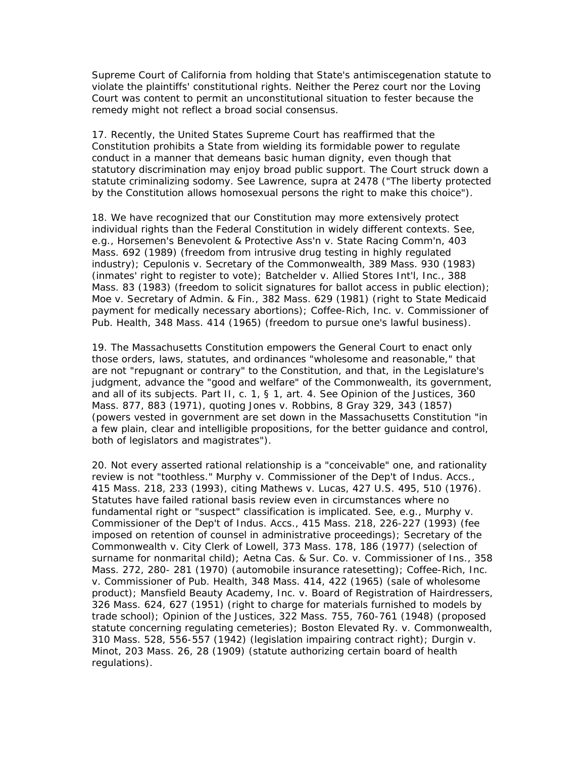Supreme Court of California from holding that State's antimiscegenation statute to violate the plaintiffs' constitutional rights. Neither the *Perez* court nor the *Loving* Court was content to permit an unconstitutional situation to fester because the remedy might not reflect a broad social consensus.

17. Recently, the United States Supreme Court has reaffirmed that the Constitution prohibits a State from wielding its formidable power to regulate conduct in a manner that demeans basic human dignity, even though that statutory discrimination may enjoy broad public support. The Court struck down a statute criminalizing sodomy. See *Lawrence, supra* at 2478 ("The liberty protected by the Constitution allows homosexual persons the right to make this choice").

18. We have recognized that our Constitution may more extensively protect individual rights than the Federal Constitution in widely different contexts. See, e.g., *Horsemen's Benevolent & Protective Ass'n v. State Racing Comm'n,* 403 Mass. 692 (1989) (freedom from intrusive drug testing in highly regulated industry); *Cepulonis v. Secretary of the Commonwealth,* 389 Mass. 930 (1983) (inmates' right to register to vote); *Batchelder v. Allied Stores Int'l, Inc.,* 388 Mass. 83 (1983) (freedom to solicit signatures for ballot access in public election); *Moe v. Secretary of Admin. & Fin.,* 382 Mass. 629 (1981) (right to State Medicaid payment for medically necessary abortions); *Coffee-Rich, Inc.* v. *Commissioner of Pub. Health,* 348 Mass. 414 (1965) (freedom to pursue one's lawful business).

19. The Massachusetts Constitution empowers the General Court to enact only those orders, laws, statutes, and ordinances "wholesome and reasonable," that are not "repugnant or contrary" to the Constitution, and that, in the Legislature's judgment, advance the "good and welfare" of the Commonwealth, its government, and all of its subjects. Part II, c. 1, § 1, art. 4. See *Opinion of the Justices,* 360 Mass. 877, 883 (1971), quoting *Jones v. Robbins,* 8 Gray 329, 343 (1857) (powers vested in government are set down in the Massachusetts Constitution "in a few plain, clear and intelligible propositions, for the better guidance and control, both of legislators and magistrates").

20. Not every asserted rational relationship is a "conceivable" one, and rationality review is not "toothless." *Murphy v. Commissioner of the Dep't of Indus. Accs.,* 415 Mass. 218, 233 (1993), citing *Mathews v. Lucas,* 427 U.S. 495, 510 (1976). Statutes have failed rational basis review even in circumstances where no fundamental right or "suspect" classification is implicated. See, e.g., *Murphy v. Commissioner of the Dep't of Indus. Accs.,* 415 Mass. 218, 226-227 (1993) (fee imposed on retention of counsel in administrative proceedings); *Secretary of the Commonwealth v. City Clerk of Lowell,* 373 Mass. 178, 186 (1977) (selection of surname for nonmarital child); *Aetna Cas. & Sur. Co.* v. *Commissioner of Ins.,* 358 Mass. 272, 280- 281 (1970) (automobile insurance ratesetting); *Coffee-Rich, Inc. v. Commissioner of Pub. Health,* 348 Mass. 414, 422 (1965) (sale of wholesome product); *Mansfield Beauty Academy, Inc.* v. *Board of Registration of Hairdressers,* 326 Mass. 624, 627 (1951) (right to charge for materials furnished to models by trade school); *Opinion of the Justices,* 322 Mass. 755, 760-761 (1948) (proposed statute concerning regulating cemeteries); *Boston Elevated Ry.* v. *Commonwealth,* 310 Mass. 528, 556-557 (1942) (legislation impairing contract right); *Durgin v. Minot,* 203 Mass. 26, 28 (1909) (statute authorizing certain board of health regulations).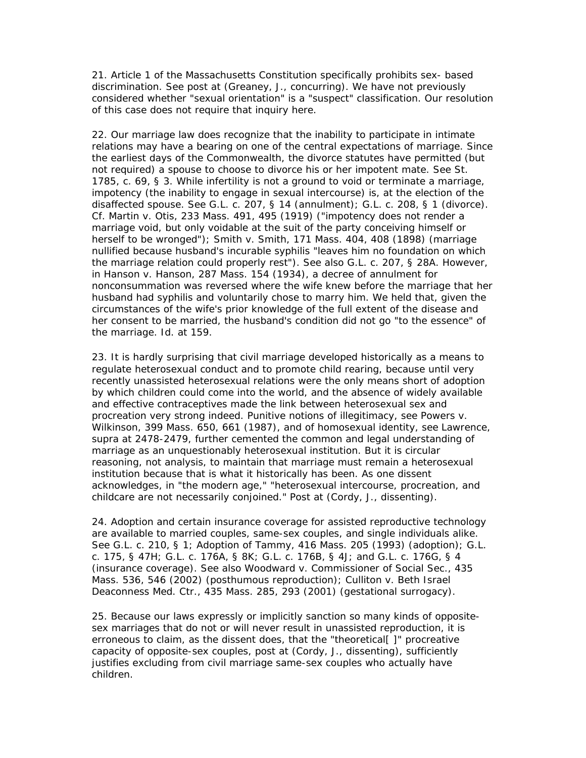21. Article 1 of the Massachusetts Constitution specifically prohibits sex- based discrimination. See *post* at (Greaney, J., concurring). We have not previously considered whether "sexual orientation" is a "suspect" classification. Our resolution of this case does not require that inquiry here.

22. Our marriage law does recognize that the inability to participate in intimate relations may have a bearing on one of the central expectations of marriage. Since the earliest days of the Commonwealth, the divorce statutes have permitted (but not required) a spouse to choose to divorce his or her impotent mate. See St. 1785, c. 69, § 3. While infertility is not a ground to void or terminate a marriage, impotency (the inability to engage in sexual intercourse) is, at the election of the disaffected spouse. See G.L. c. 207, § 14 (annulment); G.L. c. 208, § 1 (divorce). Cf. *Martin v. Otis,* 233 Mass. 491, 495 (1919) ("impotency does not render a marriage void, but only voidable at the suit of the party conceiving himself or herself to be wronged"); *Smith v. Smith,* 171 Mass. 404, 408 (1898) (marriage nullified because husband's incurable syphilis "leaves him no foundation on which the marriage relation could properly rest"). See also G.L. c. 207, § 28A. However, in *Hanson v. Hanson,* 287 Mass. 154 (1934), a decree of annulment for nonconsummation was reversed where the wife knew before the marriage that her husband had syphilis and voluntarily chose to marry him. We held that, given the circumstances of the wife's prior knowledge of the full extent of the disease and her consent to be married, the husband's condition did not go "to the essence" of the marriage. *Id.* at 159.

23. It is hardly surprising that civil marriage developed historically as a means to regulate heterosexual conduct and to promote child rearing, because until very recently unassisted heterosexual relations were the only means short of adoption by which children could come into the world, and the absence of widely available and effective contraceptives made the link between heterosexual sex and procreation very strong indeed. Punitive notions of illegitimacy, see *Powers v. Wilkinson,* 399 Mass. 650, 661 (1987), and of homosexual identity, see *Lawrence, supra* at 2478-2479, further cemented the common and legal understanding of marriage as an unquestionably heterosexual institution. But it is circular reasoning, not analysis, to maintain that marriage must remain a heterosexual institution because that is what it historically has been. As one dissent acknowledges, in "the modern age," "heterosexual intercourse, procreation, and childcare are not necessarily conjoined." *Post* at (Cordy, J., dissenting).

24. Adoption and certain insurance coverage for assisted reproductive technology are available to married couples, same-sex couples, and single individuals alike. See G.L. c. 210, § 1; *Adoption of Tammy,* 416 Mass. 205 (1993) (adoption); G.L. c. 175, § 47H; G.L. c. 176A, § 8K; G.L. c. 176B, § 4J; and G.L. c. 176G, § 4 (insurance coverage). See also *Woodward v. Commissioner of Social Sec.,* 435 Mass. 536, 546 (2002) (posthumous reproduction); *Culliton v. Beth Israel Deaconness Med. Ctr.,* 435 Mass. 285, 293 (2001) (gestational surrogacy).

25. Because our laws expressly or implicitly sanction so many kinds of oppositesex marriages that do not or will never result in unassisted reproduction, it is erroneous to claim, as the dissent does, that the "theoretical[ ]" procreative capacity of opposite-sex couples, *post* at (Cordy, J., dissenting), sufficiently justifies excluding from civil marriage same-sex couples who actually have children.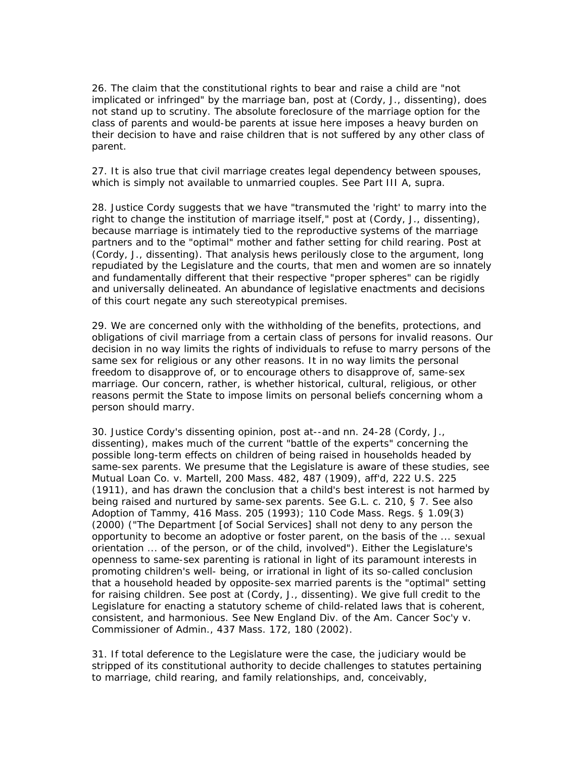26. The claim that the constitutional rights to bear and raise a child are "not implicated or infringed" by the marriage ban, *post* at (Cordy, J., dissenting), does not stand up to scrutiny. The absolute foreclosure of the marriage option for the class of parents and would-be parents at issue here imposes a heavy burden on their decision to have and raise children that is not suffered by any other class of parent.

27. It is also true that civil marriage creates legal dependency between spouses, which is simply not available to unmarried couples. See Part III A, *supra.*

28. Justice Cordy suggests that we have "transmuted the 'right' to marry into the right to change the institution of marriage itself," *post* at (Cordy, J., dissenting), because marriage is intimately tied to the reproductive systems of the marriage partners and to the "optimal" mother and father setting for child rearing. *Post* at (Cordy, J., dissenting). That analysis hews perilously close to the argument, long repudiated by the Legislature and the courts, that men and women are so innately and fundamentally different that their respective "proper spheres" can be rigidly and universally delineated. An abundance of legislative enactments and decisions of this court negate any such stereotypical premises.

29. We are concerned only with the withholding of the benefits, protections, and obligations of civil marriage from a certain class of persons for invalid reasons. Our decision in no way limits the rights of individuals to refuse to marry persons of the same sex for religious or any other reasons. It in no way limits the personal freedom to disapprove of, or to encourage others to disapprove of, same-sex marriage. Our concern, rather, is whether historical, cultural, religious, or other reasons permit the State to impose limits on personal beliefs concerning whom a person should marry.

30. Justice Cordy's dissenting opinion, *post* at--and nn. 24-28 (Cordy, J., dissenting), makes much of the current "battle of the experts" concerning the possible long-term effects on children of being raised in households headed by same-sex parents. We presume that the Legislature is aware of these studies, see *Mutual Loan Co.* v. *Martell,* 200 Mass. 482, 487 (1909), aff'd, 222 U.S. 225 (1911), and has drawn the conclusion that a child's best interest is not harmed by being raised and nurtured by same-sex parents. See G.L. c. 210, § 7. See also *Adoption of Tammy,* 416 Mass. 205 (1993); 110 Code Mass. Regs. § 1.09(3) (2000) ("The Department [of Social Services] shall not deny to any person the opportunity to become an adoptive or foster parent, on the basis of the ... sexual orientation ... of the person, or of the child, involved"). Either the Legislature's openness to same-sex parenting is rational in light of its paramount interests in promoting children's well- being, or irrational in light of its so-called conclusion that a household headed by opposite-sex married parents is the "optimal" setting for raising children. See *post* at (Cordy, J., dissenting). We give full credit to the Legislature for enacting a statutory scheme of child-related laws that is coherent, consistent, and harmonious. See *New England Div. of the Am. Cancer Soc'y v. Commissioner of Admin.,* 437 Mass. 172, 180 (2002).

31. If total deference to the Legislature were the case, the judiciary would be stripped of its constitutional authority to decide challenges to statutes pertaining to marriage, child rearing, and family relationships, and, conceivably,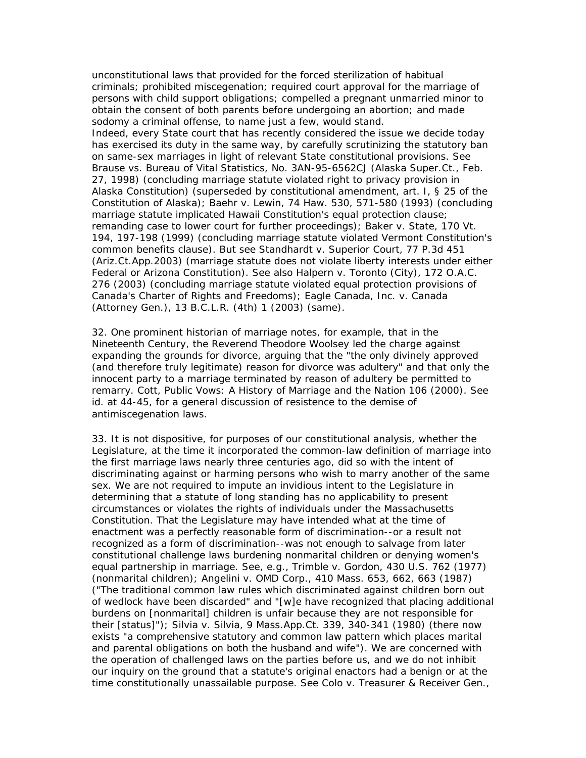unconstitutional laws that provided for the forced sterilization of habitual criminals; prohibited miscegenation; required court approval for the marriage of persons with child support obligations; compelled a pregnant unmarried minor to obtain the consent of both parents before undergoing an abortion; and made sodomy a criminal offense, to name just a few, would stand. Indeed, every State court that has recently considered the issue we decide today has exercised its duty in the same way, by carefully scrutinizing the statutory ban on same-sex marriages in light of relevant State constitutional provisions. See Brause *vs.* Bureau of Vital Statistics, No. 3AN-95-6562CJ (Alaska Super.Ct., Feb. 27, 1998) (concluding marriage statute violated right to privacy provision in Alaska Constitution) (superseded by constitutional amendment, art. I, § 25 of the Constitution of Alaska); *Baehr v. Lewin,* 74 Haw. 530, 571-580 (1993) (concluding marriage statute implicated Hawaii Constitution's equal protection clause; remanding case to lower court for further proceedings); *Baker v. State,* 170 Vt. 194, 197-198 (1999) (concluding marriage statute violated Vermont Constitution's common benefits clause). But see *Standhardt v. Superior Court,* 77 P.3d 451 (Ariz.Ct.App.2003) (marriage statute does not violate liberty interests under either Federal or Arizona Constitution). See also *Halpern v. Toronto (City),* 172 O.A.C. 276 (2003) (concluding marriage statute violated equal protection provisions of Canada's Charter of Rights and Freedoms); *Eagle Canada, Inc.* v. *Canada (Attorney Gen.),* 13 B.C.L.R. (4th) 1 (2003) (same).

32. One prominent historian of marriage notes, for example, that in the Nineteenth Century, the Reverend Theodore Woolsey led the charge against expanding the grounds for divorce, arguing that the "the only divinely approved (and therefore truly legitimate) reason for divorce was adultery" and that only the innocent party to a marriage terminated by reason of adultery be permitted to remarry. Cott, Public Vows: A History of Marriage and the Nation 106 (2000). See *id.* at 44-45, for a general discussion of resistence to the demise of antimiscegenation laws.

33. It is not dispositive, for purposes of our constitutional analysis, whether the Legislature, at the time it incorporated the common-law definition of marriage into the first marriage laws nearly three centuries ago, did so with the intent of discriminating against or harming persons who wish to marry another of the same sex. We are not required to impute an invidious intent to the Legislature in determining that a statute of long standing has no applicability to present circumstances or violates the rights of individuals under the Massachusetts Constitution. That the Legislature may have intended what at the time of enactment was a perfectly reasonable form of discrimination--or a result not recognized as a form of discrimination--was not enough to salvage from later constitutional challenge laws burdening nonmarital children or denying women's equal partnership in marriage. See, e.g., *Trimble v. Gordon,* 430 U.S. 762 (1977) (nonmarital children); *Angelini v. OMD Corp.,* 410 Mass. 653, 662, 663 (1987) ("The traditional common law rules which discriminated against children born out of wedlock have been discarded" and "[w]e have recognized that placing additional burdens on [nonmarital] children is unfair because they are not responsible for their [status]"); *Silvia v. Silvia,* 9 Mass.App.Ct. 339, 340-341 (1980) (there now exists "a comprehensive statutory and common law pattern which places marital and parental obligations on both the husband and wife"). We are concerned with the operation of challenged laws on the parties before us, and we do not inhibit our inquiry on the ground that a statute's original enactors had a benign or at the time constitutionally unassailable purpose. See *Colo v. Treasurer & Receiver Gen.,*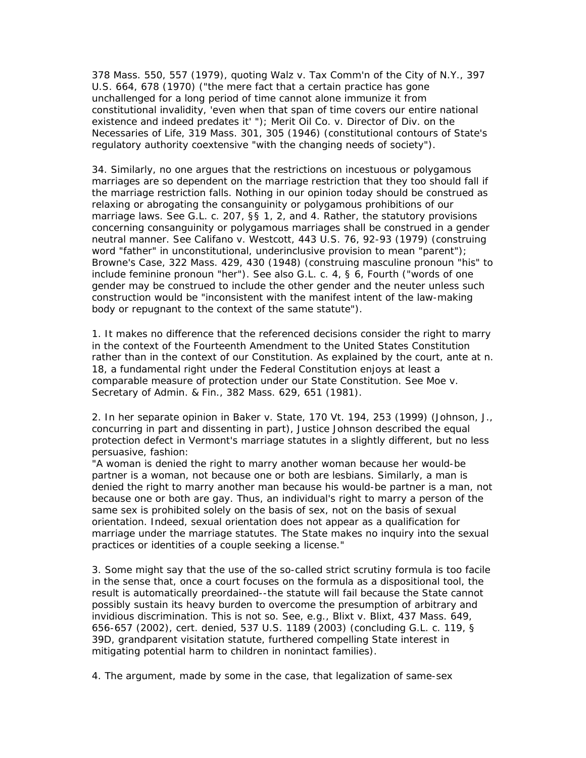378 Mass. 550, 557 (1979), quoting *Walz v. Tax Comm'n of the City of N.Y.,* 397 U.S. 664, 678 (1970) ("the mere fact that a certain practice has gone unchallenged for a long period of time cannot alone immunize it from constitutional invalidity, 'even when that span of time covers our entire national existence and indeed predates it' "); *Merit Oil Co.* v. *Director of Div. on the Necessaries of Life,* 319 Mass. 301, 305 (1946) (constitutional contours of State's regulatory authority coextensive "with the changing needs of society").

34. Similarly, no one argues that the restrictions on incestuous or polygamous marriages are so dependent on the marriage restriction that they too should fall if the marriage restriction falls. Nothing in our opinion today should be construed as relaxing or abrogating the consanguinity or polygamous prohibitions of our marriage laws. See G.L. c. 207, §§ 1, 2, and 4. Rather, the statutory provisions concerning consanguinity or polygamous marriages shall be construed in a gender neutral manner. See *Califano v. Westcott,* 443 U.S. 76, 92-93 (1979) (construing word "father" in unconstitutional, underinclusive provision to mean "parent"); *Browne's Case,* 322 Mass. 429, 430 (1948) (construing masculine pronoun "his" to include feminine pronoun "her"). See also G.L. c. 4, § 6, Fourth ("words of one gender may be construed to include the other gender and the neuter unless such construction would be "inconsistent with the manifest intent of the law-making body or repugnant to the context of the same statute").

1. It makes no difference that the referenced decisions consider the right to marry in the context of the Fourteenth Amendment to the United States Constitution rather than in the context of our Constitution. As explained by the court, *ante* at n. 18, a fundamental right under the Federal Constitution enjoys at least a comparable measure of protection under our State Constitution. See *Moe v. Secretary of Admin. & Fin.,* 382 Mass. 629, 651 (1981).

2. In her separate opinion in *Baker v. State,* 170 Vt. 194, 253 (1999) (Johnson, J., concurring in part and dissenting in part), Justice Johnson described the equal protection defect in Vermont's marriage statutes in a slightly different, but no less persuasive, fashion:

"A woman is denied the right to marry another woman because her would-be partner is a woman, not because one or both are lesbians. Similarly, a man is denied the right to marry another man because his would-be partner is a man, not because one or both are gay. Thus, an individual's right to marry a person of the same sex is prohibited solely on the basis of sex, not on the basis of sexual orientation. Indeed, sexual orientation does not appear as a qualification for marriage under the marriage statutes. The State makes no inquiry into the sexual practices or identities of a couple seeking a license."

3. Some might say that the use of the so-called strict scrutiny formula is too facile in the sense that, once a court focuses on the formula as a dispositional tool, the result is automatically preordained--the statute will fail because the State cannot possibly sustain its heavy burden to overcome the presumption of arbitrary and invidious discrimination. This is not so. See, e.g., *Blixt v. Blixt,* 437 Mass. 649, 656-657 (2002), cert. denied, 537 U.S. 1189 (2003) (concluding G.L. c. 119, § 39D, grandparent visitation statute, furthered compelling State interest in mitigating potential harm to children in nonintact families).

4. The argument, made by some in the case, that legalization of same-sex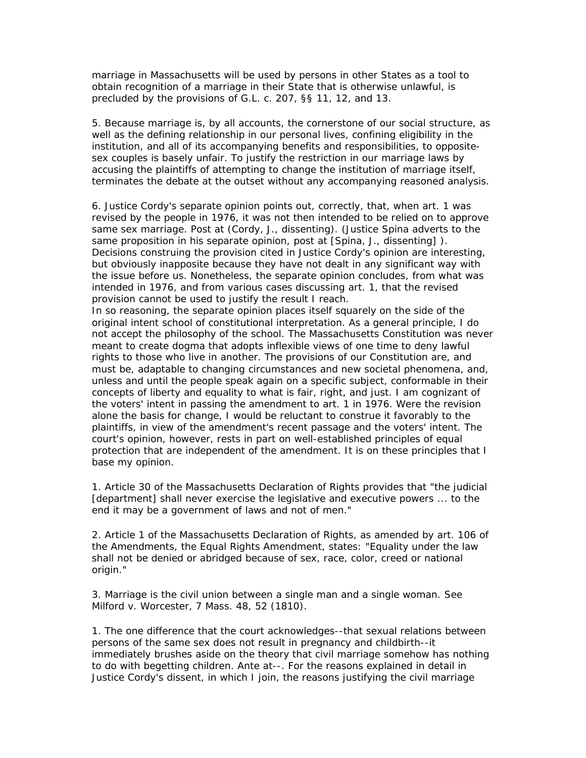marriage in Massachusetts will be used by persons in other States as a tool to obtain recognition of a marriage in their State that is otherwise unlawful, is precluded by the provisions of G.L. c. 207, §§ 11, 12, and 13.

5. Because marriage is, by all accounts, the cornerstone of our social structure, as well as the defining relationship in our personal lives, confining eligibility in the institution, and all of its accompanying benefits and responsibilities, to oppositesex couples is basely unfair. To justify the restriction in our marriage laws by accusing the plaintiffs of attempting to change the institution of marriage itself, terminates the debate at the outset without any accompanying reasoned analysis.

6. Justice Cordy's separate opinion points out, correctly, that, when art. 1 was revised by the people in 1976, it was not then intended to be relied on to approve same sex marriage. *Post* at (Cordy, J., dissenting). (Justice Spina adverts to the same proposition in his separate opinion, *post* at [Spina, J., dissenting] ). Decisions construing the provision cited in Justice Cordy's opinion are interesting, but obviously inapposite because they have not dealt in any significant way with the issue before us. Nonetheless, the separate opinion concludes, from what was intended in 1976, and from various cases discussing art. 1, that the revised provision cannot be used to justify the result I reach.

In so reasoning, the separate opinion places itself squarely on the side of the original intent school of constitutional interpretation. As a general principle, I do not accept the philosophy of the school. The Massachusetts Constitution was never meant to create dogma that adopts inflexible views of one time to deny lawful rights to those who live in another. The provisions of our Constitution are, and must be, adaptable to changing circumstances and new societal phenomena, and, unless and until the people speak again on a specific subject, conformable in their concepts of liberty and equality to what is fair, right, and just. I am cognizant of the voters' intent in passing the amendment to art. 1 in 1976. Were the revision alone the basis for change, I would be reluctant to construe it favorably to the plaintiffs, in view of the amendment's recent passage and the voters' intent. The court's opinion, however, rests in part on well-established principles of equal protection that are independent of the amendment. It is on these principles that I base my opinion.

1. Article 30 of the Massachusetts Declaration of Rights provides that "the judicial [department] shall never exercise the legislative and executive powers ... to the end it may be a government of laws and not of men."

2. Article 1 of the Massachusetts Declaration of Rights, as amended by art. 106 of the Amendments, the Equal Rights Amendment, states: "Equality under the law shall not be denied or abridged because of sex, race, color, creed or national origin."

3. Marriage is the civil union between a single man and a single woman. See *Milford v. Worcester,* 7 Mass. 48, 52 (1810).

1. The one difference that the court acknowledges--that sexual relations between persons of the same sex does not result in pregnancy and childbirth--it immediately brushes aside on the theory that civil marriage somehow has nothing to do with begetting children. *Ante* at--. For the reasons explained in detail in Justice Cordy's dissent, in which I join, the reasons justifying the civil marriage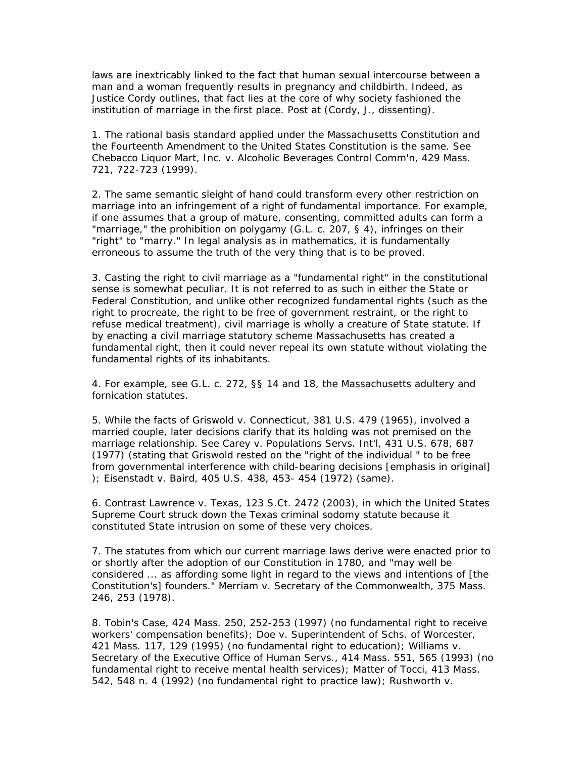laws are inextricably linked to the fact that human sexual intercourse between a man and a woman frequently results in pregnancy and childbirth. Indeed, as Justice Cordy outlines, that fact lies at the core of why society fashioned the institution of marriage in the first place. *Post* at (Cordy, J., dissenting).

1. The rational basis standard applied under the Massachusetts Constitution and the Fourteenth Amendment to the United States Constitution is the same. See *Chebacco Liquor Mart, Inc. v. Alcoholic Beverages Control Comm'n,* 429 Mass. 721, 722-723 (1999).

2. The same semantic sleight of hand could transform every other restriction on marriage into an infringement of a right of fundamental importance. For example, if one assumes that a group of mature, consenting, committed adults can form a "marriage," the prohibition on polygamy (G.L. c. 207, § 4), infringes on their "right" to "marry." In legal analysis as in mathematics, it is fundamentally erroneous to assume the truth of the very thing that is to be proved.

3. Casting the right to civil marriage as a "fundamental right" in the constitutional sense is somewhat peculiar. It is not referred to as such in either the State or Federal Constitution, and unlike other recognized fundamental rights (such as the right to procreate, the right to be free of government restraint, or the right to refuse medical treatment), civil marriage is wholly a creature of State statute. If by enacting a civil marriage statutory scheme Massachusetts has created a fundamental right, then it could never repeal its own statute without violating the fundamental rights of its inhabitants.

4. For example, see G.L. c. 272, §§ 14 and 18, the Massachusetts adultery and fornication statutes.

5. While the facts of *Griswold v. Connecticut,* 381 U.S. 479 (1965), involved a married couple, later decisions clarify that its holding was not premised on the marriage relationship. See *Carey v. Populations Servs. Int'l,* 431 U.S. 678, 687 (1977) (stating that *Griswold* rested on the "right of the *individual* " to be free from governmental interference with child-bearing decisions [emphasis in original] ); *Eisenstadt v. Baird,* 405 U.S. 438, 453- 454 (1972) (same).

6. Contrast *Lawrence v. Texas,* 123 S.Ct. 2472 (2003), in which the United States Supreme Court struck down the Texas criminal sodomy statute because it constituted State intrusion on some of these very choices.

7. The statutes from which our current marriage laws derive were enacted prior to or shortly after the adoption of our Constitution in 1780, and "may well be considered ... as affording some light in regard to the views and intentions of [the Constitution's] founders." *Merriam v. Secretary of the Commonwealth,* 375 Mass. 246, 253 (1978).

8. *Tobin's Case,* 424 Mass. 250, 252-253 (1997) (no fundamental right to receive workers' compensation benefits); *Doe v. Superintendent of Schs. of Worcester,* 421 Mass. 117, 129 (1995) (no fundamental right to education); *Williams v. Secretary of the Executive Office of Human Servs.,* 414 Mass. 551, 565 (1993) (no fundamental right to receive mental health services); *Matter of Tocci,* 413 Mass. 542, 548 n. 4 (1992) (no fundamental right to practice law); *Rushworth v.*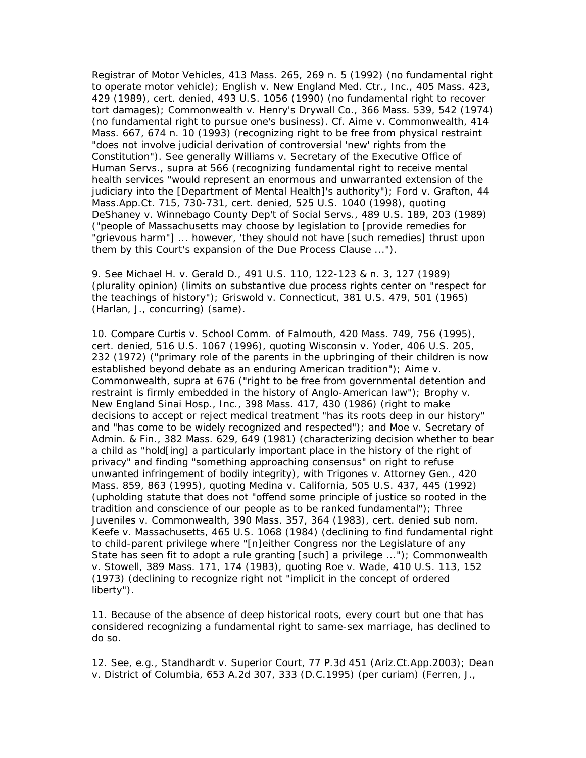*Registrar of Motor Vehicles,* 413 Mass. 265, 269 n. 5 (1992) (no fundamental right to operate motor vehicle); *English v. New England Med. Ctr., Inc.,* 405 Mass. 423, 429 (1989), cert. denied, 493 U.S. 1056 (1990) (no fundamental right to recover tort damages); *Commonwealth v. Henry's Drywall Co.,* 366 Mass. 539, 542 (1974) (no fundamental right to pursue one's business). Cf. *Aime v. Commonwealth,* 414 Mass. 667, 674 n. 10 (1993) (recognizing right to be free from physical restraint "does not involve judicial derivation of controversial 'new' rights from the Constitution"). See generally *Williams v. Secretary of the Executive Office of Human Servs., supra* at 566 (recognizing fundamental right to receive mental health services "would represent an enormous and unwarranted extension of the judiciary into the [Department of Mental Health]'s authority"); *Ford v. Grafton,* 44 Mass.App.Ct. 715, 730-731, cert. denied, 525 U.S. 1040 (1998), quoting *DeShaney v. Winnebago County Dep't of Social Servs.,* 489 U.S. 189, 203 (1989) ("people of Massachusetts may choose by legislation to [provide remedies for "grievous harm"] ... however, 'they should not have [such remedies] thrust upon them by this Court's expansion of the Due Process Clause ...").

9. See *Michael H.* v. *Gerald D.,* 491 U.S. 110, 122-123 & n. 3, 127 (1989) (plurality opinion) (limits on substantive due process rights center on "respect for the teachings of history"); *Griswold v. Connecticut,* 381 U.S. 479, 501 (1965) (Harlan, J., concurring) (same).

10. Compare *Curtis v. School Comm. of Falmouth,* 420 Mass. 749, 756 (1995), cert. denied, 516 U.S. 1067 (1996), quoting *Wisconsin v. Yoder,* 406 U.S. 205, 232 (1972) ("primary role of the parents in the upbringing of their children is now established beyond debate as an enduring American tradition"); *Aime v. Commonwealth, supra* at 676 ("right to be free from governmental detention and restraint is firmly embedded in the history of Anglo-American law"); *Brophy v. New England Sinai Hosp., Inc.,* 398 Mass. 417, 430 (1986) (right to make decisions to accept or reject medical treatment "has its roots deep in our history" and "has come to be widely recognized and respected"); and *Moe v. Secretary of Admin. & Fin.,* 382 Mass. 629, 649 (1981) (characterizing decision whether to bear a child as "hold[ing] a particularly important place in the history of the right of privacy" and finding "something approaching consensus" on right to refuse unwanted infringement of bodily integrity), with *Trigones v. Attorney Gen.,* 420 Mass. 859, 863 (1995), quoting *Medina v. California,* 505 U.S. 437, 445 (1992) (upholding statute that does not "offend some principle of justice so rooted in the tradition and conscience of our people as to be ranked fundamental"); *Three Juveniles v. Commonwealth,* 390 Mass. 357, 364 (1983), cert. denied sub nom. *Keefe v. Massachusetts,* 465 U.S. 1068 (1984) (declining to find fundamental right to child-parent privilege where "[n]either Congress nor the Legislature of any State has seen fit to adopt a rule granting [such] a privilege ..."); *Commonwealth v. Stowell,* 389 Mass. 171, 174 (1983), quoting *Roe v. Wade,* 410 U.S. 113, 152 (1973) (declining to recognize right not "implicit in the concept of ordered liberty").

11. Because of the absence of deep historical roots, every court but one that has considered recognizing a fundamental right to same-sex marriage, has declined to do so.

12. See, e.g., *Standhardt v. Superior Court,* 77 P.3d 451 (Ariz.Ct.App.2003); *Dean v. District of Columbia,* 653 A.2d 307, 333 (D.C.1995) (per curiam) (Ferren, J.,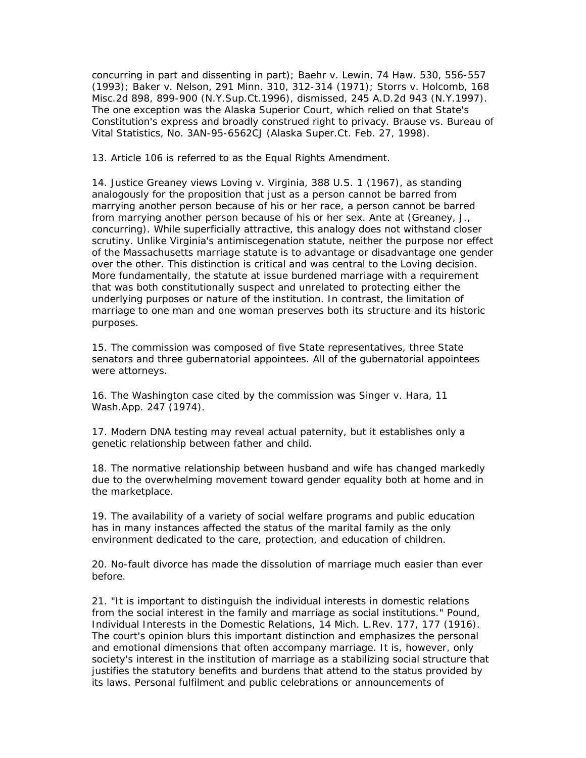concurring in part and dissenting in part); *Baehr v. Lewin,* 74 Haw. 530, 556-557 (1993); *Baker v. Nelson,* 291 Minn. 310, 312-314 (1971); *Storrs v. Holcomb,* 168 Misc.2d 898, 899-900 (N.Y.Sup.Ct.1996), dismissed, 245 A.D.2d 943 (N.Y.1997). The one exception was the Alaska Superior Court, which relied on that State's Constitution's express and broadly construed right to privacy. Brause *vs.* Bureau of Vital Statistics, No. 3AN-95-6562CJ (Alaska Super.Ct. Feb. 27, 1998).

13. Article 106 is referred to as the Equal Rights Amendment.

14. Justice Greaney views *Loving v. Virginia,* 388 U.S. 1 (1967), as standing analogously for the proposition that just as a person cannot be barred from marrying another person because of his or her race, a person cannot be barred from marrying another person because of his or her sex. *Ante* at (Greaney, J., concurring). While superficially attractive, this analogy does not withstand closer scrutiny. Unlike Virginia's antimiscegenation statute, neither the purpose nor effect of the Massachusetts marriage statute is to advantage or disadvantage one gender over the other. This distinction is critical and was central to the *Loving* decision. More fundamentally, the statute at issue burdened marriage with a requirement that was both constitutionally suspect and unrelated to protecting either the underlying purposes or nature of the institution. In contrast, the limitation of marriage to one man and one woman preserves both its structure and its historic purposes.

15. The commission was composed of five State representatives, three State senators and three gubernatorial appointees. All of the gubernatorial appointees were attorneys.

16. The Washington case cited by the commission was *Singer v. Hara,* 11 Wash.App. 247 (1974).

17. Modern DNA testing may reveal actual paternity, but it establishes only a genetic relationship between father and child.

18. The normative relationship between husband and wife has changed markedly due to the overwhelming movement toward gender equality both at home and in the marketplace.

19. The availability of a variety of social welfare programs and public education has in many instances affected the status of the marital family as the only environment dedicated to the care, protection, and education of children.

20. No-fault divorce has made the dissolution of marriage much easier than ever before.

21. "It is important to distinguish the individual interests in domestic relations from the social interest in the family and marriage as social institutions." Pound, Individual Interests in the Domestic Relations, 14 Mich. L.Rev. 177, 177 (1916). The court's opinion blurs this important distinction and emphasizes the personal and emotional dimensions that often accompany marriage. It is, however, only society's interest in the institution of marriage as a stabilizing social structure that justifies the statutory benefits and burdens that attend to the status provided by its laws. Personal fulfilment and public celebrations or announcements of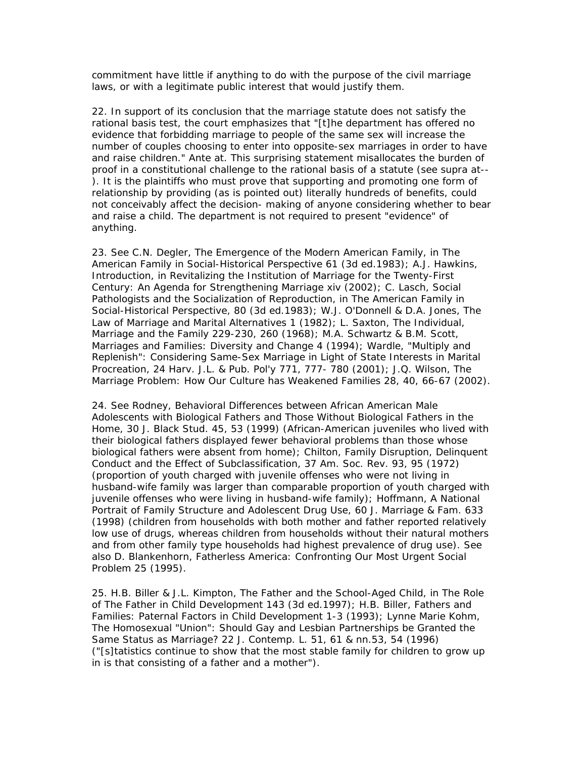commitment have little if anything to do with the purpose of the civil marriage laws, or with a legitimate public interest that would justify them.

22. In support of its conclusion that the marriage statute does not satisfy the rational basis test, the court emphasizes that "[t]he department has offered no evidence that forbidding marriage to people of the same sex will increase the number of couples choosing to enter into opposite-sex marriages in order to have and raise children." *Ante* at. This surprising statement misallocates the burden of proof in a constitutional challenge to the rational basis of a statute (see *supra* at-- ). It is the plaintiffs who must prove that supporting and promoting one form of relationship by providing (as is pointed out) literally hundreds of benefits, could not conceivably affect the decision- making of anyone considering whether to bear and raise a child. The department is not required to present "evidence" of anything.

23. See C.N. Degler, The Emergence of the Modern American Family, in The American Family in Social-Historical Perspective 61 (3d ed.1983); A.J. Hawkins, Introduction, in Revitalizing the Institution of Marriage for the Twenty-First Century: An Agenda for Strengthening Marriage xiv (2002); C. Lasch, Social Pathologists and the Socialization of Reproduction, in The American Family in Social-Historical Perspective, 80 (3d ed.1983); W.J. O'Donnell & D.A. Jones, The Law of Marriage and Marital Alternatives 1 (1982); L. Saxton, The Individual, Marriage and the Family 229-230, 260 (1968); M.A. Schwartz & B.M. Scott, Marriages and Families: Diversity and Change 4 (1994); Wardle, "Multiply and Replenish": Considering Same-Sex Marriage in Light of State Interests in Marital Procreation, 24 Harv. J.L. & Pub. Pol'y 771, 777- 780 (2001); J.Q. Wilson, The Marriage Problem: How Our Culture has Weakened Families 28, 40, 66-67 (2002).

24. See Rodney, Behavioral Differences between African American Male Adolescents with Biological Fathers and Those Without Biological Fathers in the Home, 30 J. Black Stud. 45, 53 (1999) (African-American juveniles who lived with their biological fathers displayed fewer behavioral problems than those whose biological fathers were absent from home); Chilton, Family Disruption, Delinquent Conduct and the Effect of Subclassification, 37 Am. Soc. Rev. 93, 95 (1972) (proportion of youth charged with juvenile offenses who were not living in husband-wife family was larger than comparable proportion of youth charged with juvenile offenses who were living in husband-wife family); Hoffmann, A National Portrait of Family Structure and Adolescent Drug Use, 60 J. Marriage & Fam. 633 (1998) (children from households with both mother and father reported relatively low use of drugs, whereas children from households without their natural mothers and from other family type households had highest prevalence of drug use). See also D. Blankenhorn, Fatherless America: Confronting Our Most Urgent Social Problem 25 (1995).

25. H.B. Biller & J.L. Kimpton, The Father and the School-Aged Child, in The Role of The Father in Child Development 143 (3d ed.1997); H.B. Biller, Fathers and Families: Paternal Factors in Child Development 1-3 (1993); Lynne Marie Kohm, The Homosexual "Union": Should Gay and Lesbian Partnerships be Granted the Same Status as Marriage? 22 J. Contemp. L. 51, 61 & nn.53, 54 (1996) ("[s]tatistics continue to show that the most stable family for children to grow up in is that consisting of a father and a mother").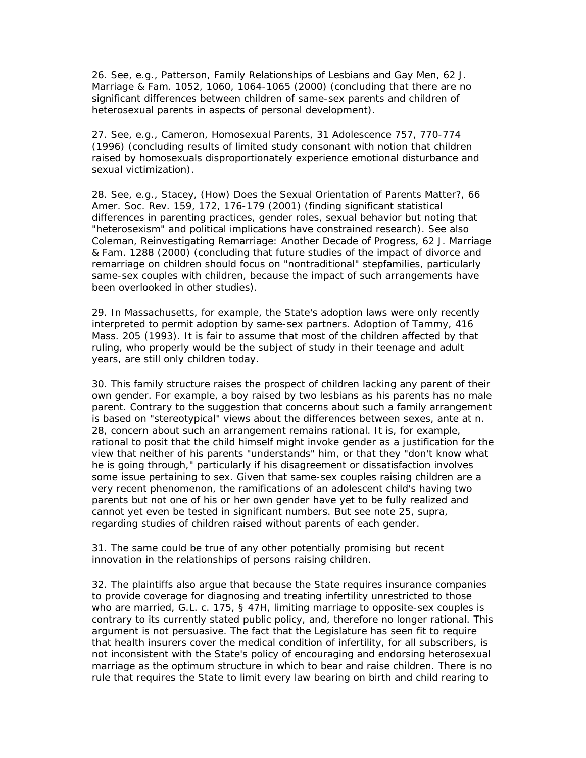26. See, e.g., Patterson, Family Relationships of Lesbians and Gay Men, 62 J. Marriage & Fam. 1052, 1060, 1064-1065 (2000) (concluding that there are no significant differences between children of same-sex parents and children of heterosexual parents in aspects of personal development).

27. See, e.g., Cameron, Homosexual Parents, 31 Adolescence 757, 770-774 (1996) (concluding results of limited study consonant with notion that children raised by homosexuals disproportionately experience emotional disturbance and sexual victimization).

28. See, e.g., Stacey, (How) Does the Sexual Orientation of Parents Matter?, 66 Amer. Soc. Rev. 159, 172, 176-179 (2001) (finding significant statistical differences in parenting practices, gender roles, sexual behavior but noting that "heterosexism" and political implications have constrained research). See also Coleman, Reinvestigating Remarriage: Another Decade of Progress, 62 J. Marriage & Fam. 1288 (2000) (concluding that future studies of the impact of divorce and remarriage on children should focus on "nontraditional" stepfamilies, particularly same-sex couples with children, because the impact of such arrangements have been overlooked in other studies).

29. In Massachusetts, for example, the State's adoption laws were only recently interpreted to permit adoption by same-sex partners. *Adoption of Tammy,* 416 Mass. 205 (1993). It is fair to assume that most of the children affected by that ruling, who properly would be the subject of study in their teenage and adult years, are still only children today.

30. This family structure raises the prospect of children lacking any parent of their own gender. For example, a boy raised by two lesbians as his parents has no male parent. Contrary to the suggestion that concerns about such a family arrangement is based on "stereotypical" views about the differences between sexes, *ante* at n. 28, concern about such an arrangement remains rational. It is, for example, rational to posit that the child himself might invoke gender as a justification for the view that neither of his parents "understands" him, or that they "don't know what he is going through," particularly if his disagreement or dissatisfaction involves some issue pertaining to sex. Given that same-sex couples raising children are a very recent phenomenon, the ramifications of an adolescent child's having two parents but not one of his or her own gender have yet to be fully realized and cannot yet even be tested in significant numbers. But see note 25, *supra,* regarding studies of children raised without parents of each gender.

31. The same could be true of any other potentially promising but recent innovation in the relationships of persons raising children.

32. The plaintiffs also argue that because the State requires insurance companies to provide coverage for diagnosing and treating infertility unrestricted to those who are married, G.L. c. 175, § 47H, limiting marriage to opposite-sex couples is contrary to its currently stated public policy, and, therefore no longer rational. This argument is not persuasive. The fact that the Legislature has seen fit to require that health insurers cover the medical condition of infertility, for all subscribers, is not inconsistent with the State's policy of encouraging and endorsing heterosexual marriage as the optimum structure in which to bear and raise children. There is no rule that requires the State to limit every law bearing on birth and child rearing to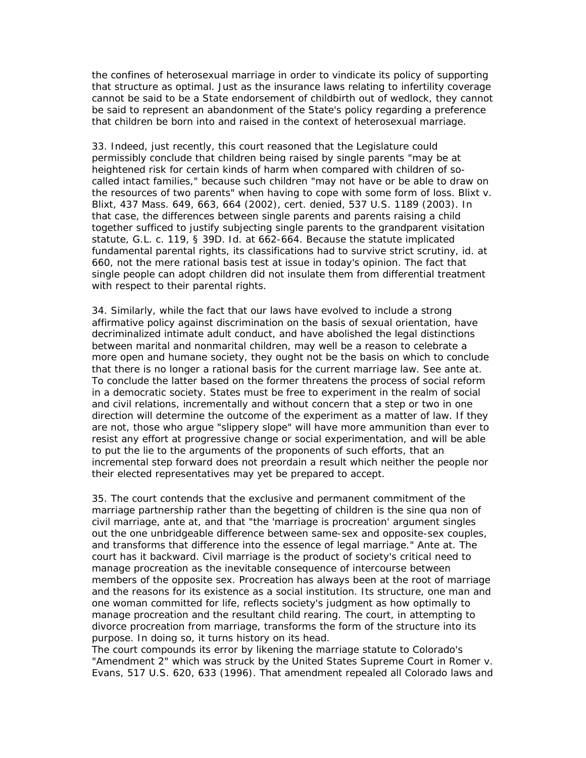the confines of heterosexual marriage in order to vindicate its policy of supporting that structure as optimal. Just as the insurance laws relating to infertility coverage cannot be said to be a State endorsement of childbirth out of wedlock, they cannot be said to represent an abandonment of the State's policy regarding a preference that children be born into and raised in the context of heterosexual marriage.

33. Indeed, just recently, this court reasoned that the Legislature could permissibly conclude that children being raised by single parents "may be at heightened risk for certain kinds of harm when compared with children of socalled intact families," because such children "may not have or be able to draw on the resources of two parents" when having to cope with some form of loss. *Blixt v. Blixt,* 437 Mass. 649, 663, 664 (2002), cert. denied, 537 U.S. 1189 (2003). In that case, the differences between single parents and parents raising a child together sufficed to justify subjecting single parents to the grandparent visitation statute, G.L. c. 119, § 39D. *Id.* at 662-664. Because the statute implicated fundamental parental rights, its classifications had to survive strict scrutiny, *id.* at 660, not the mere rational basis test at issue in today's opinion. The fact that single people can adopt children did not insulate them from differential treatment with respect to their parental rights.

34. Similarly, while the fact that our laws have evolved to include a strong affirmative policy against discrimination on the basis of sexual orientation, have decriminalized intimate adult conduct, and have abolished the legal distinctions between marital and nonmarital children, may well be a reason to celebrate a more open and humane society, they ought not be the basis on which to conclude that there is no longer a rational basis for the current marriage law. See *ante* at. To conclude the latter based on the former threatens the process of social reform in a democratic society. States must be free to experiment in the realm of social and civil relations, incrementally and without concern that a step or two in one direction will determine the outcome of the experiment as a matter of law. If they are not, those who argue "slippery slope" will have more ammunition than ever to resist any effort at progressive change or social experimentation, and will be able to put the lie to the arguments of the proponents of such efforts, that an incremental step forward does not preordain a result which neither the people nor their elected representatives may yet be prepared to accept.

35. The court contends that the exclusive and permanent commitment of the marriage partnership rather than the begetting of children is the sine qua non of civil marriage, *ante* at, and that "the 'marriage is procreation' argument singles out the one unbridgeable difference between same-sex and opposite-sex couples, and transforms that difference into the essence of legal marriage." *Ante* at. The court has it backward. Civil marriage is the product of society's critical need to manage procreation as the inevitable consequence of intercourse between members of the opposite sex. Procreation has always been at the root of marriage and the reasons for its existence as a social institution. Its structure, one man and one woman committed for life, reflects society's judgment as how optimally to manage procreation and the resultant child rearing. The court, in attempting to divorce procreation from marriage, transforms the form of the structure into its purpose. In doing so, it turns history on its head.

The court compounds its error by likening the marriage statute to Colorado's "Amendment 2" which was struck by the United States Supreme Court in *Romer v. Evans,* 517 U.S. 620, 633 (1996). That amendment repealed all Colorado laws and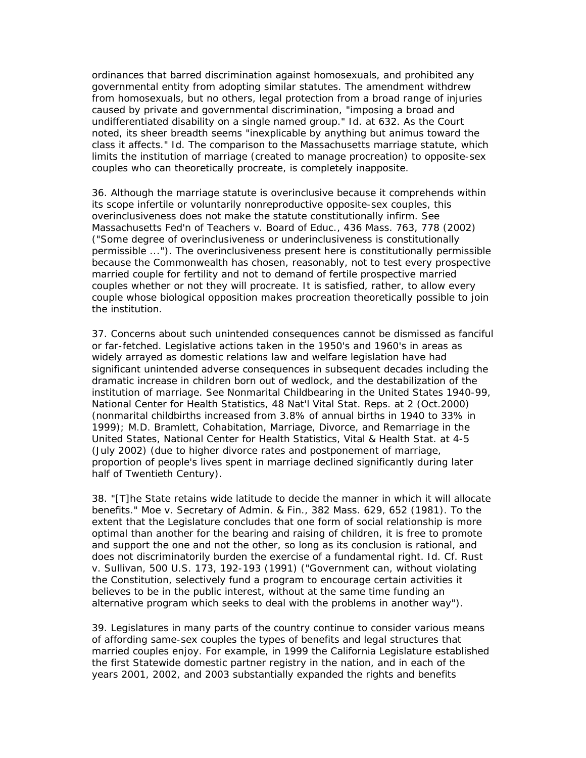ordinances that barred discrimination against homosexuals, and prohibited any governmental entity from adopting similar statutes. The amendment withdrew from homosexuals, but no others, legal protection from a broad range of injuries caused by private and governmental discrimination, "imposing a broad and undifferentiated disability on a single named group." *Id.* at 632. As the Court noted, its sheer breadth seems "inexplicable by anything but animus toward the class it affects." *Id.* The comparison to the Massachusetts marriage statute, which limits the institution of marriage (created to manage procreation) to opposite-sex couples who can theoretically procreate, is completely inapposite.

36. Although the marriage statute is overinclusive because it comprehends within its scope infertile or voluntarily nonreproductive opposite-sex couples, this overinclusiveness does not make the statute constitutionally infirm. See *Massachusetts Fed'n of Teachers v. Board of Educ.,* 436 Mass. 763, 778 (2002) ("Some degree of overinclusiveness or underinclusiveness is constitutionally permissible ..."). The overinclusiveness present here is constitutionally permissible because the Commonwealth has chosen, reasonably, not to test every prospective married couple for fertility and not to demand of fertile prospective married couples whether or not they will procreate. It is satisfied, rather, to allow every couple whose biological opposition makes procreation theoretically possible to join the institution.

37. Concerns about such unintended consequences cannot be dismissed as fanciful or far-fetched. Legislative actions taken in the 1950's and 1960's in areas as widely arrayed as domestic relations law and welfare legislation have had significant unintended adverse consequences in subsequent decades including the dramatic increase in children born out of wedlock, and the destabilization of the institution of marriage. See Nonmarital Childbearing in the United States 1940-99, National Center for Health Statistics, 48 Nat'l Vital Stat. Reps. at 2 (Oct.2000) (nonmarital childbirths increased from 3.8% of annual births in 1940 to 33% in 1999); M.D. Bramlett, Cohabitation, Marriage, Divorce, and Remarriage in the United States, National Center for Health Statistics, Vital & Health Stat. at 4-5 (July 2002) (due to higher divorce rates and postponement of marriage, proportion of people's lives spent in marriage declined significantly during later half of Twentieth Century).

38. "[T]he State retains wide latitude to decide the manner in which it will allocate benefits." *Moe v. Secretary of Admin. & Fin.,* 382 Mass. 629, 652 (1981). To the extent that the Legislature concludes that one form of social relationship is more optimal than another for the bearing and raising of children, it is free to promote and support the one and not the other, so long as its conclusion is rational, and does not discriminatorily burden the exercise of a fundamental right. *Id.* Cf. *Rust v. Sullivan,* 500 U.S. 173, 192-193 (1991) ("Government can, without violating the Constitution, selectively fund a program to encourage certain activities it believes to be in the public interest, without at the same time funding an alternative program which seeks to deal with the problems in another way").

39. Legislatures in many parts of the country continue to consider various means of affording same-sex couples the types of benefits and legal structures that married couples enjoy. For example, in 1999 the California Legislature established the first Statewide domestic partner registry in the nation, and in each of the years 2001, 2002, and 2003 substantially expanded the rights and benefits